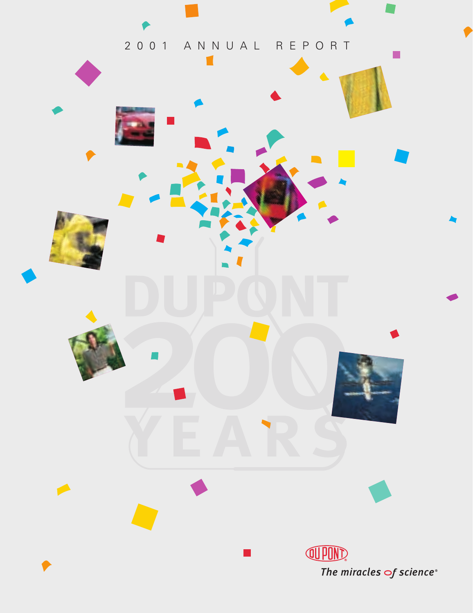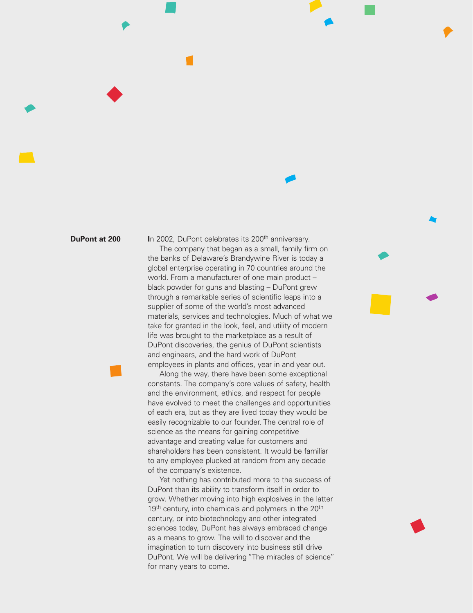#### **DuPont at 200**

In 2002, DuPont celebrates its 200<sup>th</sup> anniversary.

The company that began as a small, family firm on the banks of Delaware's Brandywine River is today a global enterprise operating in 70 countries around the world. From a manufacturer of one main product – black powder for guns and blasting – DuPont grew through a remarkable series of scientific leaps into a supplier of some of the world's most advanced materials, services and technologies. Much of what we take for granted in the look, feel, and utility of modern life was brought to the marketplace as a result of DuPont discoveries, the genius of DuPont scientists and engineers, and the hard work of DuPont employees in plants and offices, year in and year out.

Along the way, there have been some exceptional constants. The company's core values of safety, health and the environment, ethics, and respect for people have evolved to meet the challenges and opportunities of each era, but as they are lived today they would be easily recognizable to our founder. The central role of science as the means for gaining competitive advantage and creating value for customers and shareholders has been consistent. It would be familiar to any employee plucked at random from any decade of the company's existence.

Yet nothing has contributed more to the success of DuPont than its ability to transform itself in order to grow. Whether moving into high explosives in the latter 19<sup>th</sup> century, into chemicals and polymers in the 20<sup>th</sup> century, or into biotechnology and other integrated sciences today, DuPont has always embraced change as a means to grow. The will to discover and the imagination to turn discovery into business still drive DuPont. We will be delivering "The miracles of science" for many years to come.

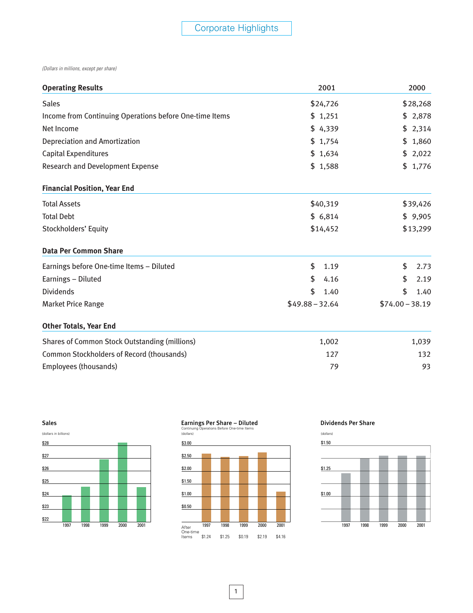*(Dollars in millions, except per share)*

| <b>Operating Results</b>                                | 2001             | 2000             |
|---------------------------------------------------------|------------------|------------------|
| <b>Sales</b>                                            | \$24,726         | \$28,268         |
| Income from Continuing Operations before One-time Items | \$1,251          | \$2,878          |
| Net Income                                              | \$4,339          | \$2,314          |
| <b>Depreciation and Amortization</b>                    | \$1,754          | \$1,860          |
| <b>Capital Expenditures</b>                             | \$1,634          | \$2,022          |
| Research and Development Expense                        | \$1,588          | \$1,776          |
| <b>Financial Position, Year End</b>                     |                  |                  |
| <b>Total Assets</b>                                     | \$40,319         | \$39,426         |
| <b>Total Debt</b>                                       | \$6,814          | \$9,905          |
| <b>Stockholders' Equity</b>                             | \$14,452         | \$13,299         |
| <b>Data Per Common Share</b>                            |                  |                  |
| Earnings before One-time Items - Diluted                | \$<br>1.19       | \$<br>2.73       |
| Earnings - Diluted                                      | \$<br>4.16       | \$<br>2.19       |
| <b>Dividends</b>                                        | \$<br>1.40       | \$<br>1.40       |
| <b>Market Price Range</b>                               | $$49.88 - 32.64$ | $$74.00 - 38.19$ |
| <b>Other Totals, Year End</b>                           |                  |                  |
| <b>Shares of Common Stock Outstanding (millions)</b>    | 1,002            | 1,039            |
| Common Stockholders of Record (thousands)               | 127              | 132              |
| Employees (thousands)                                   | 79               | 93               |









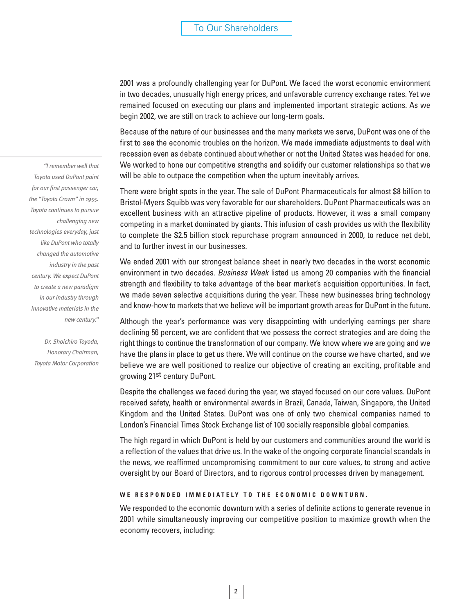2001 was a profoundly challenging year for DuPont. We faced the worst economic environment in two decades, unusually high energy prices, and unfavorable currency exchange rates. Yet we remained focused on executing our plans and implemented important strategic actions. As we begin 2002, we are still on track to achieve our long-term goals.

Because of the nature of our businesses and the many markets we serve, DuPont was one of the first to see the economic troubles on the horizon. We made immediate adjustments to deal with recession even as debate continued about whether or not the United States was headed for one. We worked to hone our competitive strengths and solidify our customer relationships so that we will be able to outpace the competition when the upturn inevitably arrives.

There were bright spots in the year. The sale of DuPont Pharmaceuticals for almost \$8 billion to Bristol-Myers Squibb was very favorable for our shareholders. DuPont Pharmaceuticals was an excellent business with an attractive pipeline of products. However, it was a small company competing in a market dominated by giants. This infusion of cash provides us with the flexibility to complete the \$2.5 billion stock repurchase program announced in 2000, to reduce net debt, and to further invest in our businesses.

We ended 2001 with our strongest balance sheet in nearly two decades in the worst economic environment in two decades. *Business Week* listed us among 20 companies with the financial strength and flexibility to take advantage of the bear market's acquisition opportunities. In fact, we made seven selective acquisitions during the year. These new businesses bring technology and know-how to markets that we believe will be important growth areas for DuPont in the future.

Although the year's performance was very disappointing with underlying earnings per share declining 56 percent, we are confident that we possess the correct strategies and are doing the right things to continue the transformation of our company. We know where we are going and we have the plans in place to get us there. We will continue on the course we have charted, and we believe we are well positioned to realize our objective of creating an exciting, profitable and growing 21st century DuPont.

Despite the challenges we faced during the year, we stayed focused on our core values. DuPont received safety, health or environmental awards in Brazil, Canada, Taiwan, Singapore, the United Kingdom and the United States. DuPont was one of only two chemical companies named to London's Financial Times Stock Exchange list of 100 socially responsible global companies.

The high regard in which DuPont is held by our customers and communities around the world is a reflection of the values that drive us. In the wake of the ongoing corporate financial scandals in the news, we reaffirmed uncompromising commitment to our core values, to strong and active oversight by our Board of Directors, and to rigorous control processes driven by management.

### **WE RESPONDED IMMEDIATELY TO THE ECONOMIC DOWNTURN.**

We responded to the economic downturn with a series of definite actions to generate revenue in 2001 while simultaneously improving our competitive position to maximize growth when the economy recovers, including:

*"I remember well that Toyota used DuPont paint for our first passenger car, the "Toyota Crown" in 1955. Toyota continues to pursue challenging new technologies everyday, just like DuPont who totally changed the automotive industry in the past century. We expect DuPont to create a new paradigm in our industry through innovative materials in the new century."*

*Dr. Shoichiro Toyoda, Honorary Chairman, Toyota Motor Corporation*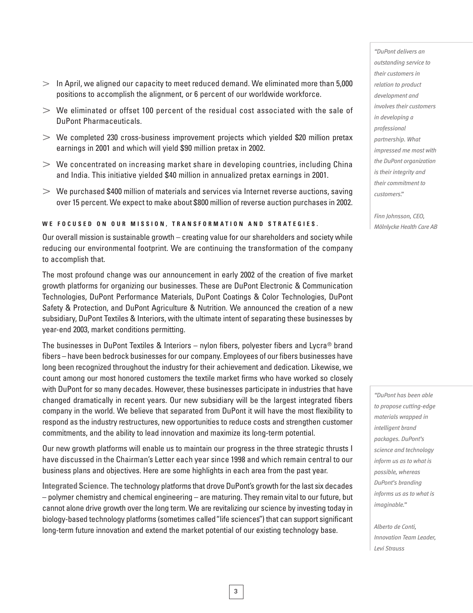- $>$  In April, we aligned our capacity to meet reduced demand. We eliminated more than 5,000 positions to accomplish the alignment, or 6 percent of our worldwide workforce.
- $>$  We eliminated or offset 100 percent of the residual cost associated with the sale of DuPont Pharmaceuticals.
- $>$  We completed 230 cross-business improvement projects which yielded \$20 million pretax earnings in 2001 and which will yield \$90 million pretax in 2002.
- $>$  We concentrated on increasing market share in developing countries, including China and India. This initiative yielded \$40 million in annualized pretax earnings in 2001.
- $>$  We purchased \$400 million of materials and services via Internet reverse auctions, saving over 15 percent. We expect to make about \$800 million of reverse auction purchases in 2002.

#### **WE FOCUSED ON OUR MISSION, TRANSFORMATION AND STRATEGIES.**

Our overall mission is sustainable growth – creating value for our shareholders and society while reducing our environmental footprint. We are continuing the transformation of the company to accomplish that.

The most profound change was our announcement in early 2002 of the creation of five market growth platforms for organizing our businesses. These are DuPont Electronic & Communication Technologies, DuPont Performance Materials, DuPont Coatings & Color Technologies, DuPont Safety & Protection, and DuPont Agriculture & Nutrition. We announced the creation of a new subsidiary, DuPont Textiles & Interiors, with the ultimate intent of separating these businesses by year-end 2003, market conditions permitting.

The businesses in DuPont Textiles & Interiors – nylon fibers, polyester fibers and Lycra® brand fibers – have been bedrock businesses for our company. Employees of our fibers businesses have long been recognized throughout the industry for their achievement and dedication. Likewise, we count among our most honored customers the textile market firms who have worked so closely with DuPont for so many decades. However, these businesses participate in industries that have changed dramatically in recent years. Our new subsidiary will be the largest integrated fibers company in the world. We believe that separated from DuPont it will have the most flexibility to respond as the industry restructures, new opportunities to reduce costs and strengthen customer commitments, and the ability to lead innovation and maximize its long-term potential.

Our new growth platforms will enable us to maintain our progress in the three strategic thrusts I have discussed in the Chairman's Letter each year since 1998 and which remain central to our business plans and objectives. Here are some highlights in each area from the past year.

**Integrated Science.** The technology platforms that drove DuPont's growth for the last six decades – polymer chemistry and chemical engineering – are maturing. They remain vital to our future, but cannot alone drive growth over the long term. We are revitalizing our science by investing today in biology-based technology platforms (sometimes called"life sciences") that can support significant long-term future innovation and extend the market potential of our existing technology base.

*"DuPont delivers an outstanding service to their customers in relation to product development and involves their customers in developing a professional partnership. What impressed me most with the DuPont organization is their integrity and their commitment to customers."*

*Finn Johnsson, CEO, Mölnlycke Health Care AB*

*"DuPont has been able to propose cutting-edge materials wrapped in intelligent brand packages. DuPont's science and technology inform us as to what is possible, whereas DuPont's branding informs us as to what is imaginable."*

*Alberto de Conti, Innovation Team Leader, Levi Strauss*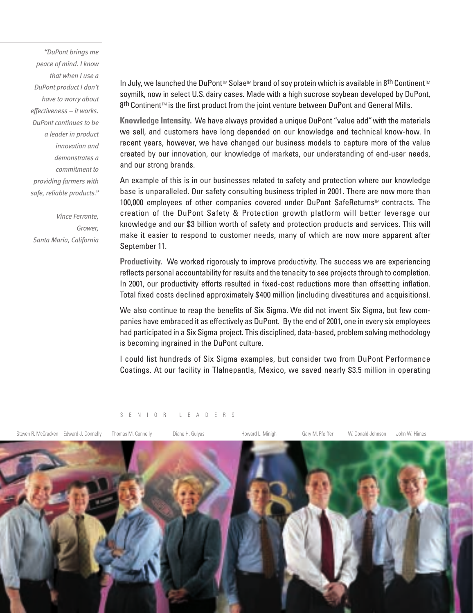*"DuPont brings me peace of mind. I know that when I use a DuPont product I don't have to worry about effectiveness – it works. DuPont continues to be a leader in product innovation and demonstrates a commitment to providing farmers with safe, reliable products."*

*Vince Ferrante, Grower, Santa Maria, California* In July, we launched the DuPont<sup> $M$ </sup> Solae<sup>M</sup> brand of soy protein which is available in 8<sup>th</sup> Continent M soymilk, now in select U.S. dairy cases. Made with a high sucrose soybean developed by DuPont, 8<sup>th</sup> Continent<sup>™</sup> is the first product from the joint venture between DuPont and General Mills.

**Knowledge Intensity.** We have always provided a unique DuPont "value add"with the materials we sell, and customers have long depended on our knowledge and technical know-how. In recent years, however, we have changed our business models to capture more of the value created by our innovation, our knowledge of markets, our understanding of end-user needs, and our strong brands.

An example of this is in our businesses related to safety and protection where our knowledge base is unparalleled. Our safety consulting business tripled in 2001. There are now more than 100,000 employees of other companies covered under DuPont SafeReturns™ contracts. The creation of the DuPont Safety & Protection growth platform will better leverage our knowledge and our \$3 billion worth of safety and protection products and services. This will make it easier to respond to customer needs, many of which are now more apparent after September 11.

**Productivity.** We worked rigorously to improve productivity. The success we are experiencing reflects personal accountability for results and the tenacity to see projects through to completion. In 2001, our productivity efforts resulted in fixed-cost reductions more than offsetting inflation. Total fixed costs declined approximately \$400 million (including divestitures and acquisitions).

We also continue to reap the benefits of Six Sigma. We did not invent Six Sigma, but few companies have embraced it as effectively as DuPont. By the end of 2001, one in every six employees had participated in a Six Sigma project. This disciplined, data-based, problem solving methodology is becoming ingrained in the DuPont culture.

I could list hundreds of Six Sigma examples, but consider two from DuPont Performance Coatings. At our facility in Tlalnepantla, Mexico, we saved nearly \$3.5 million in operating

#### SENIOR LEADERS

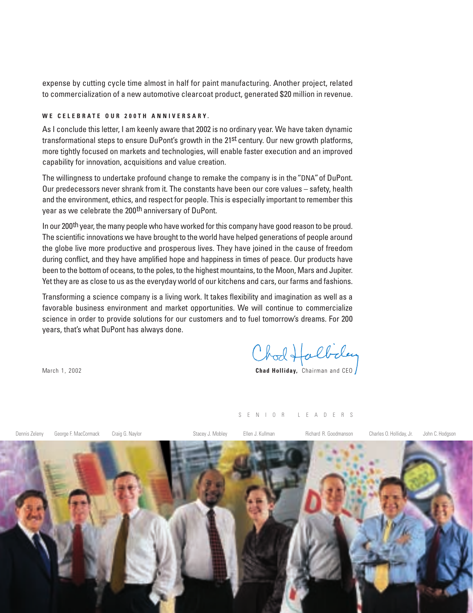expense by cutting cycle time almost in half for paint manufacturing. Another project, related to commercialization of a new automotive clearcoat product, generated \$20 million in revenue.

#### **WE CELEBRATE OUR 200TH ANNIVERSARY.**

As I conclude this letter, I am keenly aware that 2002 is no ordinary year. We have taken dynamic transformational steps to ensure DuPont's growth in the 21<sup>st</sup> century. Our new growth platforms, more tightly focused on markets and technologies, will enable faster execution and an improved capability for innovation, acquisitions and value creation.

The willingness to undertake profound change to remake the company is in the"DNA"of DuPont. Our predecessors never shrank from it. The constants have been our core values – safety, health and the environment, ethics, and respect for people. This is especially important to remember this year as we celebrate the 200<sup>th</sup> anniversary of DuPont.

In our 200<sup>th</sup> year, the many people who have worked for this company have good reason to be proud. The scientific innovations we have brought to the world have helped generations of people around the globe live more productive and prosperous lives. They have joined in the cause of freedom during conflict, and they have amplified hope and happiness in times of peace. Our products have been to the bottom of oceans, to the poles, to the highest mountains, to the Moon, Mars and Jupiter. Yet they are as close to us as the everyday world of our kitchens and cars, our farms and fashions.

Transforming a science company is a living work. It takes flexibility and imagination as well as a favorable business environment and market opportunities. We will continue to commercialize science in order to provide solutions for our customers and to fuel tomorrow's dreams. For 200 years, that's what DuPont has always done.

Chod Halbely

March 1, 2002 **Chad Holliday,** Chairman and CEO

#### SENIOR LEADERS

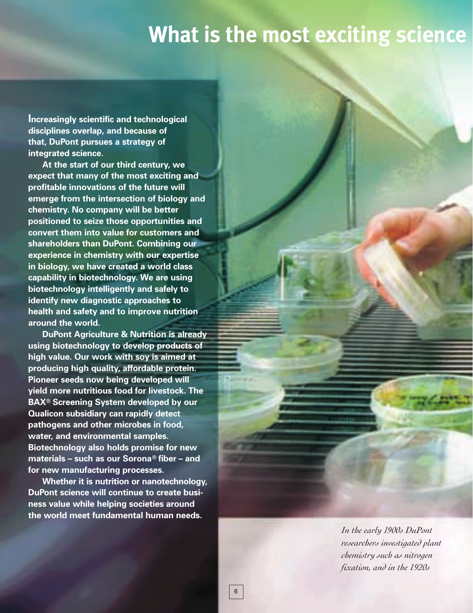## **What is the most exciting science**

**Increasingly scientific and technological disciplines overlap, and because of that, DuPont pursues a strategy of integrated science.** 

**At the start of our third century, we expect that many of the most exciting and profitable innovations of the future will emerge from the intersection of biology and chemistry. No company will be better positioned to seize those opportunities and convert them into value for customers and shareholders than DuPont. Combining our experience in chemistry with our expertise in biology, we have created a world class capability in biotechnology. We are using biotechnology intelligently and safely to identify new diagnostic approaches to health and safety and to improve nutrition around the world.** 

**DuPont Agriculture & Nutrition is already using biotechnology to develop products of high value. Our work with soy is aimed at producing high quality, affordable protein. Pioneer seeds now being developed will yield more nutritious food for livestock. The BAX**® **Screening System developed by our Qualicon subsidiary can rapidly detect pathogens and other microbes in food, water, and environmental samples. Biotechnology also holds promise for new materials – such as our Sorona**® **fiber – and for new manufacturing processes.**

**Whether it is nutrition or nanotechnology, DuPont science will continue to create business value while helping societies around the world meet fundamental human needs.**

> *In the early 1900s DuPont researchers investigated plant chemistry such as nitrogen fixation, and in the 1920s*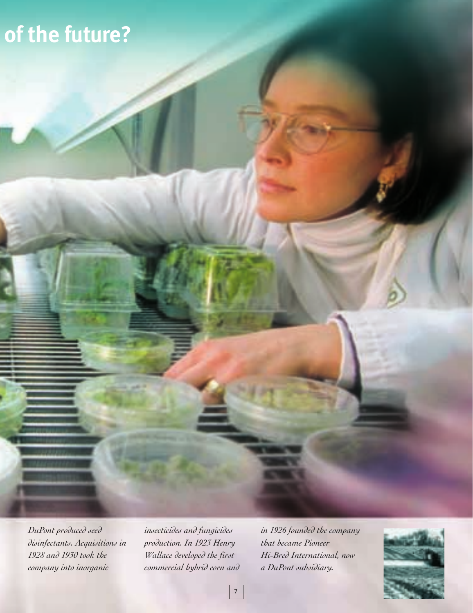# **of the future?**

*DuPont produced seed disinfectants. Acquisitions in 1928 and 1930 took the company into inorganic*

*insecticides and fungicides production. In 1923 Henry Wallace developed the first commercial hybrid corn and*  *in 1926 founded the company that became Pioneer Hi-Bred International, now a DuPont subsidiary.*

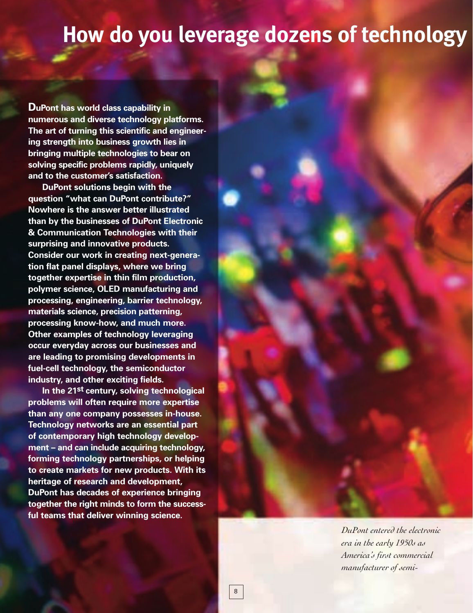### **How do you leverage dozens of technology**

**DuPont has world class capability in numerous and diverse technology platforms. The art of turning this scientific and engineering strength into business growth lies in bringing multiple technologies to bear on solving specific problems rapidly, uniquely and to the customer's satisfaction.**

**DuPont solutions begin with the question "what can DuPont contribute?" Nowhere is the answer better illustrated than by the businesses of DuPont Electronic & Communication Technologies with their surprising and innovative products. Consider our work in creating next-generation flat panel displays, where we bring together expertise in thin film production, polymer science, OLED manufacturing and processing, engineering, barrier technology, materials science, precision patterning, processing know-how, and much more. Other examples of technology leveraging occur everyday across our businesses and are leading to promising developments in fuel-cell technology, the semiconductor industry, and other exciting fields.**

**In the 21st century, solving technological problems will often require more expertise than any one company possesses in-house. Technology networks are an essential part of contemporary high technology development – and can include acquiring technology, forming technology partnerships, or helping to create markets for new products. With its heritage of research and development, DuPont has decades of experience bringing together the right minds to form the successful teams that deliver winning science.**

> *DuPont entered the electronic era in the early 1950s as America's first commercial manufacturer of semi-*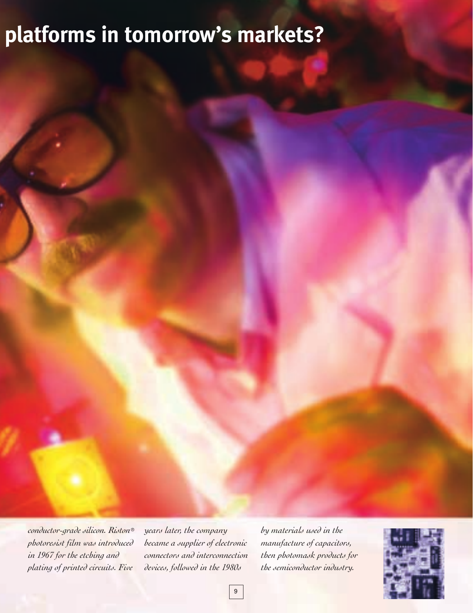## **platforms in tomorrow's markets?**

*conductor-grade silicon. Riston*® *photoresist film was introduced in 1967 for the etching and plating of printed circuits. Five*

*years later, the company became a supplier of electronic connectors and interconnection devices, followed in the 1980s*

*by materials used in the manufacture of capacitors, then photomask products for the semiconductor industry.*

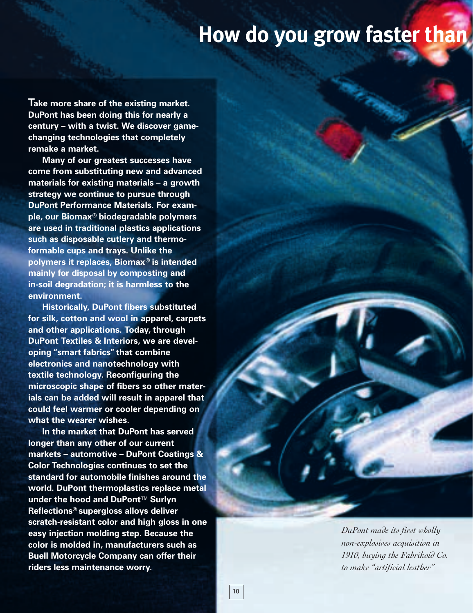### **How do you grow faster than**

**Take more share of the existing market. DuPont has been doing this for nearly a century – with a twist. We discover gamechanging technologies that completely remake a market.** 

**Many of our greatest successes have come from substituting new and advanced materials for existing materials – a growth strategy we continue to pursue through DuPont Performance Materials. For example, our Biomax**® **biodegradable polymers are used in traditional plastics applications such as disposable cutlery and thermoformable cups and trays. Unlike the polymers it replaces, Biomax**® **is intended mainly for disposal by composting and in-soil degradation; it is harmless to the environment.**

**Historically, DuPont fibers substituted for silk, cotton and wool in apparel, carpets and other applications. Today, through DuPont Textiles & Interiors, we are developing "smart fabrics"that combine electronics and nanotechnology with textile technology. Reconfiguring the microscopic shape of fibers so other materials can be added will result in apparel that could feel warmer or cooler depending on what the wearer wishes.**

**In the market that DuPont has served longer than any other of our current markets – automotive – DuPont Coatings & Color Technologies continues to set the standard for automobile finishes around the world. DuPont thermoplastics replace metal under the hood and DuPont™ Surlyn Reflections**® **supergloss alloys deliver scratch-resistant color and high gloss in one easy injection molding step. Because the color is molded in, manufacturers such as Buell Motorcycle Company can offer their riders less maintenance worry.**

*DuPont made its first wholly non-explosives acquisition in 1910, buying the Fabrikoid Co. to make "artificial leather"*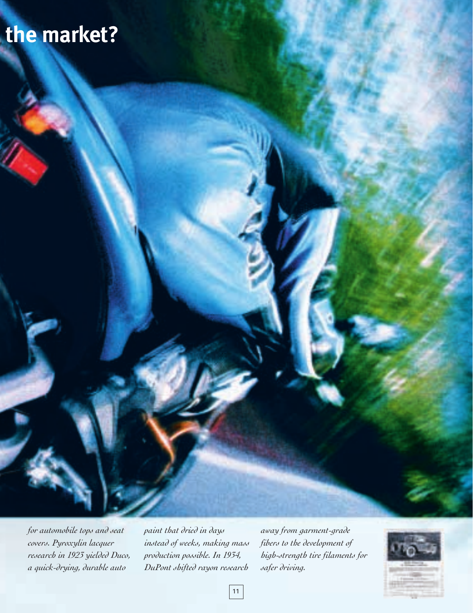## **the market?**

*for automobile tops and seat covers. Pyroxylin lacquer research in 1923 yielded Duco, a quick-drying, durable auto*

*paint that dried in days instead of weeks, making mass production possible. In 1934, DuPont shifted rayon research*

*away from garment-grade fibers to the development of high-strength tire filaments for safer driving.*

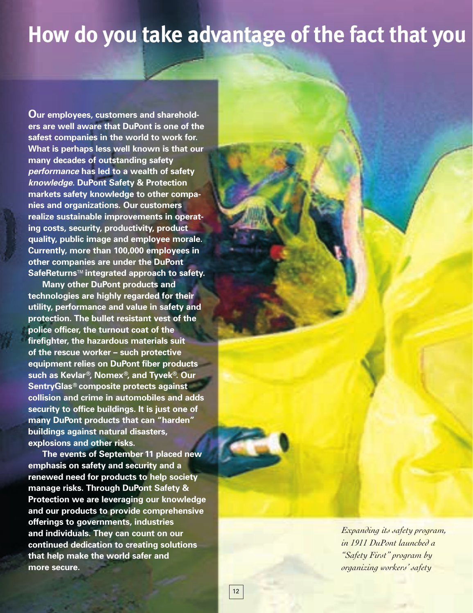### **How do you take advantage of the fact that you**

**Our employees, customers and shareholders are well aware that DuPont is one of the safest companies in the world to work for. What is perhaps less well known is that our many decades of outstanding safety**  *performance* **has led to a wealth of safety** *knowledge***. DuPont Safety & Protection markets safety knowledge to other companies and organizations. Our customers realize sustainable improvements in operating costs, security, productivity, product quality, public image and employee morale. Currently, more than 100,000 employees in other companies are under the DuPont SafeReturns™ integrated approach to safety.** 

**Many other DuPont products and technologies are highly regarded for their utility, performance and value in safety and protection. The bullet resistant vest of the police officer, the turnout coat of the firefighter, the hazardous materials suit of the rescue worker – such protective equipment relies on DuPont fiber products such as Kevlar**®**, Nomex**®**, and Tyvek**®**. Our SentryGlas**® **composite protects against collision and crime in automobiles and adds security to office buildings. It is just one of many DuPont products that can "harden" buildings against natural disasters, explosions and other risks.** 

**The events of September 11 placed new emphasis on safety and security and a renewed need for products to help society manage risks. Through DuPont Safety & Protection we are leveraging our knowledge and our products to provide comprehensive offerings to governments, industries and individuals. They can count on our continued dedication to creating solutions that help make the world safer and more secure.**

*Expanding its safety program, in 1911 DuPont launched a "Safety First" program by organizing workers' safety*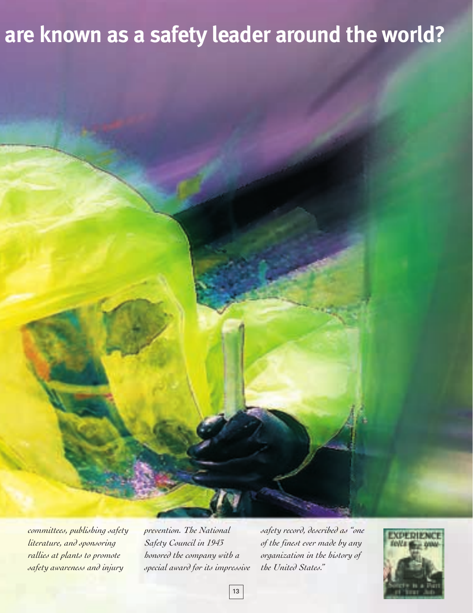## **are known as a safety leader around the world?**

*committees, publishing safety literature, and sponsoring rallies at plants to promote safety awareness and injury*

*prevention. The National Safety Council in 1943 honored the company with a special award for its impressive*

*safety record, described as"one of the finest ever made by any organization in the history of the United States."*

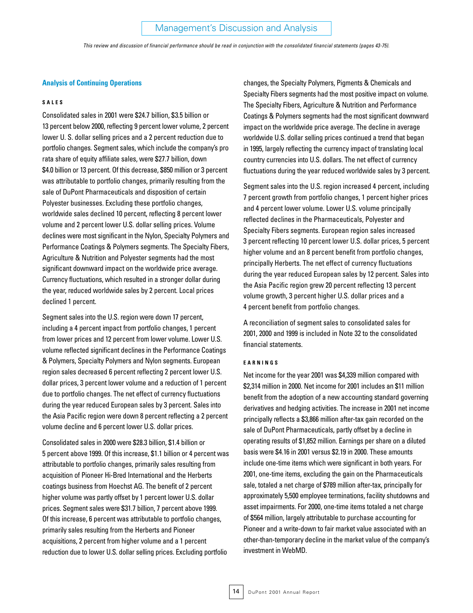*This review and discussion of financial performance should be read in conjunction with the consolidated financial statements (pages 43-75).*

#### **Analysis of Continuing Operations**

#### **SALES**

Consolidated sales in 2001 were \$24.7 billion, \$3.5 billion or 13 percent below 2000, reflecting 9 percent lower volume, 2 percent lower U. S. dollar selling prices and a 2 percent reduction due to portfolio changes. Segment sales, which include the company's pro rata share of equity affiliate sales, were \$27.7 billion, down \$4.0 billion or 13 percent. Of this decrease, \$850 million or 3 percent was attributable to portfolio changes, primarily resulting from the sale of DuPont Pharmaceuticals and disposition of certain Polyester businesses. Excluding these portfolio changes, worldwide sales declined 10 percent, reflecting 8 percent lower volume and 2 percent lower U.S. dollar selling prices. Volume declines were most significant in the Nylon, Specialty Polymers and Performance Coatings & Polymers segments. The Specialty Fibers, Agriculture & Nutrition and Polyester segments had the most significant downward impact on the worldwide price average. Currency fluctuations, which resulted in a stronger dollar during the year, reduced worldwide sales by 2 percent. Local prices declined 1 percent.

Segment sales into the U.S. region were down 17 percent, including a 4 percent impact from portfolio changes, 1 percent from lower prices and 12 percent from lower volume. Lower U.S. volume reflected significant declines in the Performance Coatings & Polymers, Specialty Polymers and Nylon segments. European region sales decreased 6 percent reflecting 2 percent lower U.S. dollar prices, 3 percent lower volume and a reduction of 1 percent due to portfolio changes. The net effect of currency fluctuations during the year reduced European sales by 3 percent. Sales into the Asia Pacific region were down 8 percent reflecting a 2 percent volume decline and 6 percent lower U.S. dollar prices.

Consolidated sales in 2000 were \$28.3 billion, \$1.4 billion or 5 percent above 1999. Of this increase, \$1.1 billion or 4 percent was attributable to portfolio changes, primarily sales resulting from acquisition of Pioneer Hi-Bred International and the Herberts coatings business from Hoechst AG. The benefit of 2 percent higher volume was partly offset by 1 percent lower U.S. dollar prices. Segment sales were \$31.7 billion, 7 percent above 1999. Of this increase, 6 percent was attributable to portfolio changes, primarily sales resulting from the Herberts and Pioneer acquisitions, 2 percent from higher volume and a 1 percent reduction due to lower U.S. dollar selling prices. Excluding portfolio

changes, the Specialty Polymers, Pigments & Chemicals and Specialty Fibers segments had the most positive impact on volume. The Specialty Fibers, Agriculture & Nutrition and Performance Coatings & Polymers segments had the most significant downward impact on the worldwide price average. The decline in average worldwide U.S. dollar selling prices continued a trend that began in 1995, largely reflecting the currency impact of translating local country currencies into U.S. dollars. The net effect of currency fluctuations during the year reduced worldwide sales by 3 percent.

Segment sales into the U.S. region increased 4 percent, including 7 percent growth from portfolio changes, 1 percent higher prices and 4 percent lower volume. Lower U.S. volume principally reflected declines in the Pharmaceuticals, Polyester and Specialty Fibers segments. European region sales increased 3 percent reflecting 10 percent lower U.S. dollar prices, 5 percent higher volume and an 8 percent benefit from portfolio changes, principally Herberts. The net effect of currency fluctuations during the year reduced European sales by 12 percent. Sales into the Asia Pacific region grew 20 percent reflecting 13 percent volume growth, 3 percent higher U.S. dollar prices and a 4 percent benefit from portfolio changes.

A reconciliation of segment sales to consolidated sales for 2001, 2000 and 1999 is included in Note 32 to the consolidated financial statements.

#### **EARNINGS**

Net income for the year 2001 was \$4,339 million compared with \$2,314 million in 2000. Net income for 2001 includes an \$11 million benefit from the adoption of a new accounting standard governing derivatives and hedging activities. The increase in 2001 net income principally reflects a \$3,866 million after-tax gain recorded on the sale of DuPont Pharmaceuticals, partly offset by a decline in operating results of \$1,852 million. Earnings per share on a diluted basis were \$4.16 in 2001 versus \$2.19 in 2000. These amounts include one-time items which were significant in both years. For 2001, one-time items, excluding the gain on the Pharmaceuticals sale, totaled a net charge of \$789 million after-tax, principally for approximately 5,500 employee terminations, facility shutdowns and asset impairments. For 2000, one-time items totaled a net charge of \$564 million, largely attributable to purchase accounting for Pioneer and a write-down to fair market value associated with an other-than-temporary decline in the market value of the company's investment in WebMD.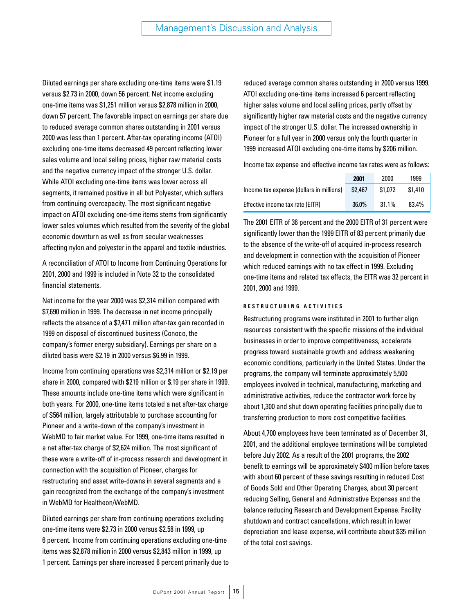Diluted earnings per share excluding one-time items were \$1.19 versus \$2.73 in 2000, down 56 percent. Net income excluding one-time items was \$1,251 million versus \$2,878 million in 2000, down 57 percent. The favorable impact on earnings per share due to reduced average common shares outstanding in 2001 versus 2000 was less than 1 percent. After-tax operating income (ATOI) excluding one-time items decreased 49 percent reflecting lower sales volume and local selling prices, higher raw material costs and the negative currency impact of the stronger U.S. dollar. While ATOI excluding one-time items was lower across all segments, it remained positive in all but Polyester, which suffers from continuing overcapacity. The most significant negative impact on ATOI excluding one-time items stems from significantly lower sales volumes which resulted from the severity of the global economic downturn as well as from secular weaknesses affecting nylon and polyester in the apparel and textile industries.

A reconciliation of ATOI to Income from Continuing Operations for 2001, 2000 and 1999 is included in Note 32 to the consolidated financial statements.

Net income for the year 2000 was \$2,314 million compared with \$7,690 million in 1999. The decrease in net income principally reflects the absence of a \$7,471 million after-tax gain recorded in 1999 on disposal of discontinued business (Conoco, the company's former energy subsidiary). Earnings per share on a diluted basis were \$2.19 in 2000 versus \$6.99 in 1999.

Income from continuing operations was \$2,314 million or \$2.19 per share in 2000, compared with \$219 million or \$.19 per share in 1999. These amounts include one-time items which were significant in both years. For 2000, one-time items totaled a net after-tax charge of \$564 million, largely attributable to purchase accounting for Pioneer and a write-down of the company's investment in WebMD to fair market value. For 1999, one-time items resulted in a net after-tax charge of \$2,624 million. The most significant of these were a write-off of in-process research and development in connection with the acquisition of Pioneer, charges for restructuring and asset write-downs in several segments and a gain recognized from the exchange of the company's investment in WebMD for Healtheon/WebMD.

Diluted earnings per share from continuing operations excluding one-time items were \$2.73 in 2000 versus \$2.58 in 1999, up 6 percent. Income from continuing operations excluding one-time items was \$2,878 million in 2000 versus \$2,843 million in 1999, up 1 percent. Earnings per share increased 6 percent primarily due to reduced average common shares outstanding in 2000 versus 1999. ATOI excluding one-time items increased 6 percent reflecting higher sales volume and local selling prices, partly offset by significantly higher raw material costs and the negative currency impact of the stronger U.S. dollar. The increased ownership in Pioneer for a full year in 2000 versus only the fourth quarter in 1999 increased ATOI excluding one-time items by \$206 million.

Income tax expense and effective income tax rates were as follows:

|                                          | 2001    | 2000     | 1999    |
|------------------------------------------|---------|----------|---------|
| Income tax expense (dollars in millions) | \$2.467 | \$1.072  | \$1,410 |
| Effective income tax rate (EITR)         | 36.0%   | $31.1\%$ | 83.4%   |

The 2001 EITR of 36 percent and the 2000 EITR of 31 percent were significantly lower than the 1999 EITR of 83 percent primarily due to the absence of the write-off of acquired in-process research and development in connection with the acquisition of Pioneer which reduced earnings with no tax effect in 1999. Excluding one-time items and related tax effects, the EITR was 32 percent in 2001, 2000 and 1999.

#### **RESTRUCTURING ACTIVITIES**

Restructuring programs were instituted in 2001 to further align resources consistent with the specific missions of the individual businesses in order to improve competitiveness, accelerate progress toward sustainable growth and address weakening economic conditions, particularly in the United States. Under the programs, the company will terminate approximately 5,500 employees involved in technical, manufacturing, marketing and administrative activities, reduce the contractor work force by about 1,300 and shut down operating facilities principally due to transferring production to more cost competitive facilities.

About 4,700 employees have been terminated as of December 31, 2001, and the additional employee terminations will be completed before July 2002. As a result of the 2001 programs, the 2002 benefit to earnings will be approximately \$400 million before taxes with about 60 percent of these savings resulting in reduced Cost of Goods Sold and Other Operating Charges, about 30 percent reducing Selling, General and Administrative Expenses and the balance reducing Research and Development Expense. Facility shutdown and contract cancellations, which result in lower depreciation and lease expense, will contribute about \$35 million of the total cost savings.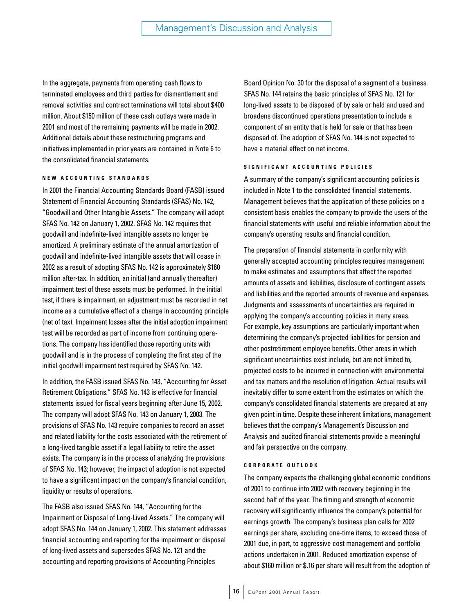In the aggregate, payments from operating cash flows to terminated employees and third parties for dismantlement and removal activities and contract terminations will total about \$400 million. About \$150 million of these cash outlays were made in 2001 and most of the remaining payments will be made in 2002. Additional details about these restructuring programs and initiatives implemented in prior years are contained in Note 6 to the consolidated financial statements.

#### **NEW ACCOUNTING STANDARDS**

In 2001 the Financial Accounting Standards Board (FASB) issued Statement of Financial Accounting Standards (SFAS) No. 142, "Goodwill and Other Intangible Assets." The company will adopt SFAS No. 142 on January 1, 2002. SFAS No. 142 requires that goodwill and indefinite-lived intangible assets no longer be amortized. A preliminary estimate of the annual amortization of goodwill and indefinite-lived intangible assets that will cease in 2002 as a result of adopting SFAS No. 142 is approximately \$160 million after-tax. In addition, an initial (and annually thereafter) impairment test of these assets must be performed. In the initial test, if there is impairment, an adjustment must be recorded in net income as a cumulative effect of a change in accounting principle (net of tax). Impairment losses after the initial adoption impairment test will be recorded as part of income from continuing operations. The company has identified those reporting units with goodwill and is in the process of completing the first step of the initial goodwill impairment test required by SFAS No. 142.

In addition, the FASB issued SFAS No. 143, "Accounting for Asset Retirement Obligations." SFAS No. 143 is effective for financial statements issued for fiscal years beginning after June 15, 2002. The company will adopt SFAS No. 143 on January 1, 2003. The provisions of SFAS No. 143 require companies to record an asset and related liability for the costs associated with the retirement of a long-lived tangible asset if a legal liability to retire the asset exists. The company is in the process of analyzing the provisions of SFAS No. 143; however, the impact of adoption is not expected to have a significant impact on the company's financial condition, liquidity or results of operations.

The FASB also issued SFAS No. 144, "Accounting for the Impairment or Disposal of Long-Lived Assets." The company will adopt SFAS No. 144 on January 1, 2002. This statement addresses financial accounting and reporting for the impairment or disposal of long-lived assets and supersedes SFAS No. 121 and the accounting and reporting provisions of Accounting Principles

Board Opinion No. 30 for the disposal of a segment of a business. SFAS No. 144 retains the basic principles of SFAS No. 121 for long-lived assets to be disposed of by sale or held and used and broadens discontinued operations presentation to include a component of an entity that is held for sale or that has been disposed of. The adoption of SFAS No. 144 is not expected to have a material effect on net income.

#### **SIGNIFICANT ACCOUNTING POLICIES**

A summary of the company's significant accounting policies is included in Note 1 to the consolidated financial statements. Management believes that the application of these policies on a consistent basis enables the company to provide the users of the financial statements with useful and reliable information about the company's operating results and financial condition.

The preparation of financial statements in conformity with generally accepted accounting principles requires management to make estimates and assumptions that affect the reported amounts of assets and liabilities, disclosure of contingent assets and liabilities and the reported amounts of revenue and expenses. Judgments and assessments of uncertainties are required in applying the company's accounting policies in many areas. For example, key assumptions are particularly important when determining the company's projected liabilities for pension and other postretirement employee benefits. Other areas in which significant uncertainties exist include, but are not limited to, projected costs to be incurred in connection with environmental and tax matters and the resolution of litigation. Actual results will inevitably differ to some extent from the estimates on which the company's consolidated financial statements are prepared at any given point in time. Despite these inherent limitations, management believes that the company's Management's Discussion and Analysis and audited financial statements provide a meaningful and fair perspective on the company.

#### **CORPORATE OUTLOOK**

The company expects the challenging global economic conditions of 2001 to continue into 2002 with recovery beginning in the second half of the year. The timing and strength of economic recovery will significantly influence the company's potential for earnings growth. The company's business plan calls for 2002 earnings per share, excluding one-time items, to exceed those of 2001 due, in part, to aggressive cost management and portfolio actions undertaken in 2001. Reduced amortization expense of about \$160 million or \$.16 per share will result from the adoption of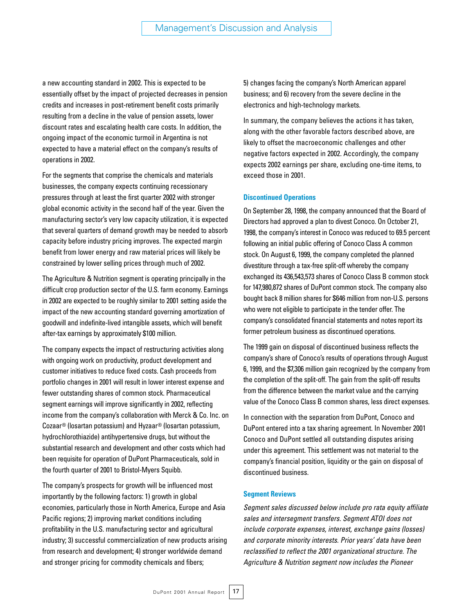a new accounting standard in 2002. This is expected to be essentially offset by the impact of projected decreases in pension credits and increases in post-retirement benefit costs primarily resulting from a decline in the value of pension assets, lower discount rates and escalating health care costs. In addition, the ongoing impact of the economic turmoil in Argentina is not expected to have a material effect on the company's results of operations in 2002.

For the segments that comprise the chemicals and materials businesses, the company expects continuing recessionary pressures through at least the first quarter 2002 with stronger global economic activity in the second half of the year. Given the manufacturing sector's very low capacity utilization, it is expected that several quarters of demand growth may be needed to absorb capacity before industry pricing improves. The expected margin benefit from lower energy and raw material prices will likely be constrained by lower selling prices through much of 2002.

The Agriculture & Nutrition segment is operating principally in the difficult crop production sector of the U.S. farm economy. Earnings in 2002 are expected to be roughly similar to 2001 setting aside the impact of the new accounting standard governing amortization of goodwill and indefinite-lived intangible assets, which will benefit after-tax earnings by approximately \$100 million.

The company expects the impact of restructuring activities along with ongoing work on productivity, product development and customer initiatives to reduce fixed costs. Cash proceeds from portfolio changes in 2001 will result in lower interest expense and fewer outstanding shares of common stock. Pharmaceutical segment earnings will improve significantly in 2002, reflecting income from the company's collaboration with Merck & Co. Inc. on Cozaar® (losartan potassium) and Hyzaar® (losartan potassium, hydrochlorothiazide) antihypertensive drugs, but without the substantial research and development and other costs which had been requisite for operation of DuPont Pharmaceuticals, sold in the fourth quarter of 2001 to Bristol-Myers Squibb.

The company's prospects for growth will be influenced most importantly by the following factors: 1) growth in global economies, particularly those in North America, Europe and Asia Pacific regions; 2) improving market conditions including profitability in the U.S. manufacturing sector and agricultural industry; 3) successful commercialization of new products arising from research and development; 4) stronger worldwide demand and stronger pricing for commodity chemicals and fibers;

5) changes facing the company's North American apparel business; and 6) recovery from the severe decline in the electronics and high-technology markets.

In summary, the company believes the actions it has taken, along with the other favorable factors described above, are likely to offset the macroeconomic challenges and other negative factors expected in 2002. Accordingly, the company expects 2002 earnings per share, excluding one-time items, to exceed those in 2001.

#### **Discontinued Operations**

On September 28, 1998, the company announced that the Board of Directors had approved a plan to divest Conoco. On October 21, 1998, the company's interest in Conoco was reduced to 69.5 percent following an initial public offering of Conoco Class A common stock. On August 6, 1999, the company completed the planned divestiture through a tax-free split-off whereby the company exchanged its 436,543,573 shares of Conoco Class B common stock for 147,980,872 shares of DuPont common stock. The company also bought back 8 million shares for \$646 million from non-U.S. persons who were not eligible to participate in the tender offer. The company's consolidated financial statements and notes report its former petroleum business as discontinued operations.

The 1999 gain on disposal of discontinued business reflects the company's share of Conoco's results of operations through August 6, 1999, and the \$7,306 million gain recognized by the company from the completion of the split-off. The gain from the split-off results from the difference between the market value and the carrying value of the Conoco Class B common shares, less direct expenses.

In connection with the separation from DuPont, Conoco and DuPont entered into a tax sharing agreement. In November 2001 Conoco and DuPont settled all outstanding disputes arising under this agreement. This settlement was not material to the company's financial position, liquidity or the gain on disposal of discontinued business.

#### **Segment Reviews**

*Segment sales discussed below include pro rata equity affiliate sales and intersegment transfers. Segment ATOI does not include corporate expenses, interest, exchange gains (losses) and corporate minority interests. Prior years' data have been reclassified to reflect the 2001 organizational structure. The Agriculture & Nutrition segment now includes the Pioneer*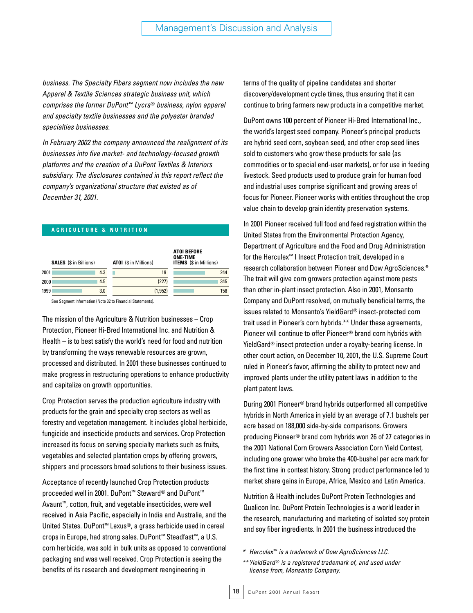*business. The Specialty Fibers segment now includes the new Apparel & Textile Sciences strategic business unit, which comprises the former DuPont* ™ *Lycra*® *business, nylon apparel and specialty textile businesses and the polyester branded specialties businesses.*

*In February 2002 the company announced the realignment of its businesses into five market- and technology-focused growth platforms and the creation of a DuPont Textiles & Interiors subsidiary. The disclosures contained in this report reflect the company's organizational structure that existed as of December 31, 2001.*

#### **AGRICULTURE & NUTRITION**



See Segment Information (Note 32 to Financial Statements).

The mission of the Agriculture & Nutrition businesses – Crop Protection, Pioneer Hi-Bred International Inc. and Nutrition & Health – is to best satisfy the world's need for food and nutrition by transforming the ways renewable resources are grown, processed and distributed. In 2001 these businesses continued to make progress in restructuring operations to enhance productivity and capitalize on growth opportunities.

Crop Protection serves the production agriculture industry with products for the grain and specialty crop sectors as well as forestry and vegetation management. It includes global herbicide, fungicide and insecticide products and services. Crop Protection increased its focus on serving specialty markets such as fruits, vegetables and selected plantation crops by offering growers, shippers and processors broad solutions to their business issues.

Acceptance of recently launched Crop Protection products proceeded well in 2001. DuPont™ Steward® and DuPont™ Avaunt™, cotton, fruit, and vegetable insecticides, were well received in Asia Pacific, especially in India and Australia, and the United States. DuPont™ Lexus®, a grass herbicide used in cereal crops in Europe, had strong sales. DuPont™ Steadfast™, a U.S. corn herbicide, was sold in bulk units as opposed to conventional packaging and was well received. Crop Protection is seeing the benefits of its research and development reengineering in

terms of the quality of pipeline candidates and shorter discovery/development cycle times, thus ensuring that it can continue to bring farmers new products in a competitive market.

DuPont owns 100 percent of Pioneer Hi-Bred International Inc., the world's largest seed company. Pioneer's principal products are hybrid seed corn, soybean seed, and other crop seed lines sold to customers who grow these products for sale (as commodities or to special end-user markets), or for use in feeding livestock. Seed products used to produce grain for human food and industrial uses comprise significant and growing areas of focus for Pioneer. Pioneer works with entities throughout the crop value chain to develop grain identity preservation systems.

In 2001 Pioneer received full food and feed registration within the United States from the Environmental Protection Agency, Department of Agriculture and the Food and Drug Administration for the Herculex™ I Insect Protection trait, developed in a research collaboration between Pioneer and Dow AgroSciences.\* The trait will give corn growers protection against more pests than other in-plant insect protection. Also in 2001, Monsanto Company and DuPont resolved, on mutually beneficial terms, the issues related to Monsanto's YieldGard® insect-protected corn trait used in Pioneer's corn hybrids.\*\* Under these agreements, Pioneer will continue to offer Pioneer® brand corn hybrids with YieldGard® insect protection under a royalty-bearing license. In other court action, on December 10, 2001, the U.S. Supreme Court ruled in Pioneer's favor, affirming the ability to protect new and improved plants under the utility patent laws in addition to the plant patent laws.

During 2001 Pioneer® brand hybrids outperformed all competitive hybrids in North America in yield by an average of 7.1 bushels per acre based on 188,000 side-by-side comparisons. Growers producing Pioneer® brand corn hybrids won 26 of 27 categories in the 2001 National Corn Growers Association Corn Yield Contest, including one grower who broke the 400-bushel per acre mark for the first time in contest history. Strong product performance led to market share gains in Europe, Africa, Mexico and Latin America.

Nutrition & Health includes DuPont Protein Technologies and Qualicon Inc. DuPont Protein Technologies is a world leader in the research, manufacturing and marketing of isolated soy protein and soy fiber ingredients. In 2001 the business introduced the

- *\* Herculex*™ *is a trademark of Dow AgroSciences LLC.*
- *\*\* YieldGard* ® *is a registered trademark of, and used under license from, Monsanto Company.*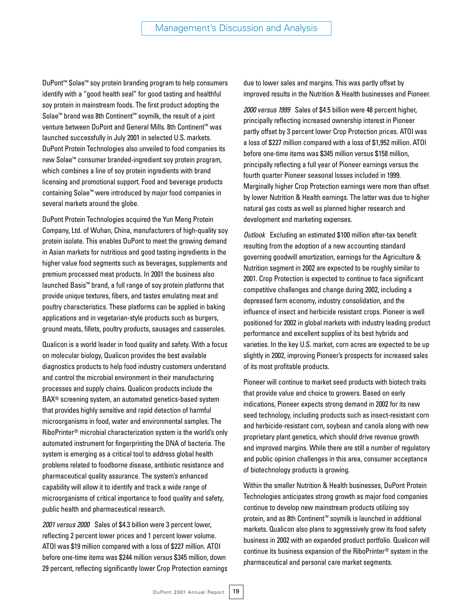DuPont™ Solae™ soy protein branding program to help consumers identify with a "good health seal" for good tasting and healthful soy protein in mainstream foods. The first product adopting the Solae™ brand was 8th Continent™ soymilk, the result of a joint venture between DuPont and General Mills. 8th Continent™ was launched successfully in July 2001 in selected U.S. markets. DuPont Protein Technologies also unveiled to food companies its new Solae™ consumer branded-ingredient soy protein program, which combines a line of soy protein ingredients with brand licensing and promotional support. Food and beverage products containing Solae™ were introduced by major food companies in several markets around the globe.

DuPont Protein Technologies acquired the Yun Meng Protein Company, Ltd. of Wuhan, China, manufacturers of high-quality soy protein isolate. This enables DuPont to meet the growing demand in Asian markets for nutritious and good tasting ingredients in the higher value food segments such as beverages, supplements and premium processed meat products. In 2001 the business also launched Basis™ brand, a full range of soy protein platforms that provide unique textures, fibers, and tastes emulating meat and poultry characteristics. These platforms can be applied in baking applications and in vegetarian-style products such as burgers, ground meats, fillets, poultry products, sausages and casseroles.

Qualicon is a world leader in food quality and safety. With a focus on molecular biology, Qualicon provides the best available diagnostics products to help food industry customers understand and control the microbial environment in their manufacturing processes and supply chains. Qualicon products include the BAX® screening system, an automated genetics-based system that provides highly sensitive and rapid detection of harmful microorganisms in food, water and environmental samples. The RiboPrinter® microbial characterization system is the world's only automated instrument for fingerprinting the DNA of bacteria. The system is emerging as a critical tool to address global health problems related to foodborne disease, antibiotic resistance and pharmaceutical quality assurance. The system's enhanced capability will allow it to identify and track a wide range of microorganisms of critical importance to food quality and safety, public health and pharmaceutical research.

*2001 versus 2000* Sales of \$4.3 billion were 3 percent lower, reflecting 2 percent lower prices and 1 percent lower volume. ATOI was \$19 million compared with a loss of \$227 million. ATOI before one-time items was \$244 million versus \$345 million, down 29 percent, reflecting significantly lower Crop Protection earnings

due to lower sales and margins. This was partly offset by improved results in the Nutrition & Health businesses and Pioneer.

*2000 versus 1999* Sales of \$4.5 billion were 48 percent higher, principally reflecting increased ownership interest in Pioneer partly offset by 3 percent lower Crop Protection prices. ATOI was a loss of \$227 million compared with a loss of \$1,952 million. ATOI before one-time items was \$345 million versus \$158 million, principally reflecting a full year of Pioneer earnings versus the fourth quarter Pioneer seasonal losses included in 1999. Marginally higher Crop Protection earnings were more than offset by lower Nutrition & Health earnings. The latter was due to higher natural gas costs as well as planned higher research and development and marketing expenses.

*Outlook* Excluding an estimated \$100 million after-tax benefit resulting from the adoption of a new accounting standard governing goodwill amortization, earnings for the Agriculture & Nutrition segment in 2002 are expected to be roughly similar to 2001. Crop Protection is expected to continue to face significant competitive challenges and change during 2002, including a depressed farm economy, industry consolidation, and the influence of insect and herbicide resistant crops. Pioneer is well positioned for 2002 in global markets with industry leading product performance and excellent supplies of its best hybrids and varieties. In the key U.S. market, corn acres are expected to be up slightly in 2002, improving Pioneer's prospects for increased sales of its most profitable products.

Pioneer will continue to market seed products with biotech traits that provide value and choice to growers. Based on early indications, Pioneer expects strong demand in 2002 for its new seed technology, including products such as insect-resistant corn and herbicide-resistant corn, soybean and canola along with new proprietary plant genetics, which should drive revenue growth and improved margins. While there are still a number of regulatory and public opinion challenges in this area, consumer acceptance of biotechnology products is growing.

Within the smaller Nutrition & Health businesses, DuPont Protein Technologies anticipates strong growth as major food companies continue to develop new mainstream products utilizing soy protein, and as 8th Continent™ soymilk is launched in additional markets. Qualicon also plans to aggressively grow its food safety business in 2002 with an expanded product portfolio. Qualicon will continue its business expansion of the RiboPrinter® system in the pharmaceutical and personal care market segments.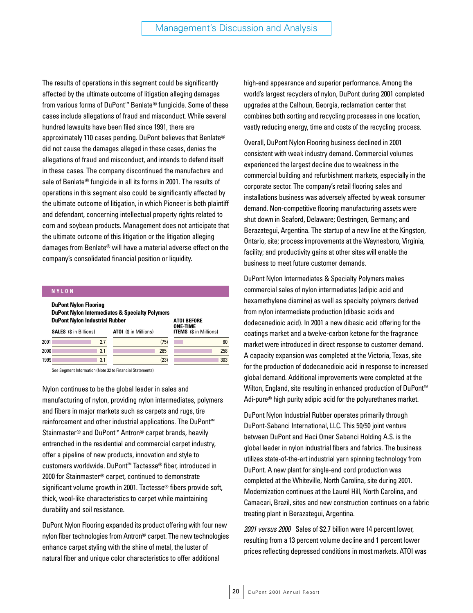The results of operations in this segment could be significantly affected by the ultimate outcome of litigation alleging damages from various forms of DuPont™ Benlate® fungicide. Some of these cases include allegations of fraud and misconduct. While several hundred lawsuits have been filed since 1991, there are approximately 110 cases pending. DuPont believes that Benlate® did not cause the damages alleged in these cases, denies the allegations of fraud and misconduct, and intends to defend itself in these cases. The company discontinued the manufacture and sale of Benlate® fungicide in all its forms in 2001. The results of operations in this segment also could be significantly affected by the ultimate outcome of litigation, in which Pioneer is both plaintiff and defendant, concerning intellectual property rights related to corn and soybean products. Management does not anticipate that the ultimate outcome of this litigation or the litigation alleging damages from Benlate® will have a material adverse effect on the company's consolidated financial position or liquidity.

#### **NYLON**

1999

#### **DuPont Nylon Flooring DuPont Nylon Intermediates & Specialty Polymers DuPont Nylon Industrial Rubber SALES** (\$ in Billions) **ATOI** (\$ in Millions) 2001 2000 2.7 3.1 (75) 285 **ATOI BEFORE ONE-TIME ITEMS** (\$ in Millions)

(23)

60 258 303

3.1 See Segment Information (Note 32 to Financial Statements).

Nylon continues to be the global leader in sales and manufacturing of nylon, providing nylon intermediates, polymers and fibers in major markets such as carpets and rugs, tire reinforcement and other industrial applications. The DuPont™ Stainmaster® and DuPont™ Antron® carpet brands, heavily entrenched in the residential and commercial carpet industry, offer a pipeline of new products, innovation and style to customers worldwide. DuPont™ Tactesse® fiber, introduced in 2000 for Stainmaster® carpet, continued to demonstrate significant volume growth in 2001. Tactesse® fibers provide soft, thick, wool-like characteristics to carpet while maintaining durability and soil resistance.

DuPont Nylon Flooring expanded its product offering with four new nylon fiber technologies from Antron® carpet. The new technologies enhance carpet styling with the shine of metal, the luster of natural fiber and unique color characteristics to offer additional

high-end appearance and superior performance. Among the world's largest recyclers of nylon, DuPont during 2001 completed upgrades at the Calhoun, Georgia, reclamation center that combines both sorting and recycling processes in one location, vastly reducing energy, time and costs of the recycling process.

Overall, DuPont Nylon Flooring business declined in 2001 consistent with weak industry demand. Commercial volumes experienced the largest decline due to weakness in the commercial building and refurbishment markets, especially in the corporate sector. The company's retail flooring sales and installations business was adversely affected by weak consumer demand. Non-competitive flooring manufacturing assets were shut down in Seaford, Delaware; Oestringen, Germany; and Berazategui, Argentina. The startup of a new line at the Kingston, Ontario, site; process improvements at the Waynesboro, Virginia, facility; and productivity gains at other sites will enable the business to meet future customer demands.

DuPont Nylon Intermediates & Specialty Polymers makes commercial sales of nylon intermediates (adipic acid and hexamethylene diamine) as well as specialty polymers derived from nylon intermediate production (dibasic acids and dodecanedioic acid). In 2001 a new dibasic acid offering for the coatings market and a twelve-carbon ketone for the fragrance market were introduced in direct response to customer demand. A capacity expansion was completed at the Victoria, Texas, site for the production of dodecanedioic acid in response to increased global demand. Additional improvements were completed at the Wilton, England, site resulting in enhanced production of DuPont™ Adi-pure® high purity adipic acid for the polyurethanes market.

DuPont Nylon Industrial Rubber operates primarily through DuPont-Sabanci International, LLC. This 50/50 joint venture between DuPont and Haci Omer Sabanci Holding A.S. is the global leader in nylon industrial fibers and fabrics. The business utilizes state-of-the-art industrial yarn spinning technology from DuPont. A new plant for single-end cord production was completed at the Whiteville, North Carolina, site during 2001. Modernization continues at the Laurel Hill, North Carolina, and Camacari, Brazil, sites and new construction continues on a fabric treating plant in Berazategui, Argentina.

*2001 versus 2000* Sales of \$2.7 billion were 14 percent lower, resulting from a 13 percent volume decline and 1 percent lower prices reflecting depressed conditions in most markets. ATOI was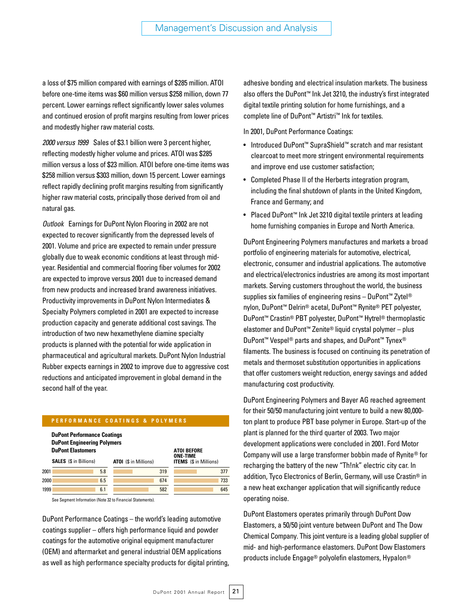a loss of \$75 million compared with earnings of \$285 million. ATOI before one-time items was \$60 million versus \$258 million, down 77 percent. Lower earnings reflect significantly lower sales volumes and continued erosion of profit margins resulting from lower prices and modestly higher raw material costs.

*2000 versus 1999* Sales of \$3.1 billion were 3 percent higher, reflecting modestly higher volume and prices. ATOI was \$285 million versus a loss of \$23 million. ATOI before one-time items was \$258 million versus \$303 million, down 15 percent. Lower earnings reflect rapidly declining profit margins resulting from significantly higher raw material costs, principally those derived from oil and natural gas.

*Outlook* Earnings for DuPont Nylon Flooring in 2002 are not expected to recover significantly from the depressed levels of 2001. Volume and price are expected to remain under pressure globally due to weak economic conditions at least through midyear. Residential and commercial flooring fiber volumes for 2002 are expected to improve versus 2001 due to increased demand from new products and increased brand awareness initiatives. Productivity improvements in DuPont Nylon Intermediates & Specialty Polymers completed in 2001 are expected to increase production capacity and generate additional cost savings. The introduction of two new hexamethylene diamine specialty products is planned with the potential for wide application in pharmaceutical and agricultural markets. DuPont Nylon Industrial Rubber expects earnings in 2002 to improve due to aggressive cost reductions and anticipated improvement in global demand in the second half of the year.

#### **PERFORMANCE COATINGS & POLYMERS**

|      | <b>DuPont Performance Coatings</b><br><b>DuPont Engineering Polymers</b><br><b>DuPont Elastomers</b><br>ATOI BEFORE<br><b>ONE-TIME</b> |                       |     |                               |  |  |  |
|------|----------------------------------------------------------------------------------------------------------------------------------------|-----------------------|-----|-------------------------------|--|--|--|
|      | <b>SALES</b> (\$ in Billions)                                                                                                          | ATOI (\$ in Millions) |     | <b>ITEMS</b> (\$ in Millions) |  |  |  |
| 2001 | 5.8                                                                                                                                    |                       | 319 | 377                           |  |  |  |
| 2000 | 6.5                                                                                                                                    |                       | 674 | 733                           |  |  |  |
| 1999 | 6.1                                                                                                                                    |                       | 582 | 645                           |  |  |  |

See Segment Information (Note 32 to Financial Statements).

DuPont Performance Coatings – the world's leading automotive coatings supplier – offers high performance liquid and powder coatings for the automotive original equipment manufacturer (OEM) and aftermarket and general industrial OEM applications as well as high performance specialty products for digital printing,

adhesive bonding and electrical insulation markets. The business also offers the DuPont™ Ink Jet 3210, the industry's first integrated digital textile printing solution for home furnishings, and a complete line of DuPont™ Artistri™ Ink for textiles.

In 2001, DuPont Performance Coatings:

- Introduced DuPont™ SupraShield™ scratch and mar resistant clearcoat to meet more stringent environmental requirements and improve end use customer satisfaction;
- Completed Phase II of the Herberts integration program, including the final shutdown of plants in the United Kingdom, France and Germany; and
- Placed DuPont™ Ink Jet 3210 digital textile printers at leading home furnishing companies in Europe and North America.

DuPont Engineering Polymers manufactures and markets a broad portfolio of engineering materials for automotive, electrical, electronic, consumer and industrial applications. The automotive and electrical/electronics industries are among its most important markets. Serving customers throughout the world, the business supplies six families of engineering resins – DuPont™ Zytel<sup>®</sup> nylon, DuPont™ Delrin® acetal, DuPont™ Rynite® PET polyester, DuPont™ Crastin® PBT polyester, DuPont™ Hytrel® thermoplastic elastomer and DuPont™ Zenite® liquid crystal polymer – plus DuPont™ Vespel® parts and shapes, and DuPont™ Tynex® filaments. The business is focused on continuing its penetration of metals and thermoset substitution opportunities in applications that offer customers weight reduction, energy savings and added manufacturing cost productivity.

DuPont Engineering Polymers and Bayer AG reached agreement for their 50/50 manufacturing joint venture to build a new 80,000 ton plant to produce PBT base polymer in Europe. Start-up of the plant is planned for the third quarter of 2003. Two major development applications were concluded in 2001. Ford Motor Company will use a large transformer bobbin made of Rynite® for recharging the battery of the new "Th!nk" electric city car. In addition, Tyco Electronics of Berlin, Germany, will use Crastin® in a new heat exchanger application that will significantly reduce operating noise.

DuPont Elastomers operates primarily through DuPont Dow Elastomers, a 50/50 joint venture between DuPont and The Dow Chemical Company. This joint venture is a leading global supplier of mid- and high-performance elastomers. DuPont Dow Elastomers products include Engage® polyolefin elastomers, Hypalon®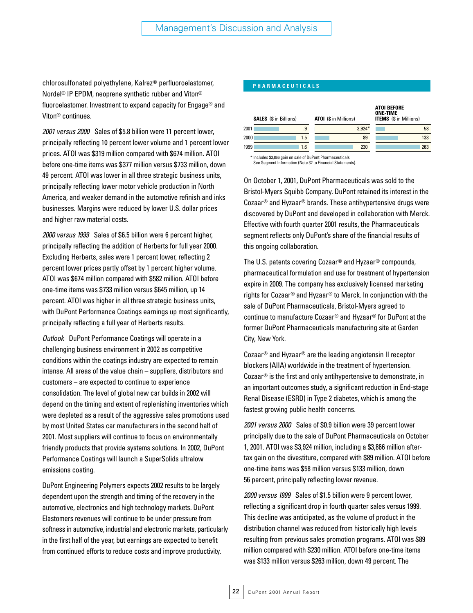chlorosulfonated polyethylene, Kalrez® perfluoroelastomer, Nordel® IP EPDM, neoprene synthetic rubber and Viton® fluoroelastomer. Investment to expand capacity for Engage® and Viton® continues.

*2001 versus 2000* Sales of \$5.8 billion were 11 percent lower, principally reflecting 10 percent lower volume and 1 percent lower prices. ATOI was \$319 million compared with \$674 million. ATOI before one-time items was \$377 million versus \$733 million, down 49 percent. ATOI was lower in all three strategic business units, principally reflecting lower motor vehicle production in North America, and weaker demand in the automotive refinish and inks businesses. Margins were reduced by lower U.S. dollar prices and higher raw material costs.

*2000 versus 1999* Sales of \$6.5 billion were 6 percent higher, principally reflecting the addition of Herberts for full year 2000. Excluding Herberts, sales were 1 percent lower, reflecting 2 percent lower prices partly offset by 1 percent higher volume. ATOI was \$674 million compared with \$582 million. ATOI before one-time items was \$733 million versus \$645 million, up 14 percent. ATOI was higher in all three strategic business units, with DuPont Performance Coatings earnings up most significantly, principally reflecting a full year of Herberts results.

*Outlook* DuPont Performance Coatings will operate in a challenging business environment in 2002 as competitive conditions within the coatings industry are expected to remain intense. All areas of the value chain – suppliers, distributors and customers – are expected to continue to experience consolidation. The level of global new car builds in 2002 will depend on the timing and extent of replenishing inventories which were depleted as a result of the aggressive sales promotions used by most United States car manufacturers in the second half of 2001. Most suppliers will continue to focus on environmentally friendly products that provide systems solutions. In 2002, DuPont Performance Coatings will launch a SuperSolids ultralow emissions coating.

DuPont Engineering Polymers expects 2002 results to be largely dependent upon the strength and timing of the recovery in the automotive, electronics and high technology markets. DuPont Elastomers revenues will continue to be under pressure from softness in automotive, industrial and electronic markets, particularly in the first half of the year, but earnings are expected to benefit from continued efforts to reduce costs and improve productivity.

#### **PHARMACEUTICALS**

|      | <b>SALES</b> (\$ in Billions) |     | <b>ATOI</b> (\$ in Millions) | <b>ATOI BEFORE</b><br><b>ONE-TIME</b><br><b>ITEMS</b> (\$ in Millions) |
|------|-------------------------------|-----|------------------------------|------------------------------------------------------------------------|
| 2001 |                               | .9  | $3.924*$                     | 58                                                                     |
| 2000 |                               | 1.5 | 89                           | 133                                                                    |
| 1999 |                               | 1.6 | 230                          | 263                                                                    |
|      |                               |     |                              |                                                                        |

\* Includes \$3,866 gain on sale of DuPont Pharmaceuticals See Segment Information (Note 32 to Financial Statements).

On October 1, 2001, DuPont Pharmaceuticals was sold to the Bristol-Myers Squibb Company. DuPont retained its interest in the Cozaar® and Hyzaar® brands. These antihypertensive drugs were discovered by DuPont and developed in collaboration with Merck. Effective with fourth quarter 2001 results, the Pharmaceuticals segment reflects only DuPont's share of the financial results of this ongoing collaboration.

The U.S. patents covering Cozaar® and Hyzaar® compounds, pharmaceutical formulation and use for treatment of hypertension expire in 2009. The company has exclusively licensed marketing rights for Cozaar® and Hyzaar® to Merck. In conjunction with the sale of DuPont Pharmaceuticals, Bristol-Myers agreed to continue to manufacture Cozaar® and Hyzaar® for DuPont at the former DuPont Pharmaceuticals manufacturing site at Garden City, New York.

Cozaar® and Hyzaar® are the leading angiotensin II receptor blockers (AIIA) worldwide in the treatment of hypertension. Cozaar® is the first and only antihypertensive to demonstrate, in an important outcomes study, a significant reduction in End-stage Renal Disease (ESRD) in Type 2 diabetes, which is among the fastest growing public health concerns.

*2001 versus 2000* Sales of \$0.9 billion were 39 percent lower principally due to the sale of DuPont Pharmaceuticals on October 1, 2001. ATOI was \$3,924 million, including a \$3,866 million aftertax gain on the divestiture, compared with \$89 million. ATOI before one-time items was \$58 million versus \$133 million, down 56 percent, principally reflecting lower revenue.

*2000 versus 1999* Sales of \$1.5 billion were 9 percent lower, reflecting a significant drop in fourth quarter sales versus 1999. This decline was anticipated, as the volume of product in the distribution channel was reduced from historically high levels resulting from previous sales promotion programs. ATOI was \$89 million compared with \$230 million. ATOI before one-time items was \$133 million versus \$263 million, down 49 percent. The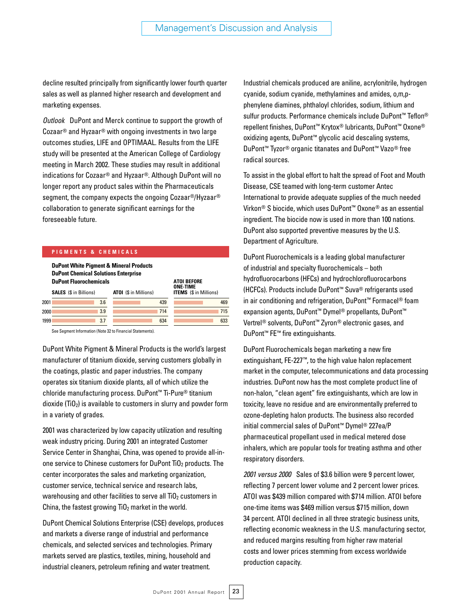decline resulted principally from significantly lower fourth quarter sales as well as planned higher research and development and marketing expenses.

*Outlook* DuPont and Merck continue to support the growth of Cozaar® and Hyzaar® with ongoing investments in two large outcomes studies, LIFE and OPTIMAAL. Results from the LIFE study will be presented at the American College of Cardiology meeting in March 2002. These studies may result in additional indications for Cozaar® and Hyzaar®. Although DuPont will no longer report any product sales within the Pharmaceuticals segment, the company expects the ongoing Cozaar®/Hyzaar® collaboration to generate significant earnings for the foreseeable future.

#### **PIGMENTS & CHEMICALS**

|      | <b>DuPont White Pigment &amp; Mineral Products</b><br><b>DuPont Chemical Solutions Enterprise</b><br><b>DuPont Fluorochemicals</b><br>ATOI BEFORE |  |                              |     |                                                  |     |  |  |
|------|---------------------------------------------------------------------------------------------------------------------------------------------------|--|------------------------------|-----|--------------------------------------------------|-----|--|--|
|      | <b>SALES</b> (\$ in Billions)                                                                                                                     |  | <b>ATOI</b> (\$ in Millions) |     | <b>ONE-TIME</b><br><b>ITEMS</b> (\$ in Millions) |     |  |  |
| 2001 | 3.6                                                                                                                                               |  |                              | 439 |                                                  | 469 |  |  |
| 2000 | 3.9                                                                                                                                               |  |                              | 714 |                                                  | 715 |  |  |
| 1999 | 37                                                                                                                                                |  |                              | 634 |                                                  | 633 |  |  |

See Segment Information (Note 32 to Financial Statements).

DuPont White Pigment & Mineral Products is the world's largest manufacturer of titanium dioxide, serving customers globally in the coatings, plastic and paper industries. The company operates six titanium dioxide plants, all of which utilize the chloride manufacturing process. DuPont™ Ti-Pure® titanium dioxide ( $T_1O_2$ ) is available to customers in slurry and powder form in a variety of grades.

2001 was characterized by low capacity utilization and resulting weak industry pricing. During 2001 an integrated Customer Service Center in Shanghai, China, was opened to provide all-inone service to Chinese customers for DuPont TiO<sub>2</sub> products. The center incorporates the sales and marketing organization, customer service, technical service and research labs, warehousing and other facilities to serve all  $TiO<sub>2</sub>$  customers in China, the fastest growing  $TiO<sub>2</sub>$  market in the world.

DuPont Chemical Solutions Enterprise (CSE) develops, produces and markets a diverse range of industrial and performance chemicals, and selected services and technologies. Primary markets served are plastics, textiles, mining, household and industrial cleaners, petroleum refining and water treatment.

Industrial chemicals produced are aniline, acrylonitrile, hydrogen cyanide, sodium cyanide, methylamines and amides, o,m,pphenylene diamines, phthaloyl chlorides, sodium, lithium and sulfur products. Performance chemicals include DuPont™ Teflon® repellent finishes, DuPont™ Krytox® lubricants, DuPont™ Oxone® oxidizing agents, DuPont™ glycolic acid descaling systems, DuPont™ Tyzor® organic titanates and DuPont™ Vazo® free radical sources.

To assist in the global effort to halt the spread of Foot and Mouth Disease, CSE teamed with long-term customer Antec International to provide adequate supplies of the much needed Virkon® S biocide, which uses DuPont™ Oxone® as an essential ingredient. The biocide now is used in more than 100 nations. DuPont also supported preventive measures by the U.S. Department of Agriculture.

DuPont Fluorochemicals is a leading global manufacturer of industrial and specialty fluorochemicals – both hydrofluorocarbons (HFCs) and hydrochlorofluorocarbons (HCFCs). Products include DuPont™ Suva® refrigerants used in air conditioning and refrigeration, DuPont™ Formacel® foam expansion agents, DuPont™ Dymel® propellants, DuPont™ Vertrel® solvents, DuPont™ Zyron® electronic gases, and DuPont™ FE™ fire extinguishants.

DuPont Fluorochemicals began marketing a new fire extinguishant, FE-227™, to the high value halon replacement market in the computer, telecommunications and data processing industries. DuPont now has the most complete product line of non-halon, "clean agent" fire extinguishants, which are low in toxicity, leave no residue and are environmentally preferred to ozone-depleting halon products. The business also recorded initial commercial sales of DuPont™ Dymel® 227ea/P pharmaceutical propellant used in medical metered dose inhalers, which are popular tools for treating asthma and other respiratory disorders.

*2001 versus 2000* Sales of \$3.6 billion were 9 percent lower, reflecting 7 percent lower volume and 2 percent lower prices. ATOI was \$439 million compared with \$714 million. ATOI before one-time items was \$469 million versus \$715 million, down 34 percent. ATOI declined in all three strategic business units, reflecting economic weakness in the U.S. manufacturing sector, and reduced margins resulting from higher raw material costs and lower prices stemming from excess worldwide production capacity.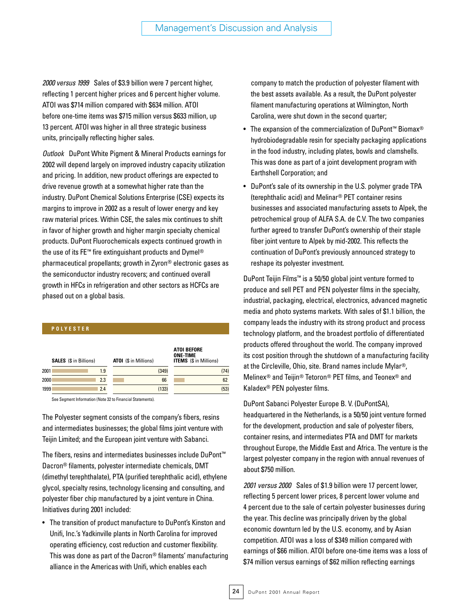*2000 versus 1999* Sales of \$3.9 billion were 7 percent higher, reflecting 1 percent higher prices and 6 percent higher volume. ATOI was \$714 million compared with \$634 million. ATOI before one-time items was \$715 million versus \$633 million, up 13 percent. ATOI was higher in all three strategic business units, principally reflecting higher sales.

*Outlook* DuPont White Pigment & Mineral Products earnings for 2002 will depend largely on improved industry capacity utilization and pricing. In addition, new product offerings are expected to drive revenue growth at a somewhat higher rate than the industry. DuPont Chemical Solutions Enterprise (CSE) expects its margins to improve in 2002 as a result of lower energy and key raw material prices. Within CSE, the sales mix continues to shift in favor of higher growth and higher margin specialty chemical products. DuPont Fluorochemicals expects continued growth in the use of its FE™ fire extinguishant products and Dymel® pharmaceutical propellants; growth in Zyron® electronic gases as the semiconductor industry recovers; and continued overall growth in HFCs in refrigeration and other sectors as HCFCs are phased out on a global basis.

#### **POLYESTER**

|      | <b>SALES</b> (\$ in Billions) | ATOI (\$ in Millions) | <b>ATOI BEFORE</b><br><b>ONE-TIME</b><br><b>ITEMS</b> (\$ in Millions) |
|------|-------------------------------|-----------------------|------------------------------------------------------------------------|
| 2001 | 1.9                           | (349)                 | (74)                                                                   |
| 2000 | 2.3                           | 66                    | 62                                                                     |
| 1999 | 2.4                           | (133)                 | (53)                                                                   |

See Segment Information (Note 32 to Financial Statements).

The Polyester segment consists of the company's fibers, resins and intermediates businesses; the global films joint venture with Teijin Limited; and the European joint venture with Sabanci.

The fibers, resins and intermediates businesses include DuPont™ Dacron® filaments, polyester intermediate chemicals, DMT (dimethyl terephthalate), PTA (purified terephthalic acid), ethylene glycol, specialty resins, technology licensing and consulting, and polyester fiber chip manufactured by a joint venture in China. Initiatives during 2001 included:

• The transition of product manufacture to DuPont's Kinston and Unifi, Inc.'s Yadkinville plants in North Carolina for improved operating efficiency, cost reduction and customer flexibility. This was done as part of the Dacron® filaments' manufacturing alliance in the Americas with Unifi, which enables each

company to match the production of polyester filament with the best assets available. As a result, the DuPont polyester filament manufacturing operations at Wilmington, North Carolina, were shut down in the second quarter;

- The expansion of the commercialization of DuPont™ Biomax® hydrobiodegradable resin for specialty packaging applications in the food industry, including plates, bowls and clamshells. This was done as part of a joint development program with Earthshell Corporation; and
- DuPont's sale of its ownership in the U.S. polymer grade TPA (terephthalic acid) and Melinar® PET container resins businesses and associated manufacturing assets to Alpek, the petrochemical group of ALFA S.A. de C.V. The two companies further agreed to transfer DuPont's ownership of their staple fiber joint venture to Alpek by mid-2002. This reflects the continuation of DuPont's previously announced strategy to reshape its polyester investment.

DuPont Teijin Films™ is a 50/50 global joint venture formed to produce and sell PET and PEN polyester films in the specialty, industrial, packaging, electrical, electronics, advanced magnetic media and photo systems markets. With sales of \$1.1 billion, the company leads the industry with its strong product and process technology platform, and the broadest portfolio of differentiated products offered throughout the world. The company improved its cost position through the shutdown of a manufacturing facility at the Circleville, Ohio, site. Brand names include Mylar®, Melinex® and Teijin® Tetoron® PET films, and Teonex® and Kaladex® PEN polyester films.

DuPont Sabanci Polyester Europe B. V. (DuPontSA), headquartered in the Netherlands, is a 50/50 joint venture formed for the development, production and sale of polyester fibers, container resins, and intermediates PTA and DMT for markets throughout Europe, the Middle East and Africa. The venture is the largest polyester company in the region with annual revenues of about \$750 million.

*2001 versus 2000* Sales of \$1.9 billion were 17 percent lower, reflecting 5 percent lower prices, 8 percent lower volume and 4 percent due to the sale of certain polyester businesses during the year. This decline was principally driven by the global economic downturn led by the U.S. economy, and by Asian competition. ATOI was a loss of \$349 million compared with earnings of \$66 million. ATOI before one-time items was a loss of \$74 million versus earnings of \$62 million reflecting earnings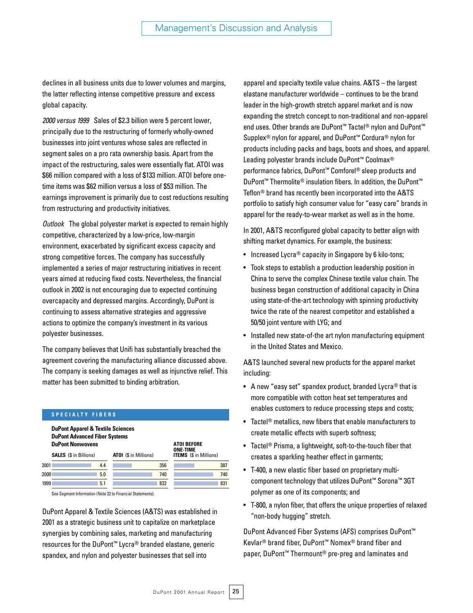declines in all business units due to lower volumes and margins, the latter reflecting intense competitive pressure and excess global capacity.

*2000 versus 1999* Sales of \$2.3 billion were 5 percent lower, principally due to the restructuring of formerly wholly-owned businesses into joint ventures whose sales are reflected in segment sales on a pro rata ownership basis. Apart from the impact of the restructuring, sales were essentially flat. ATOI was \$66 million compared with a loss of \$133 million. ATOI before onetime items was \$62 million versus a loss of \$53 million. The earnings improvement is primarily due to cost reductions resulting from restructuring and productivity initiatives.

*Outlook* The global polyester market is expected to remain highly competitive, characterized by a low-price, low-margin environment, exacerbated by significant excess capacity and strong competitive forces. The company has successfully implemented a series of major restructuring initiatives in recent years aimed at reducing fixed costs. Nevertheless, the financial outlook in 2002 is not encouraging due to expected continuing overcapacity and depressed margins. Accordingly, DuPont is continuing to assess alternative strategies and aggressive actions to optimize the company's investment in its various polyester businesses.

The company believes that Unifi has substantially breached the agreement covering the manufacturing alliance discussed above. The company is seeking damages as well as injunctive relief. This matter has been submitted to binding arbitration.

#### **SPECIALTY FIBERS**

|      | <b>DuPont Apparel &amp; Textile Sciences</b><br><b>DuPont Advanced Fiber Systems</b> |                       |                                |
|------|--------------------------------------------------------------------------------------|-----------------------|--------------------------------|
|      | <b>DuPont Nonwovens</b>                                                              |                       | ATOI BEFORE<br><b>ONE-TIME</b> |
|      | <b>SALES</b> (\$ in Billions)                                                        | ATOI (\$ in Millions) | <b>ITEMS</b> (\$ in Millions)  |
| 2001 | 4.4                                                                                  | 356                   |                                |
| 2000 | 5.0                                                                                  | 740                   |                                |
| 1999 | 5.1                                                                                  | 832                   |                                |

See Segment Information (Note 32 to Financial Statements).

DuPont Apparel & Textile Sciences (A&TS) was established in 2001 as a strategic business unit to capitalize on marketplace synergies by combining sales, marketing and manufacturing resources for the DuPont™ Lycra® branded elastane, generic spandex, and nylon and polyester businesses that sell into

apparel and specialty textile value chains. A&TS – the largest elastane manufacturer worldwide – continues to be the brand leader in the high-growth stretch apparel market and is now expanding the stretch concept to non-traditional and non-apparel end uses. Other brands are DuPont™ Tactel® nylon and DuPont™ Supplex<sup>®</sup> nylon for apparel, and DuPont<sup>™</sup> Cordura<sup>®</sup> nylon for products including packs and bags, boots and shoes, and apparel. Leading polyester brands include DuPont™ Coolmax® performance fabrics, DuPont™ Comforel® sleep products and DuPont™ Thermolite® insulation fibers. In addition, the DuPont™ Teflon® brand has recently been incorporated into the A&TS portfolio to satisfy high consumer value for "easy care" brands in apparel for the ready-to-wear market as well as in the home.

In 2001, A&TS reconfigured global capacity to better align with shifting market dynamics. For example, the business:

- Increased Lycra® capacity in Singapore by 6 kilo-tons;
- Took steps to establish a production leadership position in China to serve the complex Chinese textile value chain. The business began construction of additional capacity in China using state-of-the-art technology with spinning productivity twice the rate of the nearest competitor and established a 50/50 joint venture with LYG; and
- Installed new state-of-the art nylon manufacturing equipment in the United States and Mexico.

A&TS launched several new products for the apparel market including:

- A new "easy set" spandex product, branded Lycra® that is more compatible with cotton heat set temperatures and enables customers to reduce processing steps and costs;
- Tactel® metallics, new fibers that enable manufacturers to create metallic effects with superb softness;
- Tactel® Prisma, a lightweight, soft-to-the-touch fiber that creates a sparkling heather effect in garments;
- T-400, a new elastic fiber based on proprietary multicomponent technology that utilizes DuPont™ Sorona™ 3GT polymer as one of its components; and
- T-800, a nylon fiber, that offers the unique properties of relaxed "non-body hugging" stretch.

DuPont Advanced Fiber Systems (AFS) comprises DuPont™ Kevlar® brand fiber, DuPont™ Nomex® brand fiber and paper, DuPont™ Thermount® pre-preg and laminates and

387 740 831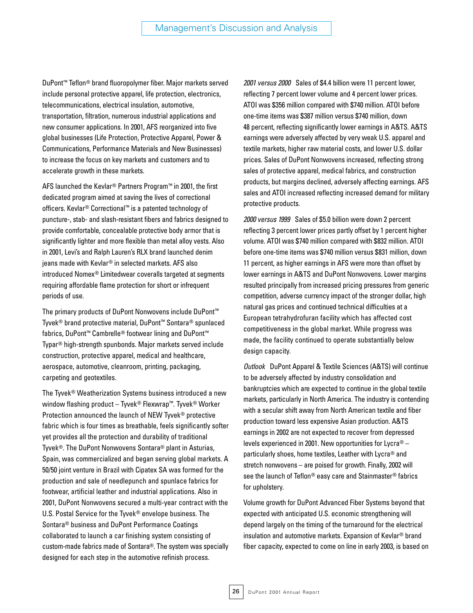DuPont™ Teflon® brand fluoropolymer fiber. Major markets served include personal protective apparel, life protection, electronics, telecommunications, electrical insulation, automotive, transportation, filtration, numerous industrial applications and new consumer applications. In 2001, AFS reorganized into five global businesses (Life Protection, Protective Apparel, Power & Communications, Performance Materials and New Businesses) to increase the focus on key markets and customers and to accelerate growth in these markets.

AFS launched the Kevlar® Partners Program™ in 2001, the first dedicated program aimed at saving the lives of correctional officers. Kevlar® Correctional™ is a patented technology of puncture-, stab- and slash-resistant fibers and fabrics designed to provide comfortable, concealable protective body armor that is significantly lighter and more flexible than metal alloy vests. Also in 2001, Levi's and Ralph Lauren's RLX brand launched denim jeans made with Kevlar® in selected markets. AFS also introduced Nomex® Limitedwear coveralls targeted at segments requiring affordable flame protection for short or infrequent periods of use.

The primary products of DuPont Nonwovens include DuPont™ Tyvek® brand protective material, DuPont™ Sontara® spunlaced fabrics, DuPont<sup>™</sup> Cambrelle<sup>®</sup> footwear lining and DuPont<sup>™</sup> Typar® high-strength spunbonds. Major markets served include construction, protective apparel, medical and healthcare, aerospace, automotive, cleanroom, printing, packaging, carpeting and geotextiles.

The Tyvek® Weatherization Systems business introduced a new window flashing product – Tyvek® Flexwrap™. Tyvek® Worker Protection announced the launch of NEW Tyvek® protective fabric which is four times as breathable, feels significantly softer yet provides all the protection and durability of traditional Tyvek®. The DuPont Nonwovens Sontara® plant in Asturias, Spain, was commercialized and began serving global markets. A 50/50 joint venture in Brazil with Cipatex SA was formed for the production and sale of needlepunch and spunlace fabrics for footwear, artificial leather and industrial applications. Also in 2001, DuPont Nonwovens secured a multi-year contract with the U.S. Postal Service for the Tyvek® envelope business. The Sontara® business and DuPont Performance Coatings collaborated to launch a car finishing system consisting of custom-made fabrics made of Sontara®. The system was specially designed for each step in the automotive refinish process.

*2001 versus 2000* Sales of \$4.4 billion were 11 percent lower, reflecting 7 percent lower volume and 4 percent lower prices. ATOI was \$356 million compared with \$740 million. ATOI before one-time items was \$387 million versus \$740 million, down 48 percent, reflecting significantly lower earnings in A&TS. A&TS earnings were adversely affected by very weak U.S. apparel and textile markets, higher raw material costs, and lower U.S. dollar prices. Sales of DuPont Nonwovens increased, reflecting strong sales of protective apparel, medical fabrics, and construction products, but margins declined, adversely affecting earnings. AFS sales and ATOI increased reflecting increased demand for military protective products.

*2000 versus 1999* Sales of \$5.0 billion were down 2 percent reflecting 3 percent lower prices partly offset by 1 percent higher volume. ATOI was \$740 million compared with \$832 million. ATOI before one-time items was \$740 million versus \$831 million, down 11 percent, as higher earnings in AFS were more than offset by lower earnings in A&TS and DuPont Nonwovens. Lower margins resulted principally from increased pricing pressures from generic competition, adverse currency impact of the stronger dollar, high natural gas prices and continued technical difficulties at a European tetrahydrofuran facility which has affected cost competitiveness in the global market. While progress was made, the facility continued to operate substantially below design capacity.

*Outlook* DuPont Apparel & Textile Sciences (A&TS) will continue to be adversely affected by industry consolidation and bankruptcies which are expected to continue in the global textile markets, particularly in North America. The industry is contending with a secular shift away from North American textile and fiber production toward less expensive Asian production. A&TS earnings in 2002 are not expected to recover from depressed levels experienced in 2001. New opportunities for Lycra® – particularly shoes, home textiles, Leather with Lycra® and stretch nonwovens – are poised for growth. Finally, 2002 will see the launch of Teflon® easy care and Stainmaster® fabrics for upholstery.

Volume growth for DuPont Advanced Fiber Systems beyond that expected with anticipated U.S. economic strengthening will depend largely on the timing of the turnaround for the electrical insulation and automotive markets. Expansion of Kevlar® brand fiber capacity, expected to come on line in early 2003, is based on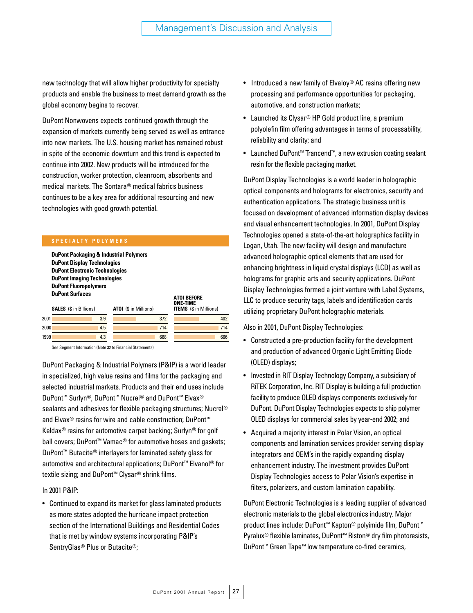new technology that will allow higher productivity for specialty products and enable the business to meet demand growth as the global economy begins to recover.

DuPont Nonwovens expects continued growth through the expansion of markets currently being served as well as entrance into new markets. The U.S. housing market has remained robust in spite of the economic downturn and this trend is expected to continue into 2002. New products will be introduced for the construction, worker protection, cleanroom, absorbents and medical markets. The Sontara® medical fabrics business continues to be a key area for additional resourcing and new technologies with good growth potential.

|                                                                                                                                                                                                                                  | <b>SPECIALTY POLYMERS</b>     |     |                              |     |                                                          |  |  |
|----------------------------------------------------------------------------------------------------------------------------------------------------------------------------------------------------------------------------------|-------------------------------|-----|------------------------------|-----|----------------------------------------------------------|--|--|
| <b>DuPont Packaging &amp; Industrial Polymers</b><br><b>DuPont Display Technologies</b><br><b>DuPont Electronic Technologies</b><br><b>DuPont Imaging Technologies</b><br><b>DuPont Fluoropolymers</b><br><b>DuPont Surfaces</b> |                               |     |                              |     |                                                          |  |  |
|                                                                                                                                                                                                                                  | <b>SALES</b> (\$ in Billions) |     | <b>ATOI</b> (\$ in Millions) |     | ATOI BEFORE<br>ONF-TIMF<br><b>ITEMS</b> (\$ in Millions) |  |  |
| 2001                                                                                                                                                                                                                             |                               | 3.9 |                              | 372 | 402                                                      |  |  |
| 2000                                                                                                                                                                                                                             |                               | 4.5 |                              | 714 | 714                                                      |  |  |
| 1999                                                                                                                                                                                                                             |                               | 4.3 |                              | 668 | 666                                                      |  |  |

See Segment Information (Note 32 to Financial Statements).

DuPont Packaging & Industrial Polymers (P&IP) is a world leader in specialized, high value resins and films for the packaging and selected industrial markets. Products and their end uses include DuPont™ Surlyn®, DuPont™ Nucrel® and DuPont™ Elvax® sealants and adhesives for flexible packaging structures; Nucrel<sup>®</sup> and Elvax® resins for wire and cable construction; DuPont™ Keldax® resins for automotive carpet backing; Surlyn® for golf ball covers; DuPont<sup>™</sup> Vamac<sup>®</sup> for automotive hoses and gaskets; DuPont™ Butacite® interlayers for laminated safety glass for automotive and architectural applications; DuPont™ Elvanol® for textile sizing; and DuPont<sup>™</sup> Clysar<sup>®</sup> shrink films.

#### In 2001 P&IP:

• Continued to expand its market for glass laminated products as more states adopted the hurricane impact protection section of the International Buildings and Residential Codes that is met by window systems incorporating P&IP's SentryGlas® Plus or Butacite®;

- Introduced a new family of Elvaloy<sup>®</sup> AC resins offering new processing and performance opportunities for packaging, automotive, and construction markets;
- Launched its Clysar<sup>®</sup> HP Gold product line, a premium polyolefin film offering advantages in terms of processability, reliability and clarity; and
- Launched DuPont™ Trancend™, a new extrusion coating sealant resin for the flexible packaging market.

DuPont Display Technologies is a world leader in holographic optical components and holograms for electronics, security and authentication applications. The strategic business unit is focused on development of advanced information display devices and visual enhancement technologies. In 2001, DuPont Display Technologies opened a state-of-the-art holographics facility in Logan, Utah. The new facility will design and manufacture advanced holographic optical elements that are used for enhancing brightness in liquid crystal displays (LCD) as well as holograms for graphic arts and security applications. DuPont Display Technologies formed a joint venture with Label Systems, LLC to produce security tags, labels and identification cards utilizing proprietary DuPont holographic materials.

Also in 2001, DuPont Display Technologies:

- Constructed a pre-production facility for the development and production of advanced Organic Light Emitting Diode (OLED) displays;
- Invested in RIT Display Technology Company, a subsidiary of RiTEK Corporation, Inc. RIT Display is building a full production facility to produce OLED displays components exclusively for DuPont. DuPont Display Technologies expects to ship polymer OLED displays for commercial sales by year-end 2002; and
- Acquired a majority interest in Polar Vision, an optical components and lamination services provider serving display integrators and OEM's in the rapidly expanding display enhancement industry. The investment provides DuPont Display Technologies access to Polar Vision's expertise in filters, polarizers, and custom lamination capability.

DuPont Electronic Technologies is a leading supplier of advanced electronic materials to the global electronics industry. Major product lines include: DuPont™ Kapton® polyimide film, DuPont™ Pyralux® flexible laminates, DuPont™ Riston® dry film photoresists, DuPont™ Green Tape™ low temperature co-fired ceramics,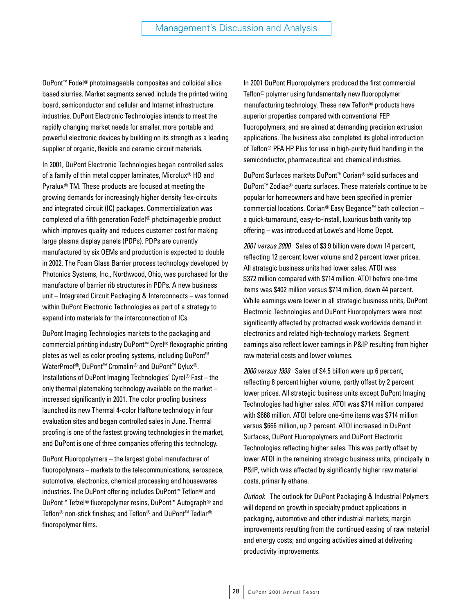DuPont™ Fodel® photoimageable composites and colloidal silica based slurries. Market segments served include the printed wiring board, semiconductor and cellular and Internet infrastructure industries. DuPont Electronic Technologies intends to meet the rapidly changing market needs for smaller, more portable and powerful electronic devices by building on its strength as a leading supplier of organic, flexible and ceramic circuit materials.

In 2001, DuPont Electronic Technologies began controlled sales of a family of thin metal copper laminates, Microlux® HD and Pyralux® TM. These products are focused at meeting the growing demands for increasingly higher density flex-circuits and integrated circuit (IC) packages. Commercialization was completed of a fifth generation Fodel® photoimageable product which improves quality and reduces customer cost for making large plasma display panels (PDPs). PDPs are currently manufactured by six OEMs and production is expected to double in 2002. The Foam Glass Barrier process technology developed by Photonics Systems, Inc., Northwood, Ohio, was purchased for the manufacture of barrier rib structures in PDPs. A new business unit – Integrated Circuit Packaging & Interconnects – was formed within DuPont Electronic Technologies as part of a strategy to expand into materials for the interconnection of ICs.

DuPont Imaging Technologies markets to the packaging and commercial printing industry DuPont™ Cyrel® flexographic printing plates as well as color proofing systems, including DuPont™ WaterProof®, DuPont™ Cromalin® and DuPont™ Dylux®. Installations of DuPont Imaging Technologies' Cyrel® Fast – the only thermal platemaking technology available on the market – increased significantly in 2001. The color proofing business launched its new Thermal 4-color Halftone technology in four evaluation sites and began controlled sales in June. Thermal proofing is one of the fastest growing technologies in the market, and DuPont is one of three companies offering this technology.

DuPont Fluoropolymers – the largest global manufacturer of fluoropolymers – markets to the telecommunications, aerospace, automotive, electronics, chemical processing and housewares industries. The DuPont offering includes DuPont™ Teflon® and DuPont™ Tefzel® fluoropolymer resins, DuPont™ Autograph® and Teflon® non-stick finishes; and Teflon® and DuPont™ Tedlar® fluoropolymer films.

In 2001 DuPont Fluoropolymers produced the first commercial Teflon® polymer using fundamentally new fluoropolymer manufacturing technology. These new Teflon® products have superior properties compared with conventional FEP fluoropolymers, and are aimed at demanding precision extrusion applications. The business also completed its global introduction of Teflon® PFA HP Plus for use in high-purity fluid handling in the semiconductor, pharmaceutical and chemical industries.

DuPont Surfaces markets DuPont™ Corian® solid surfaces and DuPont™ Zodiaq® quartz surfaces. These materials continue to be popular for homeowners and have been specified in premier commercial locations. Corian® Easy Elegance™ bath collection – a quick-turnaround, easy-to-install, luxurious bath vanity top offering – was introduced at Lowe's and Home Depot.

*2001 versus 2000* Sales of \$3.9 billion were down 14 percent, reflecting 12 percent lower volume and 2 percent lower prices. All strategic business units had lower sales. ATOI was \$372 million compared with \$714 million. ATOI before one-time items was \$402 million versus \$714 million, down 44 percent. While earnings were lower in all strategic business units, DuPont Electronic Technologies and DuPont Fluoropolymers were most significantly affected by protracted weak worldwide demand in electronics and related high-technology markets. Segment earnings also reflect lower earnings in P&IP resulting from higher raw material costs and lower volumes.

*2000 versus 1999* Sales of \$4.5 billion were up 6 percent, reflecting 8 percent higher volume, partly offset by 2 percent lower prices. All strategic business units except DuPont Imaging Technologies had higher sales. ATOI was \$714 million compared with \$668 million. ATOI before one-time items was \$714 million versus \$666 million, up 7 percent. ATOI increased in DuPont Surfaces, DuPont Fluoropolymers and DuPont Electronic Technologies reflecting higher sales. This was partly offset by lower ATOI in the remaining strategic business units, principally in P&IP, which was affected by significantly higher raw material costs, primarily ethane.

*Outlook* The outlook for DuPont Packaging & Industrial Polymers will depend on growth in specialty product applications in packaging, automotive and other industrial markets; margin improvements resulting from the continued easing of raw material and energy costs; and ongoing activities aimed at delivering productivity improvements.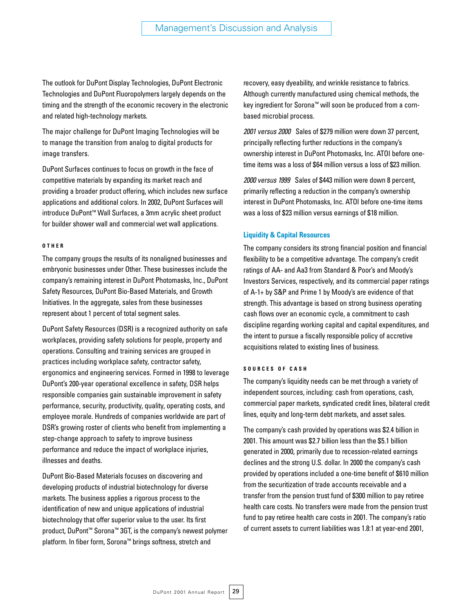The outlook for DuPont Display Technologies, DuPont Electronic Technologies and DuPont Fluoropolymers largely depends on the timing and the strength of the economic recovery in the electronic and related high-technology markets.

The major challenge for DuPont Imaging Technologies will be to manage the transition from analog to digital products for image transfers.

DuPont Surfaces continues to focus on growth in the face of competitive materials by expanding its market reach and providing a broader product offering, which includes new surface applications and additional colors. In 2002, DuPont Surfaces will introduce DuPont™ Wall Surfaces, a 3mm acrylic sheet product for builder shower wall and commercial wet wall applications.

#### **OTHER**

The company groups the results of its nonaligned businesses and embryonic businesses under Other. These businesses include the company's remaining interest in DuPont Photomasks, Inc., DuPont Safety Resources, DuPont Bio-Based Materials, and Growth Initiatives. In the aggregate, sales from these businesses represent about 1 percent of total segment sales.

DuPont Safety Resources (DSR) is a recognized authority on safe workplaces, providing safety solutions for people, property and operations. Consulting and training services are grouped in practices including workplace safety, contractor safety, ergonomics and engineering services. Formed in 1998 to leverage DuPont's 200-year operational excellence in safety, DSR helps responsible companies gain sustainable improvement in safety performance, security, productivity, quality, operating costs, and employee morale. Hundreds of companies worldwide are part of DSR's growing roster of clients who benefit from implementing a step-change approach to safety to improve business performance and reduce the impact of workplace injuries, illnesses and deaths.

DuPont Bio-Based Materials focuses on discovering and developing products of industrial biotechnology for diverse markets. The business applies a rigorous process to the identification of new and unique applications of industrial biotechnology that offer superior value to the user. Its first product, DuPont™ Sorona™ 3GT, is the company's newest polymer platform. In fiber form, Sorona™ brings softness, stretch and

recovery, easy dyeability, and wrinkle resistance to fabrics. Although currently manufactured using chemical methods, the key ingredient for Sorona™ will soon be produced from a cornbased microbial process.

*2001 versus 2000* Sales of \$279 million were down 37 percent, principally reflecting further reductions in the company's ownership interest in DuPont Photomasks, Inc. ATOI before onetime items was a loss of \$64 million versus a loss of \$23 million.

*2000 versus 1999* Sales of \$443 million were down 8 percent, primarily reflecting a reduction in the company's ownership interest in DuPont Photomasks, Inc. ATOI before one-time items was a loss of \$23 million versus earnings of \$18 million.

#### **Liquidity & Capital Resources**

The company considers its strong financial position and financial flexibility to be a competitive advantage. The company's credit ratings of AA- and Aa3 from Standard & Poor's and Moody's Investors Services, respectively, and its commercial paper ratings of A-1+ by S&P and Prime 1 by Moody's are evidence of that strength. This advantage is based on strong business operating cash flows over an economic cycle, a commitment to cash discipline regarding working capital and capital expenditures, and the intent to pursue a fiscally responsible policy of accretive acquisitions related to existing lines of business.

#### **SOURCES OF CASH**

The company's liquidity needs can be met through a variety of independent sources, including: cash from operations, cash, commercial paper markets, syndicated credit lines, bilateral credit lines, equity and long-term debt markets, and asset sales.

The company's cash provided by operations was \$2.4 billion in 2001. This amount was \$2.7 billion less than the \$5.1 billion generated in 2000, primarily due to recession-related earnings declines and the strong U.S. dollar. In 2000 the company's cash provided by operations included a one-time benefit of \$610 million from the securitization of trade accounts receivable and a transfer from the pension trust fund of \$300 million to pay retiree health care costs. No transfers were made from the pension trust fund to pay retiree health care costs in 2001. The company's ratio of current assets to current liabilities was 1.8:1 at year-end 2001,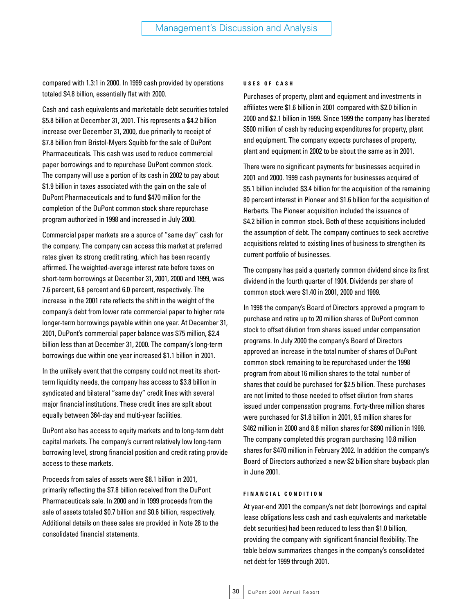compared with 1.3:1 in 2000. In 1999 cash provided by operations totaled \$4.8 billion, essentially flat with 2000.

Cash and cash equivalents and marketable debt securities totaled \$5.8 billion at December 31, 2001. This represents a \$4.2 billion increase over December 31, 2000, due primarily to receipt of \$7.8 billion from Bristol-Myers Squibb for the sale of DuPont Pharmaceuticals. This cash was used to reduce commercial paper borrowings and to repurchase DuPont common stock. The company will use a portion of its cash in 2002 to pay about \$1.9 billion in taxes associated with the gain on the sale of DuPont Pharmaceuticals and to fund \$470 million for the completion of the DuPont common stock share repurchase program authorized in 1998 and increased in July 2000.

Commercial paper markets are a source of "same day" cash for the company. The company can access this market at preferred rates given its strong credit rating, which has been recently affirmed. The weighted-average interest rate before taxes on short-term borrowings at December 31, 2001, 2000 and 1999, was 7.6 percent, 6.8 percent and 6.0 percent, respectively. The increase in the 2001 rate reflects the shift in the weight of the company's debt from lower rate commercial paper to higher rate longer-term borrowings payable within one year. At December 31, 2001, DuPont's commercial paper balance was \$75 million, \$2.4 billion less than at December 31, 2000. The company's long-term borrowings due within one year increased \$1.1 billion in 2001.

In the unlikely event that the company could not meet its shortterm liquidity needs, the company has access to \$3.8 billion in syndicated and bilateral "same day" credit lines with several major financial institutions. These credit lines are split about equally between 364-day and multi-year facilities.

DuPont also has access to equity markets and to long-term debt capital markets. The company's current relatively low long-term borrowing level, strong financial position and credit rating provide access to these markets.

Proceeds from sales of assets were \$8.1 billion in 2001, primarily reflecting the \$7.8 billion received from the DuPont Pharmaceuticals sale. In 2000 and in 1999 proceeds from the sale of assets totaled \$0.7 billion and \$0.6 billion, respectively. Additional details on these sales are provided in Note 28 to the consolidated financial statements.

#### **USES OF CASH**

Purchases of property, plant and equipment and investments in affiliates were \$1.6 billion in 2001 compared with \$2.0 billion in 2000 and \$2.1 billion in 1999. Since 1999 the company has liberated \$500 million of cash by reducing expenditures for property, plant and equipment. The company expects purchases of property, plant and equipment in 2002 to be about the same as in 2001.

There were no significant payments for businesses acquired in 2001 and 2000. 1999 cash payments for businesses acquired of \$5.1 billion included \$3.4 billion for the acquisition of the remaining 80 percent interest in Pioneer and \$1.6 billion for the acquisition of Herberts. The Pioneer acquisition included the issuance of \$4.2 billion in common stock. Both of these acquisitions included the assumption of debt. The company continues to seek accretive acquisitions related to existing lines of business to strengthen its current portfolio of businesses.

The company has paid a quarterly common dividend since its first dividend in the fourth quarter of 1904. Dividends per share of common stock were \$1.40 in 2001, 2000 and 1999.

In 1998 the company's Board of Directors approved a program to purchase and retire up to 20 million shares of DuPont common stock to offset dilution from shares issued under compensation programs. In July 2000 the company's Board of Directors approved an increase in the total number of shares of DuPont common stock remaining to be repurchased under the 1998 program from about 16 million shares to the total number of shares that could be purchased for \$2.5 billion. These purchases are not limited to those needed to offset dilution from shares issued under compensation programs. Forty-three million shares were purchased for \$1.8 billion in 2001, 9.5 million shares for \$462 million in 2000 and 8.8 million shares for \$690 million in 1999. The company completed this program purchasing 10.8 million shares for \$470 million in February 2002. In addition the company's Board of Directors authorized a new \$2 billion share buyback plan in June 2001.

#### **FINANCIAL CONDITION**

At year-end 2001 the company's net debt (borrowings and capital lease obligations less cash and cash equivalents and marketable debt securities) had been reduced to less than \$1.0 billion, providing the company with significant financial flexibility. The table below summarizes changes in the company's consolidated net debt for 1999 through 2001.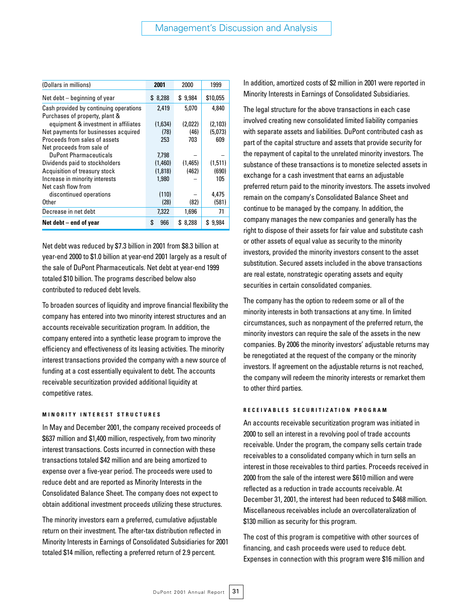| (Dollars in millions)                                                    | 2001      | 2000       | 1999     |
|--------------------------------------------------------------------------|-----------|------------|----------|
| Net debt – beginning of year                                             | \$8,288   | \$9,984    | \$10,055 |
| Cash provided by continuing operations<br>Purchases of property, plant & | 2,419     | 5,070      | 4,840    |
| equipment & investment in affiliates                                     | (1,634)   | (2,022)    | (2, 103) |
| Net payments for businesses acquired                                     | (78)      | (46)       | (5,073)  |
| Proceeds from sales of assets                                            | 253       | 703        | 609      |
| Net proceeds from sale of                                                |           |            |          |
| <b>DuPont Pharmaceuticals</b>                                            | 7,798     |            |          |
| Dividends paid to stockholders                                           | (1,460)   | (1,465)    | (1,511)  |
| Acquisition of treasury stock                                            | (1, 818)  | (462)      | (690)    |
| Increase in minority interests                                           | 1,980     |            | 105      |
| Net cash flow from                                                       |           |            |          |
| discontinued operations                                                  | (110)     |            | 4,475    |
| Other                                                                    | (28)      | (82)       | (581)    |
| Decrease in net debt                                                     | 7,322     | 1,696      | 71       |
| Net debt $-$ end of year                                                 | \$<br>966 | 8,288<br>S | \$9,984  |

Net debt was reduced by \$7.3 billion in 2001 from \$8.3 billion at year-end 2000 to \$1.0 billion at year-end 2001 largely as a result of the sale of DuPont Pharmaceuticals. Net debt at year-end 1999 totaled \$10 billion. The programs described below also contributed to reduced debt levels.

To broaden sources of liquidity and improve financial flexibility the company has entered into two minority interest structures and an accounts receivable securitization program. In addition, the company entered into a synthetic lease program to improve the efficiency and effectiveness of its leasing activities. The minority interest transactions provided the company with a new source of funding at a cost essentially equivalent to debt. The accounts receivable securitization provided additional liquidity at competitive rates.

#### **MINORITY INTEREST STRUCTURES**

In May and December 2001, the company received proceeds of \$637 million and \$1,400 million, respectively, from two minority interest transactions. Costs incurred in connection with these transactions totaled \$42 million and are being amortized to expense over a five-year period. The proceeds were used to reduce debt and are reported as Minority Interests in the Consolidated Balance Sheet. The company does not expect to obtain additional investment proceeds utilizing these structures.

The minority investors earn a preferred, cumulative adjustable return on their investment. The after-tax distribution reflected in Minority Interests in Earnings of Consolidated Subsidiaries for 2001 totaled \$14 million, reflecting a preferred return of 2.9 percent.

In addition, amortized costs of \$2 million in 2001 were reported in Minority Interests in Earnings of Consolidated Subsidiaries.

The legal structure for the above transactions in each case involved creating new consolidated limited liability companies with separate assets and liabilities. DuPont contributed cash as part of the capital structure and assets that provide security for the repayment of capital to the unrelated minority investors. The substance of these transactions is to monetize selected assets in exchange for a cash investment that earns an adjustable preferred return paid to the minority investors. The assets involved remain on the company's Consolidated Balance Sheet and continue to be managed by the company. In addition, the company manages the new companies and generally has the right to dispose of their assets for fair value and substitute cash or other assets of equal value as security to the minority investors, provided the minority investors consent to the asset substitution. Secured assets included in the above transactions are real estate, nonstrategic operating assets and equity securities in certain consolidated companies.

The company has the option to redeem some or all of the minority interests in both transactions at any time. In limited circumstances, such as nonpayment of the preferred return, the minority investors can require the sale of the assets in the new companies. By 2006 the minority investors' adjustable returns may be renegotiated at the request of the company or the minority investors. If agreement on the adjustable returns is not reached, the company will redeem the minority interests or remarket them to other third parties.

#### **RECEIVABLES SECURITIZATION PROGRAM**

An accounts receivable securitization program was initiated in 2000 to sell an interest in a revolving pool of trade accounts receivable. Under the program, the company sells certain trade receivables to a consolidated company which in turn sells an interest in those receivables to third parties. Proceeds received in 2000 from the sale of the interest were \$610 million and were reflected as a reduction in trade accounts receivable. At December 31, 2001, the interest had been reduced to \$468 million. Miscellaneous receivables include an overcollateralization of \$130 million as security for this program.

The cost of this program is competitive with other sources of financing, and cash proceeds were used to reduce debt. Expenses in connection with this program were \$16 million and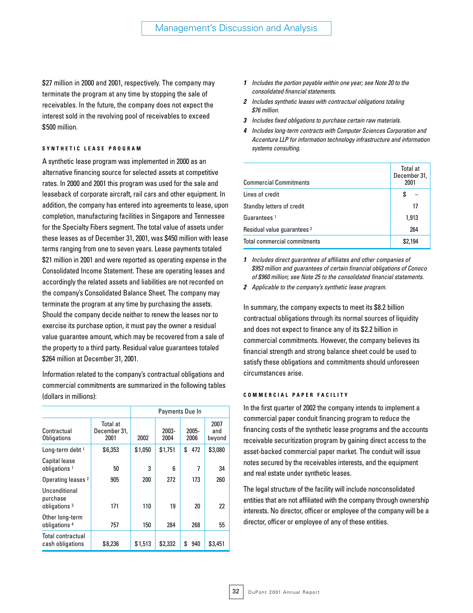\$27 million in 2000 and 2001, respectively. The company may terminate the program at any time by stopping the sale of receivables. In the future, the company does not expect the interest sold in the revolving pool of receivables to exceed \$500 million.

#### **SYNTHETIC LEASE PROGRAM**

A synthetic lease program was implemented in 2000 as an alternative financing source for selected assets at competitive rates. In 2000 and 2001 this program was used for the sale and leaseback of corporate aircraft, rail cars and other equipment. In addition, the company has entered into agreements to lease, upon completion, manufacturing facilities in Singapore and Tennessee for the Specialty Fibers segment. The total value of assets under these leases as of December 31, 2001, was \$450 million with lease terms ranging from one to seven years. Lease payments totaled \$21 million in 2001 and were reported as operating expense in the Consolidated Income Statement. These are operating leases and accordingly the related assets and liabilities are not recorded on the company's Consolidated Balance Sheet. The company may terminate the program at any time by purchasing the assets. Should the company decide neither to renew the leases nor to exercise its purchase option, it must pay the owner a residual value guarantee amount, which may be recovered from a sale of the property to a third party. Residual value guarantees totaled \$264 million at December 31, 2001.

Information related to the company's contractual obligations and commercial commitments are summarized in the following tables (dollars in millions):

|                                                       |                                  | Payments Due In |               |               |                       |  |
|-------------------------------------------------------|----------------------------------|-----------------|---------------|---------------|-----------------------|--|
| Contractual<br><b>Obligations</b>                     | Total at<br>December 31.<br>2001 | 2002            | 2003-<br>2004 | 2005-<br>2006 | 2007<br>and<br>beyond |  |
| Long-term debt <sup>1</sup>                           | \$6,353                          | \$1,050         | \$1,751       | 472<br>\$     | \$3,080               |  |
| <b>Capital lease</b><br>obligations <sup>1</sup>      | 50                               | 3               | 6             | 7             | 34                    |  |
| Operating leases <sup>2</sup>                         | 905                              | 200             | 272           | 173           | 260                   |  |
| Unconditional<br>purchase<br>obligations <sup>3</sup> | 171                              | 110             | 19            | 20            | 22                    |  |
| Other long-term<br>obligations <sup>4</sup>           | 757                              | 150             | 284           | 268           | 55                    |  |
| Total contractual<br>cash obligations                 | \$8,236                          | \$1,513         | \$2,332       | \$<br>940     | \$3,451               |  |

- *1 Includes the portion payable within one year; see Note 20 to the consolidated financial statements.*
- *2 Includes synthetic leases with contractual obligations totaling \$76 million.*
- *3 Includes fixed obligations to purchase certain raw materials.*
- *4 Includes long-term contracts with Computer Sciences Corporation and Accenture LLP for information technology infrastructure and information systems consulting.*

| <b>Commercial Commitments</b> | Total at<br>December 31,<br>2001 |
|-------------------------------|----------------------------------|
| Lines of credit               |                                  |
| Standby letters of credit     | 17                               |
| Guarantees <sup>1</sup>       | 1.913                            |
| Residual value quarantees 2   | 264                              |
| Total commercial commitments  | \$2,194                          |

*1 Includes direct guarantees of affiliates and other companies of \$953 million and guarantees of certain financial obligations of Conoco of \$960 million; see Note 25 to the consolidated financial statements.*

*2 Applicable to the company's synthetic lease program.*

In summary, the company expects to meet its \$8.2 billion contractual obligations through its normal sources of liquidity and does not expect to finance any of its \$2.2 billion in commercial commitments. However, the company believes its financial strength and strong balance sheet could be used to satisfy these obligations and commitments should unforeseen circumstances arise.

#### **COMMERCIAL PAPER FACILITY**

In the first quarter of 2002 the company intends to implement a commercial paper conduit financing program to reduce the financing costs of the synthetic lease programs and the accounts receivable securitization program by gaining direct access to the asset-backed commercial paper market. The conduit will issue notes secured by the receivables interests, and the equipment and real estate under synthetic leases.

The legal structure of the facility will include nonconsolidated entities that are not affiliated with the company through ownership interests. No director, officer or employee of the company will be a director, officer or employee of any of these entities.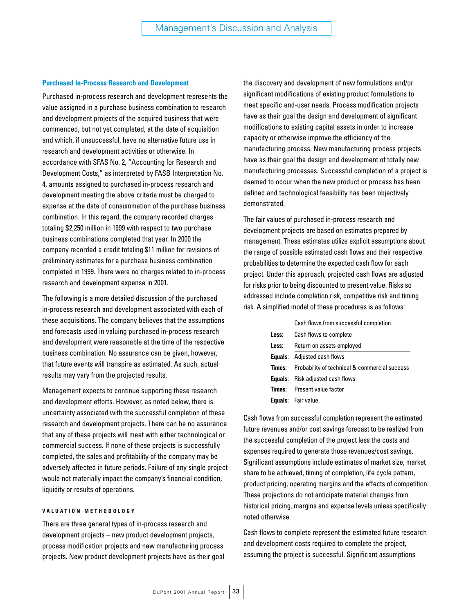#### **Purchased In-Process Research and Development**

Purchased in-process research and development represents the value assigned in a purchase business combination to research and development projects of the acquired business that were commenced, but not yet completed, at the date of acquisition and which, if unsuccessful, have no alternative future use in research and development activities or otherwise. In accordance with SFAS No. 2, "Accounting for Research and Development Costs," as interpreted by FASB Interpretation No. 4, amounts assigned to purchased in-process research and development meeting the above criteria must be charged to expense at the date of consummation of the purchase business combination. In this regard, the company recorded charges totaling \$2,250 million in 1999 with respect to two purchase business combinations completed that year. In 2000 the company recorded a credit totaling \$11 million for revisions of preliminary estimates for a purchase business combination completed in 1999. There were no charges related to in-process research and development expense in 2001.

The following is a more detailed discussion of the purchased in-process research and development associated with each of these acquisitions. The company believes that the assumptions and forecasts used in valuing purchased in-process research and development were reasonable at the time of the respective business combination. No assurance can be given, however, that future events will transpire as estimated. As such, actual results may vary from the projected results.

Management expects to continue supporting these research and development efforts. However, as noted below, there is uncertainty associated with the successful completion of these research and development projects. There can be no assurance that any of these projects will meet with either technological or commercial success. If none of these projects is successfully completed, the sales and profitability of the company may be adversely affected in future periods. Failure of any single project would not materially impact the company's financial condition, liquidity or results of operations.

#### **VALUATION METHODOLOGY**

There are three general types of in-process research and development projects – new product development projects, process modification projects and new manufacturing process projects. New product development projects have as their goal the discovery and development of new formulations and/or significant modifications of existing product formulations to meet specific end-user needs. Process modification projects have as their goal the design and development of significant modifications to existing capital assets in order to increase capacity or otherwise improve the efficiency of the manufacturing process. New manufacturing process projects have as their goal the design and development of totally new manufacturing processes. Successful completion of a project is deemed to occur when the new product or process has been defined and technological feasibility has been objectively demonstrated.

The fair values of purchased in-process research and development projects are based on estimates prepared by management. These estimates utilize explicit assumptions about the range of possible estimated cash flows and their respective probabilities to determine the expected cash flow for each project. Under this approach, projected cash flows are adjusted for risks prior to being discounted to present value. Risks so addressed include completion risk, competitive risk and timing risk. A simplified model of these procedures is as follows:

> Cash flows from successful completion **Less:** Cash flows to complete Less: Return on assets employed **Equals:** Adjusted cash flows **Times:** Probability of technical & commercial success **Equals:** Risk adjusted cash flows **Times:** Present value factor **Equals:** Fair value

Cash flows from successful completion represent the estimated future revenues and/or cost savings forecast to be realized from the successful completion of the project less the costs and expenses required to generate those revenues/cost savings. Significant assumptions include estimates of market size, market share to be achieved, timing of completion, life cycle pattern, product pricing, operating margins and the effects of competition. These projections do not anticipate material changes from historical pricing, margins and expense levels unless specifically noted otherwise.

Cash flows to complete represent the estimated future research and development costs required to complete the project, assuming the project is successful. Significant assumptions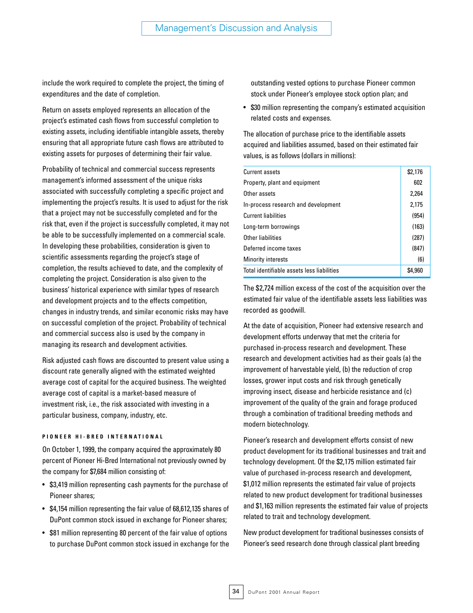include the work required to complete the project, the timing of expenditures and the date of completion.

Return on assets employed represents an allocation of the project's estimated cash flows from successful completion to existing assets, including identifiable intangible assets, thereby ensuring that all appropriate future cash flows are attributed to existing assets for purposes of determining their fair value.

Probability of technical and commercial success represents management's informed assessment of the unique risks associated with successfully completing a specific project and implementing the project's results. It is used to adjust for the risk that a project may not be successfully completed and for the risk that, even if the project is successfully completed, it may not be able to be successfully implemented on a commercial scale. In developing these probabilities, consideration is given to scientific assessments regarding the project's stage of completion, the results achieved to date, and the complexity of completing the project. Consideration is also given to the business' historical experience with similar types of research and development projects and to the effects competition, changes in industry trends, and similar economic risks may have on successful completion of the project. Probability of technical and commercial success also is used by the company in managing its research and development activities.

Risk adjusted cash flows are discounted to present value using a discount rate generally aligned with the estimated weighted average cost of capital for the acquired business. The weighted average cost of capital is a market-based measure of investment risk, i.e., the risk associated with investing in a particular business, company, industry, etc.

#### **PIONEER HI-BRED INTERNATIONAL**

On October 1, 1999, the company acquired the approximately 80 percent of Pioneer Hi-Bred International not previously owned by the company for \$7,684 million consisting of:

- \$3,419 million representing cash payments for the purchase of Pioneer shares;
- \$4,154 million representing the fair value of 68,612,135 shares of DuPont common stock issued in exchange for Pioneer shares;
- \$81 million representing 80 percent of the fair value of options to purchase DuPont common stock issued in exchange for the

outstanding vested options to purchase Pioneer common stock under Pioneer's employee stock option plan; and

• \$30 million representing the company's estimated acquisition related costs and expenses.

The allocation of purchase price to the identifiable assets acquired and liabilities assumed, based on their estimated fair values, is as follows (dollars in millions):

| Current assets                             | \$2,176 |
|--------------------------------------------|---------|
| Property, plant and equipment              | 602     |
| Other assets                               | 2,264   |
| In-process research and development        | 2,175   |
| <b>Current liabilities</b>                 | (954)   |
| Long-term borrowings                       | (163)   |
| Other liabilities                          | (287)   |
| Deferred income taxes                      | (847)   |
| Minority interests                         | (6)     |
| Total identifiable assets less liabilities | \$4,960 |

The \$2,724 million excess of the cost of the acquisition over the estimated fair value of the identifiable assets less liabilities was recorded as goodwill.

At the date of acquisition, Pioneer had extensive research and development efforts underway that met the criteria for purchased in-process research and development. These research and development activities had as their goals (a) the improvement of harvestable yield, (b) the reduction of crop losses, grower input costs and risk through genetically improving insect, disease and herbicide resistance and (c) improvement of the quality of the grain and forage produced through a combination of traditional breeding methods and modern biotechnology.

Pioneer's research and development efforts consist of new product development for its traditional businesses and trait and technology development. Of the \$2,175 million estimated fair value of purchased in-process research and development, \$1,012 million represents the estimated fair value of projects related to new product development for traditional businesses and \$1,163 million represents the estimated fair value of projects related to trait and technology development.

New product development for traditional businesses consists of Pioneer's seed research done through classical plant breeding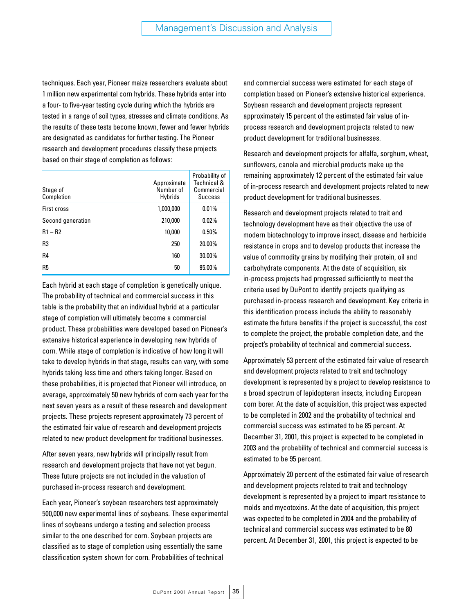techniques. Each year, Pioneer maize researchers evaluate about 1 million new experimental corn hybrids. These hybrids enter into a four- to five-year testing cycle during which the hybrids are tested in a range of soil types, stresses and climate conditions. As the results of these tests become known, fewer and fewer hybrids are designated as candidates for further testing. The Pioneer research and development procedures classify these projects based on their stage of completion as follows:

| Stage of<br>Completion | Approximate<br>Number of<br>Hybrids | Probability of<br>Technical &<br>Commercial<br><b>Success</b> |
|------------------------|-------------------------------------|---------------------------------------------------------------|
| First cross            | 1,000,000                           | 0.01%                                                         |
| Second generation      | 210,000                             | 0.02%                                                         |
| $R1 - R2$              | 10,000                              | $0.50\%$                                                      |
| R <sub>3</sub>         | 250                                 | 20.00%                                                        |
| R <sub>4</sub>         | 160                                 | 30.00%                                                        |
| R <sub>5</sub>         | 50                                  | 95.00%                                                        |

Each hybrid at each stage of completion is genetically unique. The probability of technical and commercial success in this table is the probability that an individual hybrid at a particular stage of completion will ultimately become a commercial product. These probabilities were developed based on Pioneer's extensive historical experience in developing new hybrids of corn. While stage of completion is indicative of how long it will take to develop hybrids in that stage, results can vary, with some hybrids taking less time and others taking longer. Based on these probabilities, it is projected that Pioneer will introduce, on average, approximately 50 new hybrids of corn each year for the next seven years as a result of these research and development projects. These projects represent approximately 73 percent of the estimated fair value of research and development projects related to new product development for traditional businesses.

After seven years, new hybrids will principally result from research and development projects that have not yet begun. These future projects are not included in the valuation of purchased in-process research and development.

Each year, Pioneer's soybean researchers test approximately 500,000 new experimental lines of soybeans. These experimental lines of soybeans undergo a testing and selection process similar to the one described for corn. Soybean projects are classified as to stage of completion using essentially the same classification system shown for corn. Probabilities of technical

and commercial success were estimated for each stage of completion based on Pioneer's extensive historical experience. Soybean research and development projects represent approximately 15 percent of the estimated fair value of inprocess research and development projects related to new product development for traditional businesses.

Research and development projects for alfalfa, sorghum, wheat, sunflowers, canola and microbial products make up the remaining approximately 12 percent of the estimated fair value of in-process research and development projects related to new product development for traditional businesses.

Research and development projects related to trait and technology development have as their objective the use of modern biotechnology to improve insect, disease and herbicide resistance in crops and to develop products that increase the value of commodity grains by modifying their protein, oil and carbohydrate components. At the date of acquisition, six in-process projects had progressed sufficiently to meet the criteria used by DuPont to identify projects qualifying as purchased in-process research and development. Key criteria in this identification process include the ability to reasonably estimate the future benefits if the project is successful, the cost to complete the project, the probable completion date, and the project's probability of technical and commercial success.

Approximately 53 percent of the estimated fair value of research and development projects related to trait and technology development is represented by a project to develop resistance to a broad spectrum of lepidopteran insects, including European corn borer. At the date of acquisition, this project was expected to be completed in 2002 and the probability of technical and commercial success was estimated to be 85 percent. At December 31, 2001, this project is expected to be completed in 2003 and the probability of technical and commercial success is estimated to be 95 percent.

Approximately 20 percent of the estimated fair value of research and development projects related to trait and technology development is represented by a project to impart resistance to molds and mycotoxins. At the date of acquisition, this project was expected to be completed in 2004 and the probability of technical and commercial success was estimated to be 80 percent. At December 31, 2001, this project is expected to be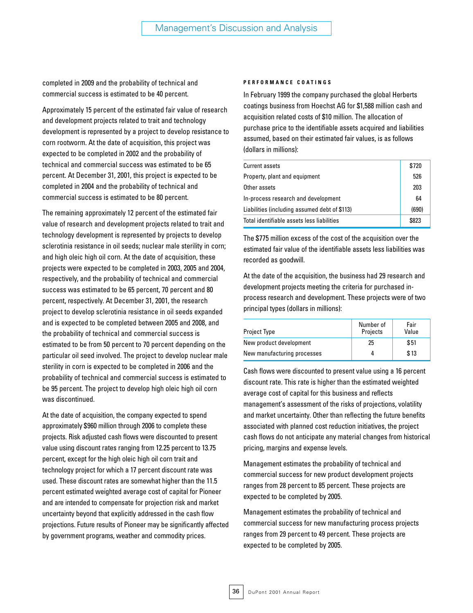completed in 2009 and the probability of technical and commercial success is estimated to be 40 percent.

Approximately 15 percent of the estimated fair value of research and development projects related to trait and technology development is represented by a project to develop resistance to corn rootworm. At the date of acquisition, this project was expected to be completed in 2002 and the probability of technical and commercial success was estimated to be 65 percent. At December 31, 2001, this project is expected to be completed in 2004 and the probability of technical and commercial success is estimated to be 80 percent.

The remaining approximately 12 percent of the estimated fair value of research and development projects related to trait and technology development is represented by projects to develop sclerotinia resistance in oil seeds; nuclear male sterility in corn; and high oleic high oil corn. At the date of acquisition, these projects were expected to be completed in 2003, 2005 and 2004, respectively, and the probability of technical and commercial success was estimated to be 65 percent, 70 percent and 80 percent, respectively. At December 31, 2001, the research project to develop sclerotinia resistance in oil seeds expanded and is expected to be completed between 2005 and 2008, and the probability of technical and commercial success is estimated to be from 50 percent to 70 percent depending on the particular oil seed involved. The project to develop nuclear male sterility in corn is expected to be completed in 2006 and the probability of technical and commercial success is estimated to be 95 percent. The project to develop high oleic high oil corn was discontinued.

At the date of acquisition, the company expected to spend approximately \$960 million through 2006 to complete these projects. Risk adjusted cash flows were discounted to present value using discount rates ranging from 12.25 percent to 13.75 percent, except for the high oleic high oil corn trait and technology project for which a 17 percent discount rate was used. These discount rates are somewhat higher than the 11.5 percent estimated weighted average cost of capital for Pioneer and are intended to compensate for projection risk and market uncertainty beyond that explicitly addressed in the cash flow projections. Future results of Pioneer may be significantly affected by government programs, weather and commodity prices.

#### **PERFORMANCE COATINGS**

In February 1999 the company purchased the global Herberts coatings business from Hoechst AG for \$1,588 million cash and acquisition related costs of \$10 million. The allocation of purchase price to the identifiable assets acquired and liabilities assumed, based on their estimated fair values, is as follows (dollars in millions):

| Current assets                                | \$720 |
|-----------------------------------------------|-------|
| Property, plant and equipment                 | 526   |
| Other assets                                  | 203   |
| In-process research and development           | 64    |
| Liabilities (including assumed debt of \$113) | (690) |
| Total identifiable assets less liabilities    | \$823 |

The \$775 million excess of the cost of the acquisition over the estimated fair value of the identifiable assets less liabilities was recorded as goodwill.

At the date of the acquisition, the business had 29 research and development projects meeting the criteria for purchased inprocess research and development. These projects were of two principal types (dollars in millions):

| <b>Project Type</b>         | Number of<br>Projects | Fair<br>Value |
|-----------------------------|-----------------------|---------------|
| New product development     | 25                    | \$51          |
| New manufacturing processes |                       | \$13          |

Cash flows were discounted to present value using a 16 percent discount rate. This rate is higher than the estimated weighted average cost of capital for this business and reflects management's assessment of the risks of projections, volatility and market uncertainty. Other than reflecting the future benefits associated with planned cost reduction initiatives, the project cash flows do not anticipate any material changes from historical pricing, margins and expense levels.

Management estimates the probability of technical and commercial success for new product development projects ranges from 28 percent to 85 percent. These projects are expected to be completed by 2005.

Management estimates the probability of technical and commercial success for new manufacturing process projects ranges from 29 percent to 49 percent. These projects are expected to be completed by 2005.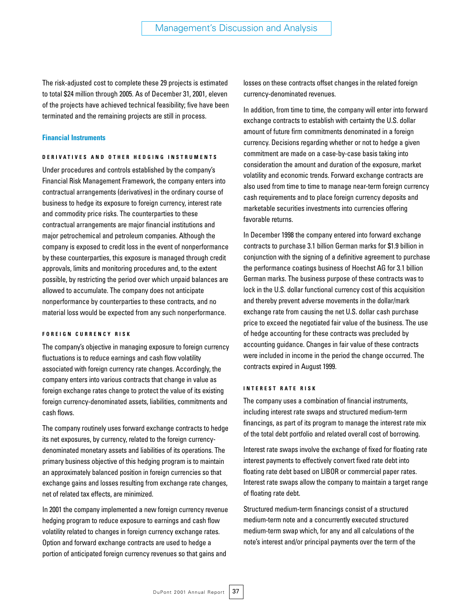The risk-adjusted cost to complete these 29 projects is estimated to total \$24 million through 2005. As of December 31, 2001, eleven of the projects have achieved technical feasibility; five have been terminated and the remaining projects are still in process.

#### **Financial Instruments**

## **DERIVATIVES AND OTHER HEDGING INSTRUMENTS**

Under procedures and controls established by the company's Financial Risk Management Framework, the company enters into contractual arrangements (derivatives) in the ordinary course of business to hedge its exposure to foreign currency, interest rate and commodity price risks. The counterparties to these contractual arrangements are major financial institutions and major petrochemical and petroleum companies. Although the company is exposed to credit loss in the event of nonperformance by these counterparties, this exposure is managed through credit approvals, limits and monitoring procedures and, to the extent possible, by restricting the period over which unpaid balances are allowed to accumulate. The company does not anticipate nonperformance by counterparties to these contracts, and no material loss would be expected from any such nonperformance.

# **FOREIGN CURRENCY RISK**

The company's objective in managing exposure to foreign currency fluctuations is to reduce earnings and cash flow volatility associated with foreign currency rate changes. Accordingly, the company enters into various contracts that change in value as foreign exchange rates change to protect the value of its existing foreign currency-denominated assets, liabilities, commitments and cash flows.

The company routinely uses forward exchange contracts to hedge its net exposures, by currency, related to the foreign currencydenominated monetary assets and liabilities of its operations. The primary business objective of this hedging program is to maintain an approximately balanced position in foreign currencies so that exchange gains and losses resulting from exchange rate changes, net of related tax effects, are minimized.

In 2001 the company implemented a new foreign currency revenue hedging program to reduce exposure to earnings and cash flow volatility related to changes in foreign currency exchange rates. Option and forward exchange contracts are used to hedge a portion of anticipated foreign currency revenues so that gains and

losses on these contracts offset changes in the related foreign currency-denominated revenues.

In addition, from time to time, the company will enter into forward exchange contracts to establish with certainty the U.S. dollar amount of future firm commitments denominated in a foreign currency. Decisions regarding whether or not to hedge a given commitment are made on a case-by-case basis taking into consideration the amount and duration of the exposure, market volatility and economic trends. Forward exchange contracts are also used from time to time to manage near-term foreign currency cash requirements and to place foreign currency deposits and marketable securities investments into currencies offering favorable returns.

In December 1998 the company entered into forward exchange contracts to purchase 3.1 billion German marks for \$1.9 billion in conjunction with the signing of a definitive agreement to purchase the performance coatings business of Hoechst AG for 3.1 billion German marks. The business purpose of these contracts was to lock in the U.S. dollar functional currency cost of this acquisition and thereby prevent adverse movements in the dollar/mark exchange rate from causing the net U.S. dollar cash purchase price to exceed the negotiated fair value of the business. The use of hedge accounting for these contracts was precluded by accounting guidance. Changes in fair value of these contracts were included in income in the period the change occurred. The contracts expired in August 1999.

#### **INTEREST RATE RISK**

The company uses a combination of financial instruments, including interest rate swaps and structured medium-term financings, as part of its program to manage the interest rate mix of the total debt portfolio and related overall cost of borrowing.

Interest rate swaps involve the exchange of fixed for floating rate interest payments to effectively convert fixed rate debt into floating rate debt based on LIBOR or commercial paper rates. Interest rate swaps allow the company to maintain a target range of floating rate debt.

Structured medium-term financings consist of a structured medium-term note and a concurrently executed structured medium-term swap which, for any and all calculations of the note's interest and/or principal payments over the term of the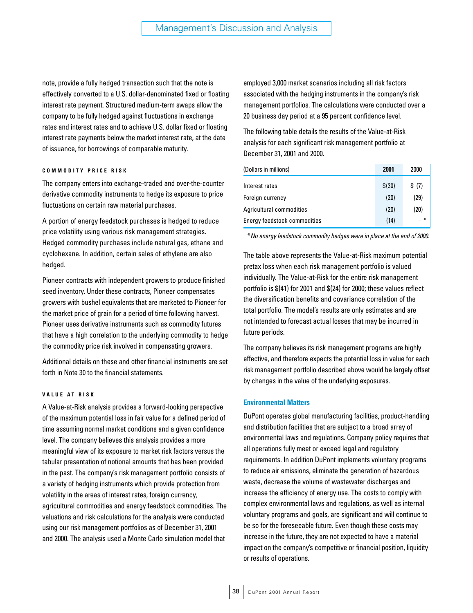note, provide a fully hedged transaction such that the note is effectively converted to a U.S. dollar-denominated fixed or floating interest rate payment. Structured medium-term swaps allow the company to be fully hedged against fluctuations in exchange rates and interest rates and to achieve U.S. dollar fixed or floating interest rate payments below the market interest rate, at the date of issuance, for borrowings of comparable maturity.

#### **COMMODITY PRICE RISK**

The company enters into exchange-traded and over-the-counter derivative commodity instruments to hedge its exposure to price fluctuations on certain raw material purchases.

A portion of energy feedstock purchases is hedged to reduce price volatility using various risk management strategies. Hedged commodity purchases include natural gas, ethane and cyclohexane. In addition, certain sales of ethylene are also hedged.

Pioneer contracts with independent growers to produce finished seed inventory. Under these contracts, Pioneer compensates growers with bushel equivalents that are marketed to Pioneer for the market price of grain for a period of time following harvest. Pioneer uses derivative instruments such as commodity futures that have a high correlation to the underlying commodity to hedge the commodity price risk involved in compensating growers.

Additional details on these and other financial instruments are set forth in Note 30 to the financial statements.

#### **VALUE AT RISK**

A Value-at-Risk analysis provides a forward-looking perspective of the maximum potential loss in fair value for a defined period of time assuming normal market conditions and a given confidence level. The company believes this analysis provides a more meaningful view of its exposure to market risk factors versus the tabular presentation of notional amounts that has been provided in the past. The company's risk management portfolio consists of a variety of hedging instruments which provide protection from volatility in the areas of interest rates, foreign currency, agricultural commodities and energy feedstock commodities. The valuations and risk calculations for the analysis were conducted using our risk management portfolios as of December 31, 2001 and 2000. The analysis used a Monte Carlo simulation model that

employed 3,000 market scenarios including all risk factors associated with the hedging instruments in the company's risk management portfolios. The calculations were conducted over a 20 business day period at a 95 percent confidence level.

The following table details the results of the Value-at-Risk analysis for each significant risk management portfolio at December 31, 2001 and 2000.

| (Dollars in millions)        | 2001   | 2000   |
|------------------------------|--------|--------|
| Interest rates               | \$(30) | \$ (7) |
| Foreign currency             | (20)   | (29)   |
| Agricultural commodities     | (20)   | (20)   |
| Energy feedstock commodities | (14)   | $ *$   |

*\* No energy feedstock commodity hedges were in place at the end of 2000.*

The table above represents the Value-at-Risk maximum potential pretax loss when each risk management portfolio is valued individually. The Value-at-Risk for the entire risk management portfolio is \$(41) for 2001 and \$(24) for 2000; these values reflect the diversification benefits and covariance correlation of the total portfolio. The model's results are only estimates and are not intended to forecast actual losses that may be incurred in future periods.

The company believes its risk management programs are highly effective, and therefore expects the potential loss in value for each risk management portfolio described above would be largely offset by changes in the value of the underlying exposures.

#### **Environmental Matters**

DuPont operates global manufacturing facilities, product-handling and distribution facilities that are subject to a broad array of environmental laws and regulations. Company policy requires that all operations fully meet or exceed legal and regulatory requirements. In addition DuPont implements voluntary programs to reduce air emissions, eliminate the generation of hazardous waste, decrease the volume of wastewater discharges and increase the efficiency of energy use. The costs to comply with complex environmental laws and regulations, as well as internal voluntary programs and goals, are significant and will continue to be so for the foreseeable future. Even though these costs may increase in the future, they are not expected to have a material impact on the company's competitive or financial position, liquidity or results of operations.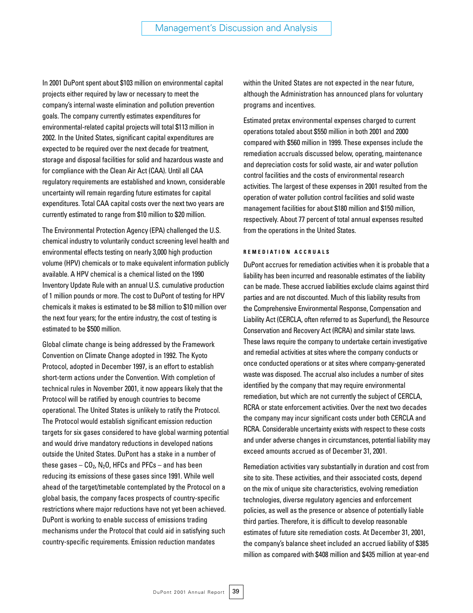In 2001 DuPont spent about \$103 million on environmental capital projects either required by law or necessary to meet the company's internal waste elimination and pollution prevention goals. The company currently estimates expenditures for environmental-related capital projects will total \$113 million in 2002. In the United States, significant capital expenditures are expected to be required over the next decade for treatment, storage and disposal facilities for solid and hazardous waste and for compliance with the Clean Air Act (CAA). Until all CAA regulatory requirements are established and known, considerable uncertainty will remain regarding future estimates for capital expenditures. Total CAA capital costs over the next two years are currently estimated to range from \$10 million to \$20 million.

The Environmental Protection Agency (EPA) challenged the U.S. chemical industry to voluntarily conduct screening level health and environmental effects testing on nearly 3,000 high production volume (HPV) chemicals or to make equivalent information publicly available. A HPV chemical is a chemical listed on the 1990 Inventory Update Rule with an annual U.S. cumulative production of 1 million pounds or more. The cost to DuPont of testing for HPV chemicals it makes is estimated to be \$8 million to \$10 million over the next four years; for the entire industry, the cost of testing is estimated to be \$500 million.

Global climate change is being addressed by the Framework Convention on Climate Change adopted in 1992. The Kyoto Protocol, adopted in December 1997, is an effort to establish short-term actions under the Convention. With completion of technical rules in November 2001, it now appears likely that the Protocol will be ratified by enough countries to become operational. The United States is unlikely to ratify the Protocol. The Protocol would establish significant emission reduction targets for six gases considered to have global warming potential and would drive mandatory reductions in developed nations outside the United States. DuPont has a stake in a number of these gases  $-$  CO<sub>2</sub>, N<sub>2</sub>O, HFCs and PFCs  $-$  and has been reducing its emissions of these gases since 1991. While well ahead of the target/timetable contemplated by the Protocol on a global basis, the company faces prospects of country-specific restrictions where major reductions have not yet been achieved. DuPont is working to enable success of emissions trading mechanisms under the Protocol that could aid in satisfying such country-specific requirements. Emission reduction mandates

within the United States are not expected in the near future, although the Administration has announced plans for voluntary programs and incentives.

Estimated pretax environmental expenses charged to current operations totaled about \$550 million in both 2001 and 2000 compared with \$560 million in 1999. These expenses include the remediation accruals discussed below, operating, maintenance and depreciation costs for solid waste, air and water pollution control facilities and the costs of environmental research activities. The largest of these expenses in 2001 resulted from the operation of water pollution control facilities and solid waste management facilities for about \$180 million and \$150 million, respectively. About 77 percent of total annual expenses resulted from the operations in the United States.

#### **REMEDIATION ACCRUALS**

DuPont accrues for remediation activities when it is probable that a liability has been incurred and reasonable estimates of the liability can be made. These accrued liabilities exclude claims against third parties and are not discounted. Much of this liability results from the Comprehensive Environmental Response, Compensation and Liability Act (CERCLA, often referred to as Superfund), the Resource Conservation and Recovery Act (RCRA) and similar state laws. These laws require the company to undertake certain investigative and remedial activities at sites where the company conducts or once conducted operations or at sites where company-generated waste was disposed. The accrual also includes a number of sites identified by the company that may require environmental remediation, but which are not currently the subject of CERCLA, RCRA or state enforcement activities. Over the next two decades the company may incur significant costs under both CERCLA and RCRA. Considerable uncertainty exists with respect to these costs and under adverse changes in circumstances, potential liability may exceed amounts accrued as of December 31, 2001.

Remediation activities vary substantially in duration and cost from site to site. These activities, and their associated costs, depend on the mix of unique site characteristics, evolving remediation technologies, diverse regulatory agencies and enforcement policies, as well as the presence or absence of potentially liable third parties. Therefore, it is difficult to develop reasonable estimates of future site remediation costs. At December 31, 2001, the company's balance sheet included an accrued liability of \$385 million as compared with \$408 million and \$435 million at year-end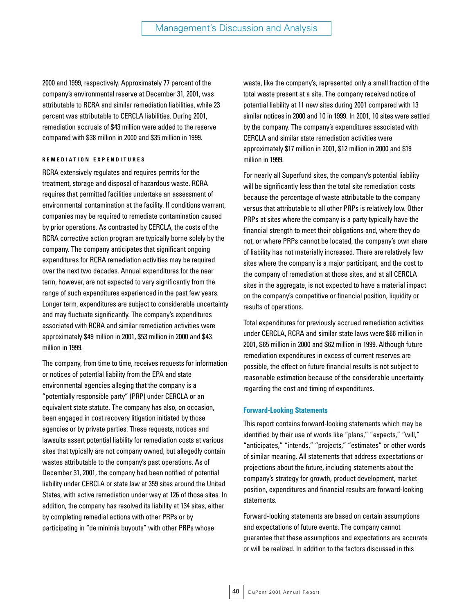2000 and 1999, respectively. Approximately 77 percent of the company's environmental reserve at December 31, 2001, was attributable to RCRA and similar remediation liabilities, while 23 percent was attributable to CERCLA liabilities. During 2001, remediation accruals of \$43 million were added to the reserve compared with \$38 million in 2000 and \$35 million in 1999.

#### **REMEDIATION EXPENDITURES**

RCRA extensively regulates and requires permits for the treatment, storage and disposal of hazardous waste. RCRA requires that permitted facilities undertake an assessment of environmental contamination at the facility. If conditions warrant, companies may be required to remediate contamination caused by prior operations. As contrasted by CERCLA, the costs of the RCRA corrective action program are typically borne solely by the company. The company anticipates that significant ongoing expenditures for RCRA remediation activities may be required over the next two decades. Annual expenditures for the near term, however, are not expected to vary significantly from the range of such expenditures experienced in the past few years. Longer term, expenditures are subject to considerable uncertainty and may fluctuate significantly. The company's expenditures associated with RCRA and similar remediation activities were approximately \$49 million in 2001, \$53 million in 2000 and \$43 million in 1999.

The company, from time to time, receives requests for information or notices of potential liability from the EPA and state environmental agencies alleging that the company is a "potentially responsible party" (PRP) under CERCLA or an equivalent state statute. The company has also, on occasion, been engaged in cost recovery litigation initiated by those agencies or by private parties. These requests, notices and lawsuits assert potential liability for remediation costs at various sites that typically are not company owned, but allegedly contain wastes attributable to the company's past operations. As of December 31, 2001, the company had been notified of potential liability under CERCLA or state law at 359 sites around the United States, with active remediation under way at 126 of those sites. In addition, the company has resolved its liability at 134 sites, either by completing remedial actions with other PRPs or by participating in "de minimis buyouts" with other PRPs whose

waste, like the company's, represented only a small fraction of the total waste present at a site. The company received notice of potential liability at 11 new sites during 2001 compared with 13 similar notices in 2000 and 10 in 1999. In 2001, 10 sites were settled by the company. The company's expenditures associated with CERCLA and similar state remediation activities were approximately \$17 million in 2001, \$12 million in 2000 and \$19 million in 1999.

For nearly all Superfund sites, the company's potential liability will be significantly less than the total site remediation costs because the percentage of waste attributable to the company versus that attributable to all other PRPs is relatively low. Other PRPs at sites where the company is a party typically have the financial strength to meet their obligations and, where they do not, or where PRPs cannot be located, the company's own share of liability has not materially increased. There are relatively few sites where the company is a major participant, and the cost to the company of remediation at those sites, and at all CERCLA sites in the aggregate, is not expected to have a material impact on the company's competitive or financial position, liquidity or results of operations.

Total expenditures for previously accrued remediation activities under CERCLA, RCRA and similar state laws were \$66 million in 2001, \$65 million in 2000 and \$62 million in 1999. Although future remediation expenditures in excess of current reserves are possible, the effect on future financial results is not subject to reasonable estimation because of the considerable uncertainty regarding the cost and timing of expenditures.

#### **Forward-Looking Statements**

This report contains forward-looking statements which may be identified by their use of words like "plans," "expects," "will," "anticipates," "intends," "projects," "estimates" or other words of similar meaning. All statements that address expectations or projections about the future, including statements about the company's strategy for growth, product development, market position, expenditures and financial results are forward-looking statements.

Forward-looking statements are based on certain assumptions and expectations of future events. The company cannot guarantee that these assumptions and expectations are accurate or will be realized. In addition to the factors discussed in this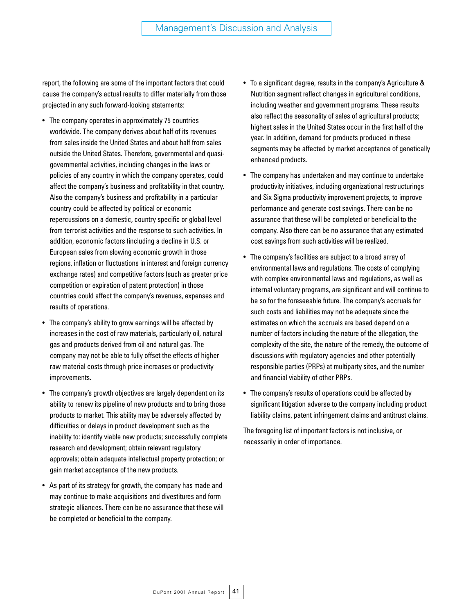report, the following are some of the important factors that could cause the company's actual results to differ materially from those projected in any such forward-looking statements:

- The company operates in approximately 75 countries worldwide. The company derives about half of its revenues from sales inside the United States and about half from sales outside the United States. Therefore, governmental and quasigovernmental activities, including changes in the laws or policies of any country in which the company operates, could affect the company's business and profitability in that country. Also the company's business and profitability in a particular country could be affected by political or economic repercussions on a domestic, country specific or global level from terrorist activities and the response to such activities. In addition, economic factors (including a decline in U.S. or European sales from slowing economic growth in those regions, inflation or fluctuations in interest and foreign currency exchange rates) and competitive factors (such as greater price competition or expiration of patent protection) in those countries could affect the company's revenues, expenses and results of operations.
- The company's ability to grow earnings will be affected by increases in the cost of raw materials, particularly oil, natural gas and products derived from oil and natural gas. The company may not be able to fully offset the effects of higher raw material costs through price increases or productivity improvements.
- The company's growth objectives are largely dependent on its ability to renew its pipeline of new products and to bring those products to market. This ability may be adversely affected by difficulties or delays in product development such as the inability to: identify viable new products; successfully complete research and development; obtain relevant regulatory approvals; obtain adequate intellectual property protection; or gain market acceptance of the new products.
- As part of its strategy for growth, the company has made and may continue to make acquisitions and divestitures and form strategic alliances. There can be no assurance that these will be completed or beneficial to the company.
- To a significant degree, results in the company's Agriculture & Nutrition segment reflect changes in agricultural conditions, including weather and government programs. These results also reflect the seasonality of sales of agricultural products; highest sales in the United States occur in the first half of the year. In addition, demand for products produced in these segments may be affected by market acceptance of genetically enhanced products.
- The company has undertaken and may continue to undertake productivity initiatives, including organizational restructurings and Six Sigma productivity improvement projects, to improve performance and generate cost savings. There can be no assurance that these will be completed or beneficial to the company. Also there can be no assurance that any estimated cost savings from such activities will be realized.
- The company's facilities are subject to a broad array of environmental laws and regulations. The costs of complying with complex environmental laws and regulations, as well as internal voluntary programs, are significant and will continue to be so for the foreseeable future. The company's accruals for such costs and liabilities may not be adequate since the estimates on which the accruals are based depend on a number of factors including the nature of the allegation, the complexity of the site, the nature of the remedy, the outcome of discussions with regulatory agencies and other potentially responsible parties (PRPs) at multiparty sites, and the number and financial viability of other PRPs.
- The company's results of operations could be affected by significant litigation adverse to the company including product liability claims, patent infringement claims and antitrust claims.

The foregoing list of important factors is not inclusive, or necessarily in order of importance.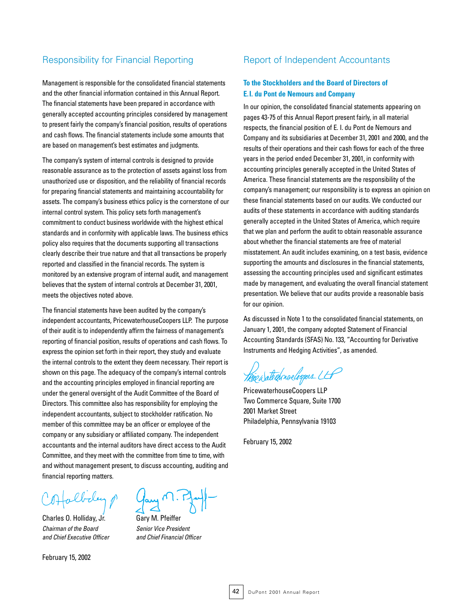# Responsibility for Financial Reporting Report of Independent Accountants

Management is responsible for the consolidated financial statements and the other financial information contained in this Annual Report. The financial statements have been prepared in accordance with generally accepted accounting principles considered by management to present fairly the company's financial position, results of operations and cash flows. The financial statements include some amounts that are based on management's best estimates and judgments.

The company's system of internal controls is designed to provide reasonable assurance as to the protection of assets against loss from unauthorized use or disposition, and the reliability of financial records for preparing financial statements and maintaining accountability for assets. The company's business ethics policy is the cornerstone of our internal control system. This policy sets forth management's commitment to conduct business worldwide with the highest ethical standards and in conformity with applicable laws. The business ethics policy also requires that the documents supporting all transactions clearly describe their true nature and that all transactions be properly reported and classified in the financial records. The system is monitored by an extensive program of internal audit, and management believes that the system of internal controls at December 31, 2001, meets the objectives noted above.

The financial statements have been audited by the company's independent accountants, PricewaterhouseCoopers LLP. The purpose of their audit is to independently affirm the fairness of management's reporting of financial position, results of operations and cash flows. To express the opinion set forth in their report, they study and evaluate the internal controls to the extent they deem necessary. Their report is shown on this page. The adequacy of the company's internal controls and the accounting principles employed in financial reporting are under the general oversight of the Audit Committee of the Board of Directors. This committee also has responsibility for employing the independent accountants, subject to stockholder ratification. No member of this committee may be an officer or employee of the company or any subsidiary or affiliated company. The independent accountants and the internal auditors have direct access to the Audit Committee, and they meet with the committee from time to time, with and without management present, to discuss accounting, auditing and financial reporting matters.

Cofalbdyp

Charles O. Holliday, Jr. *Chairman of the Board and Chief Executive Officer*

Yany M. Gary M. Pfeiffer

*Senior Vice President and Chief Financial Officer*

# **To the Stockholders and the Board of Directors of E.I. du Pont de Nemours and Company**

In our opinion, the consolidated financial statements appearing on pages 43-75 of this Annual Report present fairly, in all material respects, the financial position of E. I. du Pont de Nemours and Company and its subsidiaries at December 31, 2001 and 2000, and the results of their operations and their cash flows for each of the three years in the period ended December 31, 2001, in conformity with accounting principles generally accepted in the United States of America. These financial statements are the responsibility of the company's management; our responsibility is to express an opinion on these financial statements based on our audits. We conducted our audits of these statements in accordance with auditing standards generally accepted in the United States of America, which require that we plan and perform the audit to obtain reasonable assurance about whether the financial statements are free of material misstatement. An audit includes examining, on a test basis, evidence supporting the amounts and disclosures in the financial statements, assessing the accounting principles used and significant estimates made by management, and evaluating the overall financial statement presentation. We believe that our audits provide a reasonable basis for our opinion.

As discussed in Note 1 to the consolidated financial statements, on January 1, 2001, the company adopted Statement of Financial Accounting Standards (SFAS) No. 133, "Accounting for Derivative Instruments and Hedging Activities", as amended.

Kie waterfroelogers LLP

PricewaterhouseCoopers LLP Two Commerce Square, Suite 1700 2001 Market Street Philadelphia, Pennsylvania 19103

February 15, 2002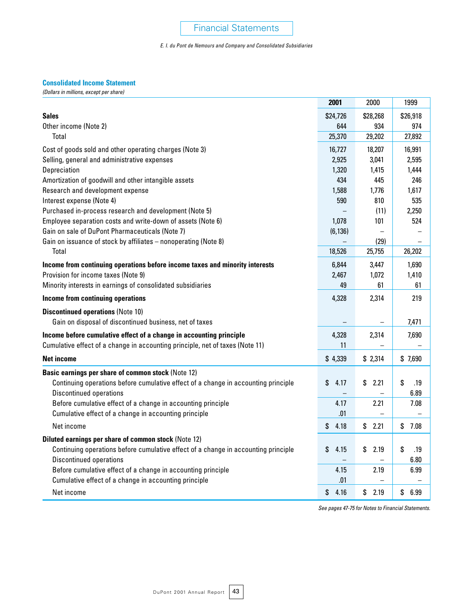#### *E. I. du Pont de Nemours and Company and Consolidated Subsidiaries*

# **Consolidated Income Statement**

*(Dollars in millions, except per share)*

|                                                                                    | 2001                  | 2000           | 1999       |
|------------------------------------------------------------------------------------|-----------------------|----------------|------------|
| <b>Sales</b>                                                                       | \$24,726              | \$28,268       | \$26,918   |
| Other income (Note 2)                                                              | 644                   | 934            | 974        |
| Total                                                                              | 25,370                | 29,202         | 27,892     |
| Cost of goods sold and other operating charges (Note 3)                            | 16,727                | 18,207         | 16,991     |
| Selling, general and administrative expenses                                       | 2,925                 | 3,041          | 2,595      |
| Depreciation                                                                       | 1,320                 | 1,415          | 1,444      |
| Amortization of goodwill and other intangible assets                               | 434                   | 445            | 246        |
| Research and development expense                                                   | 1,588                 | 1,776          | 1,617      |
| Interest expense (Note 4)                                                          | 590                   | 810            | 535        |
| Purchased in-process research and development (Note 5)                             |                       | (11)           | 2,250      |
| Employee separation costs and write-down of assets (Note 6)                        | 1,078                 | 101            | 524        |
| Gain on sale of DuPont Pharmaceuticals (Note 7)                                    | (6, 136)              | $\overline{a}$ |            |
| Gain on issuance of stock by affiliates - nonoperating (Note 8)                    |                       | (29)           |            |
| Total                                                                              | 18,526                | 25,755         | 26,202     |
| Income from continuing operations before income taxes and minority interests       | 6,844                 | 3,447          | 1,690      |
| Provision for income taxes (Note 9)                                                | 2,467                 | 1,072          | 1,410      |
| Minority interests in earnings of consolidated subsidiaries                        | 49                    | 61             | 61         |
| Income from continuing operations                                                  | 4,328                 | 2,314          | 219        |
| <b>Discontinued operations (Note 10)</b>                                           |                       |                |            |
| Gain on disposal of discontinued business, net of taxes                            |                       |                | 7,471      |
| Income before cumulative effect of a change in accounting principle                | 4,328                 | 2,314          | 7,690      |
| Cumulative effect of a change in accounting principle, net of taxes (Note 11)      | 11                    |                |            |
| <b>Net income</b>                                                                  | \$4,339               | \$2,314        | \$7,690    |
| Basic earnings per share of common stock (Note 12)                                 |                       |                |            |
| Continuing operations before cumulative effect of a change in accounting principle | \$<br>4.17            | \$<br>2.21     | \$<br>.19  |
| <b>Discontinued operations</b>                                                     |                       |                | 6.89       |
| Before cumulative effect of a change in accounting principle                       | 4.17                  | 2.21           | 7.08       |
| Cumulative effect of a change in accounting principle                              | .01                   |                |            |
| Net income                                                                         | \$<br>4.18            | 2.21<br>\$     | \$<br>7.08 |
| Diluted earnings per share of common stock (Note 12)                               |                       |                |            |
| Continuing operations before cumulative effect of a change in accounting principle | \$<br>4.15            | \$<br>2.19     | \$<br>.19  |
| <b>Discontinued operations</b>                                                     |                       |                | 6.80       |
| Before cumulative effect of a change in accounting principle                       | 4.15                  | 2.19           | 6.99       |
| Cumulative effect of a change in accounting principle                              | .01                   |                |            |
| Net income                                                                         | $\frac{1}{2}$<br>4.16 | \$2.19         | 6.99<br>\$ |

*See pages 47-75 for Notes to Financial Statements.*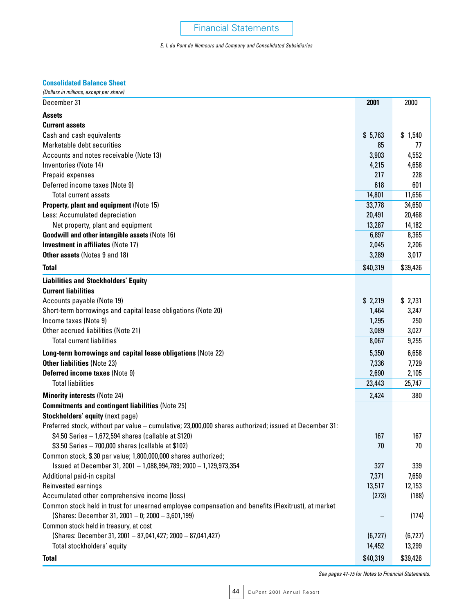*E. I. du Pont de Nemours and Company and Consolidated Subsidiaries*

# **Consolidated Balance Sheet**

| (Dollars in millions, except per share)                                                               |          |          |
|-------------------------------------------------------------------------------------------------------|----------|----------|
| December 31                                                                                           | 2001     | 2000     |
| <b>Assets</b>                                                                                         |          |          |
| <b>Current assets</b>                                                                                 |          |          |
| Cash and cash equivalents                                                                             | \$5,763  | \$1,540  |
| Marketable debt securities                                                                            | 85       | 77       |
| Accounts and notes receivable (Note 13)                                                               | 3,903    | 4,552    |
| Inventories (Note 14)                                                                                 | 4,215    | 4,658    |
| Prepaid expenses                                                                                      | 217      | 228      |
| Deferred income taxes (Note 9)                                                                        | 618      | 601      |
| <b>Total current assets</b>                                                                           | 14,801   | 11,656   |
| Property, plant and equipment (Note 15)                                                               | 33,778   | 34,650   |
| Less: Accumulated depreciation                                                                        | 20,491   | 20,468   |
| Net property, plant and equipment                                                                     | 13,287   | 14,182   |
| <b>Goodwill and other intangible assets (Note 16)</b>                                                 | 6,897    | 8,365    |
| <b>Investment in affiliates (Note 17)</b>                                                             | 2,045    | 2,206    |
| <b>Other assets (Notes 9 and 18)</b>                                                                  | 3,289    | 3,017    |
| <b>Total</b>                                                                                          | \$40,319 | \$39,426 |
| <b>Liabilities and Stockholders' Equity</b>                                                           |          |          |
| <b>Current liabilities</b>                                                                            |          |          |
| Accounts payable (Note 19)                                                                            | \$2,219  | \$2,731  |
| Short-term borrowings and capital lease obligations (Note 20)                                         | 1,464    | 3,247    |
| Income taxes (Note 9)                                                                                 | 1,295    | 250      |
| Other accrued liabilities (Note 21)                                                                   | 3,089    | 3,027    |
| <b>Total current liabilities</b>                                                                      | 8,067    | 9,255    |
| Long-term borrowings and capital lease obligations (Note 22)                                          | 5,350    | 6,658    |
| <b>Other liabilities (Note 23)</b>                                                                    | 7,336    | 7,729    |
| <b>Deferred income taxes (Note 9)</b>                                                                 | 2,690    | 2,105    |
| <b>Total liabilities</b>                                                                              | 23,443   | 25,747   |
| <b>Minority interests (Note 24)</b>                                                                   | 2,424    | 380      |
| <b>Commitments and contingent liabilities (Note 25)</b>                                               |          |          |
| Stockholders' equity (next page)                                                                      |          |          |
| Preferred stock, without par value - cumulative; 23,000,000 shares authorized; issued at December 31: |          |          |
| \$4.50 Series - 1,672,594 shares (callable at \$120)                                                  | 167      | 167      |
| \$3.50 Series - 700,000 shares (callable at \$102)                                                    | 70       | 70       |
| Common stock, \$.30 par value; 1,800,000,000 shares authorized;                                       |          |          |
| Issued at December 31, 2001 - 1,088,994,789; 2000 - 1,129,973,354                                     | 327      | 339      |
| Additional paid-in capital                                                                            | 7,371    | 7,659    |
| Reinvested earnings                                                                                   | 13,517   | 12,153   |
| Accumulated other comprehensive income (loss)                                                         | (273)    | (188)    |
| Common stock held in trust for unearned employee compensation and benefits (Flexitrust), at market    |          |          |
| (Shares: December 31, 2001 - 0; 2000 - 3,601,199)                                                     |          | (174)    |
| Common stock held in treasury, at cost                                                                |          |          |
| (Shares: December 31, 2001 - 87,041,427; 2000 - 87,041,427)                                           | (6, 727) | (6, 727) |
| Total stockholders' equity                                                                            | 14,452   | 13,299   |
| <b>Total</b>                                                                                          | \$40,319 | \$39,426 |

*See pages 47-75 for Notes to Financial Statements.*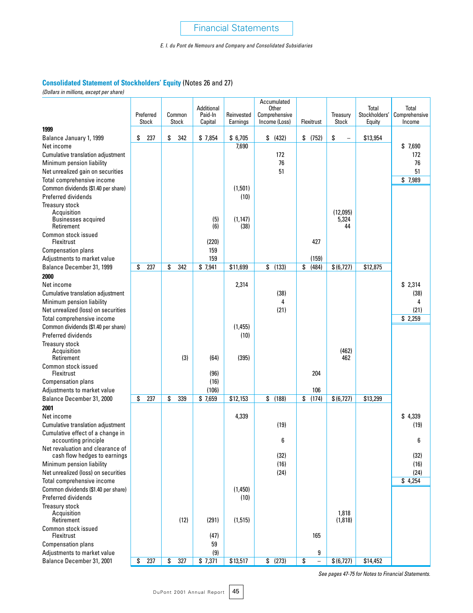# **Consolidated Statement of Stockholders' Equity** (Notes 26 and 27)

*(Dollars in millions, except per share)*

|                                                                  |                    |                        | Additional         |                        | Accumulated<br>Other           |                |                         | Total                   | Total                   |
|------------------------------------------------------------------|--------------------|------------------------|--------------------|------------------------|--------------------------------|----------------|-------------------------|-------------------------|-------------------------|
|                                                                  | Preferred<br>Stock | Common<br><b>Stock</b> | Paid-In<br>Capital | Reinvested<br>Earnings | Comprehensive<br>Income (Loss) | Flexitrust     | Treasury<br>Stock       | Stockholders'<br>Equity | Comprehensive<br>Income |
| 1999                                                             |                    |                        |                    |                        |                                |                |                         |                         |                         |
| Balance January 1, 1999                                          | \$<br>237          | \$<br>342              | \$7,854            | \$6,705                | \$ (432)                       | \$ (752)       | \$<br>$\qquad \qquad -$ | \$13,954                |                         |
| Net income                                                       |                    |                        |                    | 7,690                  |                                |                |                         |                         | \$7,690                 |
| Cumulative translation adjustment                                |                    |                        |                    |                        | 172                            |                |                         |                         | 172                     |
| Minimum pension liability                                        |                    |                        |                    |                        | 76                             |                |                         |                         | 76                      |
| Net unrealized gain on securities                                |                    |                        |                    |                        | 51                             |                |                         |                         | 51                      |
| Total comprehensive income                                       |                    |                        |                    |                        |                                |                |                         |                         | \$7,989                 |
| Common dividends (\$1.40 per share)                              |                    |                        |                    | (1,501)                |                                |                |                         |                         |                         |
| Preferred dividends                                              |                    |                        |                    | (10)                   |                                |                |                         |                         |                         |
| Treasury stock                                                   |                    |                        |                    |                        |                                |                |                         |                         |                         |
| Acquisition                                                      |                    |                        |                    |                        |                                |                | (12,095)                |                         |                         |
| <b>Businesses acquired</b>                                       |                    |                        | (5)                | (1, 147)               |                                |                | 5,324                   |                         |                         |
| Retirement                                                       |                    |                        | (6)                | (38)                   |                                |                | 44                      |                         |                         |
| Common stock issued<br>Flexitrust                                |                    |                        | (220)              |                        |                                | 427            |                         |                         |                         |
| <b>Compensation plans</b>                                        |                    |                        | 159                |                        |                                |                |                         |                         |                         |
| Adjustments to market value                                      |                    |                        | 159                |                        |                                | (159)          |                         |                         |                         |
| Balance December 31, 1999                                        | \$<br>237          | \$<br>342              | \$7,941            | \$11,699               | (133)<br>\$                    | \$<br>(484)    | \$ (6, 727)             | \$12,875                |                         |
| 2000                                                             |                    |                        |                    |                        |                                |                |                         |                         |                         |
| Net income                                                       |                    |                        |                    | 2,314                  |                                |                |                         |                         | \$2,314                 |
| Cumulative translation adjustment                                |                    |                        |                    |                        | (38)                           |                |                         |                         | (38)                    |
| Minimum pension liability                                        |                    |                        |                    |                        | 4                              |                |                         |                         | 4                       |
| Net unrealized (loss) on securities                              |                    |                        |                    |                        | (21)                           |                |                         |                         | (21)                    |
| Total comprehensive income                                       |                    |                        |                    |                        |                                |                |                         |                         | \$2,259                 |
| Common dividends (\$1.40 per share)                              |                    |                        |                    | (1, 455)               |                                |                |                         |                         |                         |
| Preferred dividends                                              |                    |                        |                    | (10)                   |                                |                |                         |                         |                         |
| Treasury stock                                                   |                    |                        |                    |                        |                                |                |                         |                         |                         |
| Acquisition                                                      |                    |                        |                    |                        |                                |                | (462)                   |                         |                         |
| Retirement                                                       |                    | (3)                    | (64)               | (395)                  |                                |                | 462                     |                         |                         |
| Common stock issued                                              |                    |                        |                    |                        |                                |                |                         |                         |                         |
| Flexitrust                                                       |                    |                        | (96)               |                        |                                | 204            |                         |                         |                         |
| <b>Compensation plans</b>                                        |                    |                        | (16)               |                        |                                |                |                         |                         |                         |
| Adjustments to market value                                      |                    |                        | (106)              |                        |                                | 106            |                         |                         |                         |
| Balance December 31, 2000                                        | \$<br>237          | \$<br>339              | \$7,659            | \$12,153               | (188)<br>\$                    | \$<br>(174)    | \$ (6, 727)             | \$13,299                |                         |
| 2001                                                             |                    |                        |                    |                        |                                |                |                         |                         |                         |
| Net income                                                       |                    |                        |                    | 4,339                  |                                |                |                         |                         | \$4,339                 |
| Cumulative translation adjustment                                |                    |                        |                    |                        | (19)                           |                |                         |                         | (19)                    |
| Cumulative effect of a change in<br>accounting principle         |                    |                        |                    |                        | 6                              |                |                         |                         | 6                       |
| Net revaluation and clearance of<br>cash flow hedges to earnings |                    |                        |                    |                        | (32)                           |                |                         |                         | (32)                    |
| Minimum pension liability                                        |                    |                        |                    |                        | (16)                           |                |                         |                         | (16)                    |
| Net unrealized (loss) on securities                              |                    |                        |                    |                        | (24)                           |                |                         |                         | (24)                    |
| Total comprehensive income                                       |                    |                        |                    |                        |                                |                |                         |                         | \$4,254                 |
| Common dividends (\$1.40 per share)                              |                    |                        |                    | (1,450)                |                                |                |                         |                         |                         |
| Preferred dividends                                              |                    |                        |                    | (10)                   |                                |                |                         |                         |                         |
| Treasury stock                                                   |                    |                        |                    |                        |                                |                |                         |                         |                         |
| Acquisition                                                      |                    |                        |                    |                        |                                |                | 1,818                   |                         |                         |
| Retirement                                                       |                    | (12)                   | (291)              | (1, 515)               |                                |                | (1, 818)                |                         |                         |
| Common stock issued<br>Flexitrust                                |                    |                        | (47)               |                        |                                | 165            |                         |                         |                         |
| <b>Compensation plans</b>                                        |                    |                        | 59                 |                        |                                |                |                         |                         |                         |
| Adjustments to market value                                      |                    |                        | (9)                |                        |                                | 9              |                         |                         |                         |
| Balance December 31, 2001                                        | \$<br>237          | \$<br>327              | \$7,371            | \$13,517               | \$ (273)                       | \$<br>$\equiv$ | \$ (6, 727)             | \$14,452                |                         |
|                                                                  |                    |                        |                    |                        |                                |                |                         |                         |                         |

*See pages 47-75 for Notes to Financial Statements.*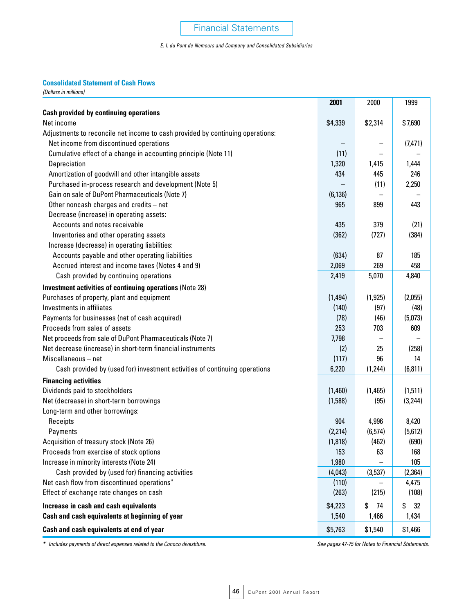#### *E. I. du Pont de Nemours and Company and Consolidated Subsidiaries*

# **Consolidated Statement of Cash Flows**

*(Dollars in millions)*

|                                                                                | 2001     | 2000                     | 1999     |
|--------------------------------------------------------------------------------|----------|--------------------------|----------|
| <b>Cash provided by continuing operations</b>                                  |          |                          |          |
| Net income                                                                     | \$4,339  | \$2,314                  | \$7,690  |
| Adjustments to reconcile net income to cash provided by continuing operations: |          |                          |          |
| Net income from discontinued operations                                        |          |                          | (7, 471) |
| Cumulative effect of a change in accounting principle (Note 11)                | (11)     | $\qquad \qquad -$        |          |
| Depreciation                                                                   | 1,320    | 1,415                    | 1,444    |
| Amortization of goodwill and other intangible assets                           | 434      | 445                      | 246      |
| Purchased in-process research and development (Note 5)                         |          | (11)                     | 2,250    |
| Gain on sale of DuPont Pharmaceuticals (Note 7)                                | (6, 136) | $\overline{\phantom{0}}$ |          |
| Other noncash charges and credits - net                                        | 965      | 899                      | 443      |
| Decrease (increase) in operating assets:                                       |          |                          |          |
| Accounts and notes receivable                                                  | 435      | 379                      | (21)     |
| Inventories and other operating assets                                         | (362)    | (727)                    | (384)    |
| Increase (decrease) in operating liabilities:                                  |          |                          |          |
| Accounts payable and other operating liabilities                               | (634)    | 87                       | 185      |
| Accrued interest and income taxes (Notes 4 and 9)                              | 2,069    | 269                      | 458      |
| Cash provided by continuing operations                                         | 2,419    | 5,070                    | 4,840    |
| Investment activities of continuing operations (Note 28)                       |          |                          |          |
| Purchases of property, plant and equipment                                     | (1, 494) | (1, 925)                 | (2,055)  |
| Investments in affiliates                                                      | (140)    | (97)                     | (48)     |
| Payments for businesses (net of cash acquired)                                 | (78)     | (46)                     | (5,073)  |
| Proceeds from sales of assets                                                  | 253      | 703                      | 609      |
| Net proceeds from sale of DuPont Pharmaceuticals (Note 7)                      | 7,798    |                          |          |
| Net decrease (increase) in short-term financial instruments                    | (2)      | 25                       | (258)    |
| Miscellaneous-net                                                              | (117)    | 96                       | 14       |
| Cash provided by (used for) investment activities of continuing operations     | 6,220    | (1, 244)                 | (6, 811) |
| <b>Financing activities</b>                                                    |          |                          |          |
| Dividends paid to stockholders                                                 | (1,460)  | (1, 465)                 | (1, 511) |
| Net (decrease) in short-term borrowings                                        | (1,588)  | (95)                     | (3, 244) |
| Long-term and other borrowings:                                                |          |                          |          |
| Receipts                                                                       | 904      | 4,996                    | 8,420    |
| Payments                                                                       | (2, 214) | (6, 574)                 | (5,612)  |
| Acquisition of treasury stock (Note 26)                                        | (1,818)  | (462)                    | (690)    |
| Proceeds from exercise of stock options                                        | 153      | 63                       | 168      |
| Increase in minority interests (Note 24)                                       | 1,980    |                          | 105      |
| Cash provided by (used for) financing activities                               | (4,043)  | (3,537)                  | (2, 364) |
| Net cash flow from discontinued operations*                                    | (110)    |                          | 4,475    |
| Effect of exchange rate changes on cash                                        | (263)    | (215)                    | (108)    |
| Increase in cash and cash equivalents                                          | \$4,223  | \$<br>74                 | \$<br>32 |
| Cash and cash equivalents at beginning of year                                 | 1,540    | 1,466                    | 1,434    |
| Cash and cash equivalents at end of year                                       | \$5,763  | \$1,540                  | \$1,466  |

*\* Includes payments of direct expenses related to the Conoco divestiture. See pages 47-75 for Notes to Financial Statements.*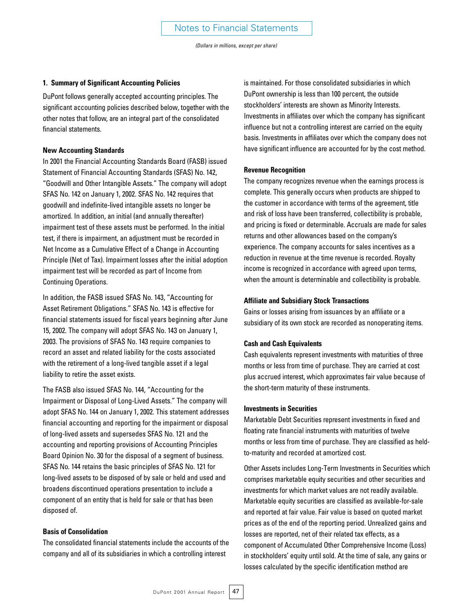## **1. Summary of Significant Accounting Policies**

DuPont follows generally accepted accounting principles. The significant accounting policies described below, together with the other notes that follow, are an integral part of the consolidated financial statements.

# **New Accounting Standards**

In 2001 the Financial Accounting Standards Board (FASB) issued Statement of Financial Accounting Standards (SFAS) No. 142, "Goodwill and Other Intangible Assets." The company will adopt SFAS No. 142 on January 1, 2002. SFAS No. 142 requires that goodwill and indefinite-lived intangible assets no longer be amortized. In addition, an initial (and annually thereafter) impairment test of these assets must be performed. In the initial test, if there is impairment, an adjustment must be recorded in Net Income as a Cumulative Effect of a Change in Accounting Principle (Net of Tax). Impairment losses after the initial adoption impairment test will be recorded as part of Income from Continuing Operations.

In addition, the FASB issued SFAS No. 143, "Accounting for Asset Retirement Obligations." SFAS No. 143 is effective for financial statements issued for fiscal years beginning after June 15, 2002. The company will adopt SFAS No. 143 on January 1, 2003. The provisions of SFAS No. 143 require companies to record an asset and related liability for the costs associated with the retirement of a long-lived tangible asset if a legal liability to retire the asset exists.

The FASB also issued SFAS No. 144, "Accounting for the Impairment or Disposal of Long-Lived Assets." The company will adopt SFAS No. 144 on January 1, 2002. This statement addresses financial accounting and reporting for the impairment or disposal of long-lived assets and supersedes SFAS No. 121 and the accounting and reporting provisions of Accounting Principles Board Opinion No. 30 for the disposal of a segment of business. SFAS No. 144 retains the basic principles of SFAS No. 121 for long-lived assets to be disposed of by sale or held and used and broadens discontinued operations presentation to include a component of an entity that is held for sale or that has been disposed of.

# **Basis of Consolidation**

The consolidated financial statements include the accounts of the company and all of its subsidiaries in which a controlling interest

is maintained. For those consolidated subsidiaries in which DuPont ownership is less than 100 percent, the outside stockholders' interests are shown as Minority Interests. Investments in affiliates over which the company has significant influence but not a controlling interest are carried on the equity basis. Investments in affiliates over which the company does not have significant influence are accounted for by the cost method.

#### **Revenue Recognition**

The company recognizes revenue when the earnings process is complete. This generally occurs when products are shipped to the customer in accordance with terms of the agreement, title and risk of loss have been transferred, collectibility is probable, and pricing is fixed or determinable. Accruals are made for sales returns and other allowances based on the company's experience. The company accounts for sales incentives as a reduction in revenue at the time revenue is recorded. Royalty income is recognized in accordance with agreed upon terms, when the amount is determinable and collectibility is probable.

#### **Affiliate and Subsidiary Stock Transactions**

Gains or losses arising from issuances by an affiliate or a subsidiary of its own stock are recorded as nonoperating items.

# **Cash and Cash Equivalents**

Cash equivalents represent investments with maturities of three months or less from time of purchase. They are carried at cost plus accrued interest, which approximates fair value because of the short-term maturity of these instruments.

## **Investments in Securities**

Marketable Debt Securities represent investments in fixed and floating rate financial instruments with maturities of twelve months or less from time of purchase. They are classified as heldto-maturity and recorded at amortized cost.

Other Assets includes Long-Term Investments in Securities which comprises marketable equity securities and other securities and investments for which market values are not readily available. Marketable equity securities are classified as available-for-sale and reported at fair value. Fair value is based on quoted market prices as of the end of the reporting period. Unrealized gains and losses are reported, net of their related tax effects, as a component of Accumulated Other Comprehensive Income (Loss) in stockholders' equity until sold. At the time of sale, any gains or losses calculated by the specific identification method are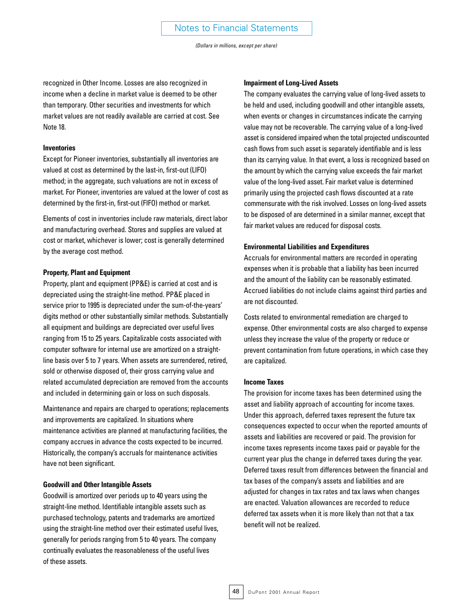recognized in Other Income. Losses are also recognized in income when a decline in market value is deemed to be other than temporary. Other securities and investments for which market values are not readily available are carried at cost. See Note 18.

## **Inventories**

Except for Pioneer inventories, substantially all inventories are valued at cost as determined by the last-in, first-out (LIFO) method; in the aggregate, such valuations are not in excess of market. For Pioneer, inventories are valued at the lower of cost as determined by the first-in, first-out (FIFO) method or market.

Elements of cost in inventories include raw materials, direct labor and manufacturing overhead. Stores and supplies are valued at cost or market, whichever is lower; cost is generally determined by the average cost method.

# **Property, Plant and Equipment**

Property, plant and equipment (PP&E) is carried at cost and is depreciated using the straight-line method. PP&E placed in service prior to 1995 is depreciated under the sum-of-the-years' digits method or other substantially similar methods. Substantially all equipment and buildings are depreciated over useful lives ranging from 15 to 25 years. Capitalizable costs associated with computer software for internal use are amortized on a straightline basis over 5 to 7 years. When assets are surrendered, retired, sold or otherwise disposed of, their gross carrying value and related accumulated depreciation are removed from the accounts and included in determining gain or loss on such disposals.

Maintenance and repairs are charged to operations; replacements and improvements are capitalized. In situations where maintenance activities are planned at manufacturing facilities, the company accrues in advance the costs expected to be incurred. Historically, the company's accruals for maintenance activities have not been significant.

# **Goodwill and Other Intangible Assets**

Goodwill is amortized over periods up to 40 years using the straight-line method. Identifiable intangible assets such as purchased technology, patents and trademarks are amortized using the straight-line method over their estimated useful lives, generally for periods ranging from 5 to 40 years. The company continually evaluates the reasonableness of the useful lives of these assets.

# **Impairment of Long-Lived Assets**

The company evaluates the carrying value of long-lived assets to be held and used, including goodwill and other intangible assets, when events or changes in circumstances indicate the carrying value may not be recoverable. The carrying value of a long-lived asset is considered impaired when the total projected undiscounted cash flows from such asset is separately identifiable and is less than its carrying value. In that event, a loss is recognized based on the amount by which the carrying value exceeds the fair market value of the long-lived asset. Fair market value is determined primarily using the projected cash flows discounted at a rate commensurate with the risk involved. Losses on long-lived assets to be disposed of are determined in a similar manner, except that fair market values are reduced for disposal costs.

# **Environmental Liabilities and Expenditures**

Accruals for environmental matters are recorded in operating expenses when it is probable that a liability has been incurred and the amount of the liability can be reasonably estimated. Accrued liabilities do not include claims against third parties and are not discounted.

Costs related to environmental remediation are charged to expense. Other environmental costs are also charged to expense unless they increase the value of the property or reduce or prevent contamination from future operations, in which case they are capitalized.

# **Income Taxes**

The provision for income taxes has been determined using the asset and liability approach of accounting for income taxes. Under this approach, deferred taxes represent the future tax consequences expected to occur when the reported amounts of assets and liabilities are recovered or paid. The provision for income taxes represents income taxes paid or payable for the current year plus the change in deferred taxes during the year. Deferred taxes result from differences between the financial and tax bases of the company's assets and liabilities and are adjusted for changes in tax rates and tax laws when changes are enacted. Valuation allowances are recorded to reduce deferred tax assets when it is more likely than not that a tax benefit will not be realized.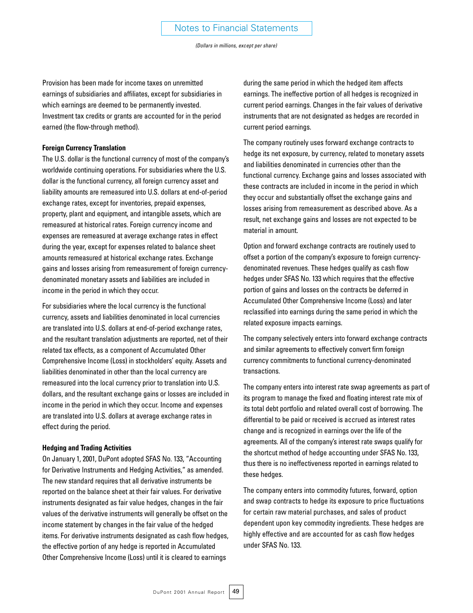# Notes to Financial Statements

*(Dollars in millions, except per share)*

Provision has been made for income taxes on unremitted earnings of subsidiaries and affiliates, except for subsidiaries in which earnings are deemed to be permanently invested. Investment tax credits or grants are accounted for in the period earned (the flow-through method).

#### **Foreign Currency Translation**

The U.S. dollar is the functional currency of most of the company's worldwide continuing operations. For subsidiaries where the U.S. dollar is the functional currency, all foreign currency asset and liability amounts are remeasured into U.S. dollars at end-of-period exchange rates, except for inventories, prepaid expenses, property, plant and equipment, and intangible assets, which are remeasured at historical rates. Foreign currency income and expenses are remeasured at average exchange rates in effect during the year, except for expenses related to balance sheet amounts remeasured at historical exchange rates. Exchange gains and losses arising from remeasurement of foreign currencydenominated monetary assets and liabilities are included in income in the period in which they occur.

For subsidiaries where the local currency is the functional currency, assets and liabilities denominated in local currencies are translated into U.S. dollars at end-of-period exchange rates, and the resultant translation adjustments are reported, net of their related tax effects, as a component of Accumulated Other Comprehensive Income (Loss) in stockholders' equity. Assets and liabilities denominated in other than the local currency are remeasured into the local currency prior to translation into U.S. dollars, and the resultant exchange gains or losses are included in income in the period in which they occur. Income and expenses are translated into U.S. dollars at average exchange rates in effect during the period.

#### **Hedging and Trading Activities**

On January 1, 2001, DuPont adopted SFAS No. 133, "Accounting for Derivative Instruments and Hedging Activities," as amended. The new standard requires that all derivative instruments be reported on the balance sheet at their fair values. For derivative instruments designated as fair value hedges, changes in the fair values of the derivative instruments will generally be offset on the income statement by changes in the fair value of the hedged items. For derivative instruments designated as cash flow hedges, the effective portion of any hedge is reported in Accumulated Other Comprehensive Income (Loss) until it is cleared to earnings

during the same period in which the hedged item affects earnings. The ineffective portion of all hedges is recognized in current period earnings. Changes in the fair values of derivative instruments that are not designated as hedges are recorded in current period earnings.

The company routinely uses forward exchange contracts to hedge its net exposure, by currency, related to monetary assets and liabilities denominated in currencies other than the functional currency. Exchange gains and losses associated with these contracts are included in income in the period in which they occur and substantially offset the exchange gains and losses arising from remeasurement as described above. As a result, net exchange gains and losses are not expected to be material in amount.

Option and forward exchange contracts are routinely used to offset a portion of the company's exposure to foreign currencydenominated revenues. These hedges qualify as cash flow hedges under SFAS No. 133 which requires that the effective portion of gains and losses on the contracts be deferred in Accumulated Other Comprehensive Income (Loss) and later reclassified into earnings during the same period in which the related exposure impacts earnings.

The company selectively enters into forward exchange contracts and similar agreements to effectively convert firm foreign currency commitments to functional currency-denominated transactions.

The company enters into interest rate swap agreements as part of its program to manage the fixed and floating interest rate mix of its total debt portfolio and related overall cost of borrowing. The differential to be paid or received is accrued as interest rates change and is recognized in earnings over the life of the agreements. All of the company's interest rate swaps qualify for the shortcut method of hedge accounting under SFAS No. 133, thus there is no ineffectiveness reported in earnings related to these hedges.

The company enters into commodity futures, forward, option and swap contracts to hedge its exposure to price fluctuations for certain raw material purchases, and sales of product dependent upon key commodity ingredients. These hedges are highly effective and are accounted for as cash flow hedges under SFAS No. 133.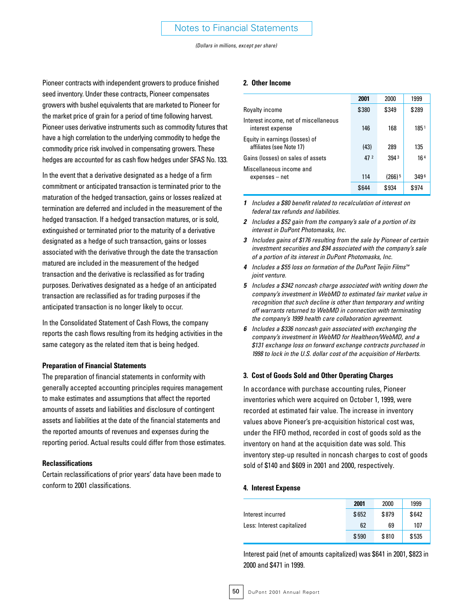# Notes to Financial Statements

*(Dollars in millions, except per share)*

Pioneer contracts with independent growers to produce finished seed inventory. Under these contracts, Pioneer compensates growers with bushel equivalents that are marketed to Pioneer for the market price of grain for a period of time following harvest. Pioneer uses derivative instruments such as commodity futures that have a high correlation to the underlying commodity to hedge the commodity price risk involved in compensating growers. These hedges are accounted for as cash flow hedges under SFAS No. 133.

In the event that a derivative designated as a hedge of a firm commitment or anticipated transaction is terminated prior to the maturation of the hedged transaction, gains or losses realized at termination are deferred and included in the measurement of the hedged transaction. If a hedged transaction matures, or is sold, extinguished or terminated prior to the maturity of a derivative designated as a hedge of such transaction, gains or losses associated with the derivative through the date the transaction matured are included in the measurement of the hedged transaction and the derivative is reclassified as for trading purposes. Derivatives designated as a hedge of an anticipated transaction are reclassified as for trading purposes if the anticipated transaction is no longer likely to occur.

In the Consolidated Statement of Cash Flows, the company reports the cash flows resulting from its hedging activities in the same category as the related item that is being hedged.

#### **Preparation of Financial Statements**

The preparation of financial statements in conformity with generally accepted accounting principles requires management to make estimates and assumptions that affect the reported amounts of assets and liabilities and disclosure of contingent assets and liabilities at the date of the financial statements and the reported amounts of revenues and expenses during the reporting period. Actual results could differ from those estimates.

## **Reclassifications**

Certain reclassifications of prior years' data have been made to conform to 2001 classifications.

#### **2. Other Income**

|                                                            | 2001  | 2000                 | 1999            |
|------------------------------------------------------------|-------|----------------------|-----------------|
| Royalty income                                             | \$380 | \$349                | \$289           |
| Interest income, net of miscellaneous<br>interest expense  | 146   | 168                  | 1851            |
| Equity in earnings (losses) of<br>affiliates (see Note 17) | (43)  | 289                  | 135             |
| Gains (losses) on sales of assets                          | 472   | 3943                 | 16 <sup>4</sup> |
| Miscellaneous income and<br>expenses – net                 | 114   | $(266)$ <sup>5</sup> | 3496            |
|                                                            | \$644 | \$934                | \$974           |

*1 Includes a \$80 benefit related to recalculation of interest on federal tax refunds and liabilities.* 

- *2 Includes a \$52 gain from the company's sale of a portion of its interest in DuPont Photomasks, Inc.*
- *3 Includes gains of \$176 resulting from the sale by Pioneer of certain investment securities and \$94 associated with the company's sale of a portion of its interest in DuPont Photomasks, Inc.*
- *4 Includes a \$55 loss on formation of the DuPont Teijin Films™ joint venture.*
- *5 Includes a \$342 noncash charge associated with writing down the company's investment in WebMD to estimated fair market value in recognition that such decline is other than temporary and writing off warrants returned to WebMD in connection with terminating the company's 1999 health care collaboration agreement.*
- *6 Includes a \$336 noncash gain associated with exchanging the company's investment in WebMD for Healtheon/WebMD, and a \$131 exchange loss on forward exchange contracts purchased in 1998 to lock in the U.S. dollar cost of the acquisition of Herberts.*

#### **3. Cost of Goods Sold and Other Operating Charges**

In accordance with purchase accounting rules, Pioneer inventories which were acquired on October 1, 1999, were recorded at estimated fair value. The increase in inventory values above Pioneer's pre-acquisition historical cost was, under the FIFO method, recorded in cost of goods sold as the inventory on hand at the acquisition date was sold. This inventory step-up resulted in noncash charges to cost of goods sold of \$140 and \$609 in 2001 and 2000, respectively.

#### **4. Interest Expense**

|                            | 2001  | 2000  | 1999  |
|----------------------------|-------|-------|-------|
| Interest incurred          | \$652 | \$879 | \$642 |
| Less: Interest capitalized | 62    | 69    | 107   |
|                            | \$590 | \$810 | \$535 |

Interest paid (net of amounts capitalized) was \$641 in 2001, \$823 in 2000 and \$471 in 1999.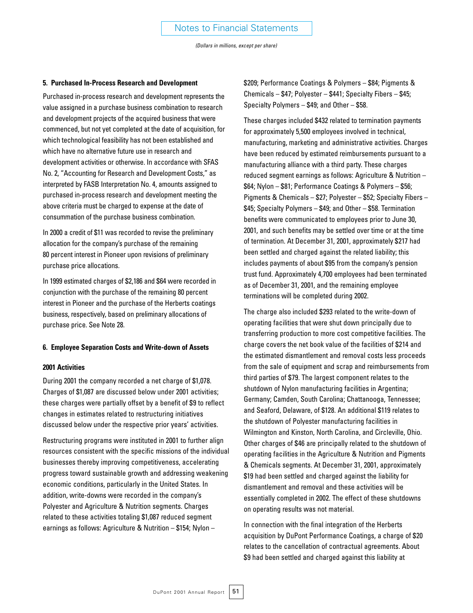#### **5. Purchased In-Process Research and Development**

Purchased in-process research and development represents the value assigned in a purchase business combination to research and development projects of the acquired business that were commenced, but not yet completed at the date of acquisition, for which technological feasibility has not been established and which have no alternative future use in research and development activities or otherwise. In accordance with SFAS No. 2, "Accounting for Research and Development Costs," as interpreted by FASB Interpretation No. 4, amounts assigned to purchased in-process research and development meeting the above criteria must be charged to expense at the date of consummation of the purchase business combination.

In 2000 a credit of \$11 was recorded to revise the preliminary allocation for the company's purchase of the remaining 80 percent interest in Pioneer upon revisions of preliminary purchase price allocations.

In 1999 estimated charges of \$2,186 and \$64 were recorded in conjunction with the purchase of the remaining 80 percent interest in Pioneer and the purchase of the Herberts coatings business, respectively, based on preliminary allocations of purchase price. See Note 28.

# **6. Employee Separation Costs and Write-down of Assets**

#### **2001 Activities**

During 2001 the company recorded a net charge of \$1,078. Charges of \$1,087 are discussed below under 2001 activities; these charges were partially offset by a benefit of \$9 to reflect changes in estimates related to restructuring initiatives discussed below under the respective prior years' activities.

Restructuring programs were instituted in 2001 to further align resources consistent with the specific missions of the individual businesses thereby improving competitiveness, accelerating progress toward sustainable growth and addressing weakening economic conditions, particularly in the United States. In addition, write-downs were recorded in the company's Polyester and Agriculture & Nutrition segments. Charges related to these activities totaling \$1,087 reduced segment earnings as follows: Agriculture & Nutrition – \$154; Nylon –

\$209; Performance Coatings & Polymers – \$84; Pigments & Chemicals – \$47; Polyester – \$441; Specialty Fibers – \$45; Specialty Polymers – \$49; and Other – \$58.

These charges included \$432 related to termination payments for approximately 5,500 employees involved in technical, manufacturing, marketing and administrative activities. Charges have been reduced by estimated reimbursements pursuant to a manufacturing alliance with a third party. These charges reduced segment earnings as follows: Agriculture & Nutrition – \$64; Nylon – \$81; Performance Coatings & Polymers – \$56; Pigments & Chemicals – \$27; Polyester – \$52; Specialty Fibers – \$45; Specialty Polymers – \$49; and Other – \$58. Termination benefits were communicated to employees prior to June 30, 2001, and such benefits may be settled over time or at the time of termination. At December 31, 2001, approximately \$217 had been settled and charged against the related liability; this includes payments of about \$95 from the company's pension trust fund. Approximately 4,700 employees had been terminated as of December 31, 2001, and the remaining employee terminations will be completed during 2002.

The charge also included \$293 related to the write-down of operating facilities that were shut down principally due to transferring production to more cost competitive facilities. The charge covers the net book value of the facilities of \$214 and the estimated dismantlement and removal costs less proceeds from the sale of equipment and scrap and reimbursements from third parties of \$79. The largest component relates to the shutdown of Nylon manufacturing facilities in Argentina; Germany; Camden, South Carolina; Chattanooga, Tennessee; and Seaford, Delaware, of \$128. An additional \$119 relates to the shutdown of Polyester manufacturing facilities in Wilmington and Kinston, North Carolina, and Circleville, Ohio. Other charges of \$46 are principally related to the shutdown of operating facilities in the Agriculture & Nutrition and Pigments & Chemicals segments. At December 31, 2001, approximately \$19 had been settled and charged against the liability for dismantlement and removal and these activities will be essentially completed in 2002. The effect of these shutdowns on operating results was not material.

In connection with the final integration of the Herberts acquisition by DuPont Performance Coatings, a charge of \$20 relates to the cancellation of contractual agreements. About \$9 had been settled and charged against this liability at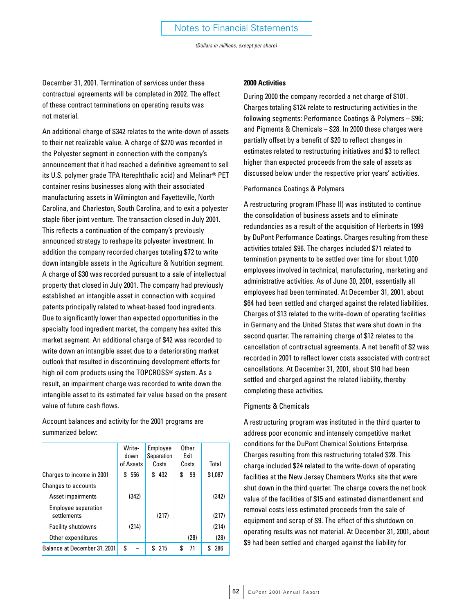# Notes to Financial Statements

*(Dollars in millions, except per share)*

December 31, 2001. Termination of services under these contractual agreements will be completed in 2002. The effect of these contract terminations on operating results was not material.

An additional charge of \$342 relates to the write-down of assets to their net realizable value. A charge of \$270 was recorded in the Polyester segment in connection with the company's announcement that it had reached a definitive agreement to sell its U.S. polymer grade TPA (terephthalic acid) and Melinar® PET container resins businesses along with their associated manufacturing assets in Wilmington and Fayetteville, North Carolina, and Charleston, South Carolina, and to exit a polyester staple fiber joint venture. The transaction closed in July 2001. This reflects a continuation of the company's previously announced strategy to reshape its polyester investment. In addition the company recorded charges totaling \$72 to write down intangible assets in the Agriculture & Nutrition segment. A charge of \$30 was recorded pursuant to a sale of intellectual property that closed in July 2001. The company had previously established an intangible asset in connection with acquired patents principally related to wheat-based food ingredients. Due to significantly lower than expected opportunities in the specialty food ingredient market, the company has exited this market segment. An additional charge of \$42 was recorded to write down an intangible asset due to a deteriorating market outlook that resulted in discontinuing development efforts for high oil corn products using the TOPCROSS® system. As a result, an impairment charge was recorded to write down the intangible asset to its estimated fair value based on the present value of future cash flows.

Account balances and activity for the 2001 programs are summarized below:

|                                           | Write-<br>down<br>of Assets | Employee<br>Separation<br>Costs | Other<br>Exit<br>Costs | Total   |
|-------------------------------------------|-----------------------------|---------------------------------|------------------------|---------|
| Charges to income in 2001                 | 556<br>\$                   | 432<br>S                        | 99<br>\$               | \$1,087 |
| <b>Changes to accounts</b>                |                             |                                 |                        |         |
| Asset impairments                         | (342)                       |                                 |                        | (342)   |
| <b>Employee separation</b><br>settlements |                             | (217)                           |                        | (217)   |
| <b>Facility shutdowns</b>                 | (214)                       |                                 |                        | (214)   |
| Other expenditures                        |                             |                                 | (28)                   | (28)    |
| Balance at December 31, 2001              | \$                          | 215                             | 71                     | 286     |

#### **2000 Activities**

During 2000 the company recorded a net charge of \$101. Charges totaling \$124 relate to restructuring activities in the following segments: Performance Coatings & Polymers – \$96; and Pigments & Chemicals – \$28. In 2000 these charges were partially offset by a benefit of \$20 to reflect changes in estimates related to restructuring initiatives and \$3 to reflect higher than expected proceeds from the sale of assets as discussed below under the respective prior years' activities.

## Performance Coatings & Polymers

A restructuring program (Phase II) was instituted to continue the consolidation of business assets and to eliminate redundancies as a result of the acquisition of Herberts in 1999 by DuPont Performance Coatings. Charges resulting from these activities totaled \$96. The charges included \$71 related to termination payments to be settled over time for about 1,000 employees involved in technical, manufacturing, marketing and administrative activities. As of June 30, 2001, essentially all employees had been terminated. At December 31, 2001, about \$64 had been settled and charged against the related liabilities. Charges of \$13 related to the write-down of operating facilities in Germany and the United States that were shut down in the second quarter. The remaining charge of \$12 relates to the cancellation of contractual agreements. A net benefit of \$2 was recorded in 2001 to reflect lower costs associated with contract cancellations. At December 31, 2001, about \$10 had been settled and charged against the related liability, thereby completing these activities.

#### Pigments & Chemicals

A restructuring program was instituted in the third quarter to address poor economic and intensely competitive market conditions for the DuPont Chemical Solutions Enterprise. Charges resulting from this restructuring totaled \$28. This charge included \$24 related to the write-down of operating facilities at the New Jersey Chambers Works site that were shut down in the third quarter. The charge covers the net book value of the facilities of \$15 and estimated dismantlement and removal costs less estimated proceeds from the sale of equipment and scrap of \$9. The effect of this shutdown on operating results was not material. At December 31, 2001, about \$9 had been settled and charged against the liability for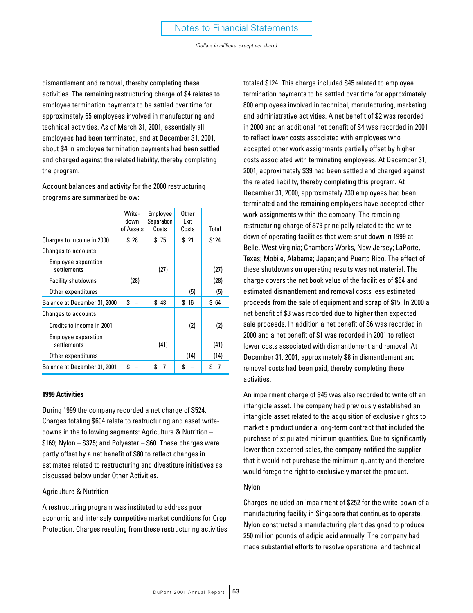dismantlement and removal, thereby completing these activities. The remaining restructuring charge of \$4 relates to employee termination payments to be settled over time for approximately 65 employees involved in manufacturing and technical activities. As of March 31, 2001, essentially all employees had been terminated, and at December 31, 2001, about \$4 in employee termination payments had been settled and charged against the related liability, thereby completing the program.

Account balances and activity for the 2000 restructuring programs are summarized below:

|                                           | Write-<br>down<br>of Assets | Employee<br>Separation<br>Costs | Other<br>Exit<br>Costs | Total |
|-------------------------------------------|-----------------------------|---------------------------------|------------------------|-------|
| Charges to income in 2000                 | \$28                        | \$75                            | \$21                   | \$124 |
| Changes to accounts                       |                             |                                 |                        |       |
| <b>Employee separation</b><br>settlements |                             | (27)                            |                        | (27)  |
| <b>Facility shutdowns</b>                 | (28)                        |                                 |                        | (28)  |
| Other expenditures                        |                             |                                 | (5)                    | (5)   |
| Balance at December 31, 2000              | \$                          | \$ 48                           | \$<br>16               | \$64  |
| <b>Changes to accounts</b>                |                             |                                 |                        |       |
| Credits to income in 2001                 |                             |                                 | (2)                    | (2)   |
| <b>Employee separation</b><br>settlements |                             | (41)                            |                        | (41)  |
| Other expenditures                        |                             |                                 | (14)                   | (14)  |
| Balance at December 31, 2001              | \$                          | \$<br>7                         | \$                     | \$    |

#### **1999 Activities**

During 1999 the company recorded a net charge of \$524. Charges totaling \$604 relate to restructuring and asset writedowns in the following segments: Agriculture & Nutrition – \$169; Nylon – \$375; and Polyester – \$60. These charges were partly offset by a net benefit of \$80 to reflect changes in estimates related to restructuring and divestiture initiatives as discussed below under Other Activities.

#### Agriculture & Nutrition

A restructuring program was instituted to address poor economic and intensely competitive market conditions for Crop Protection. Charges resulting from these restructuring activities totaled \$124. This charge included \$45 related to employee termination payments to be settled over time for approximately 800 employees involved in technical, manufacturing, marketing and administrative activities. A net benefit of \$2 was recorded in 2000 and an additional net benefit of \$4 was recorded in 2001 to reflect lower costs associated with employees who accepted other work assignments partially offset by higher costs associated with terminating employees. At December 31, 2001, approximately \$39 had been settled and charged against the related liability, thereby completing this program. At December 31, 2000, approximately 730 employees had been terminated and the remaining employees have accepted other work assignments within the company. The remaining restructuring charge of \$79 principally related to the writedown of operating facilities that were shut down in 1999 at Belle, West Virginia; Chambers Works, New Jersey; LaPorte, Texas; Mobile, Alabama; Japan; and Puerto Rico. The effect of these shutdowns on operating results was not material. The charge covers the net book value of the facilities of \$64 and estimated dismantlement and removal costs less estimated proceeds from the sale of equipment and scrap of \$15. In 2000 a net benefit of \$3 was recorded due to higher than expected sale proceeds. In addition a net benefit of \$6 was recorded in 2000 and a net benefit of \$1 was recorded in 2001 to reflect lower costs associated with dismantlement and removal. At December 31, 2001, approximately \$8 in dismantlement and removal costs had been paid, thereby completing these activities.

An impairment charge of \$45 was also recorded to write off an intangible asset. The company had previously established an intangible asset related to the acquisition of exclusive rights to market a product under a long-term contract that included the purchase of stipulated minimum quantities. Due to significantly lower than expected sales, the company notified the supplier that it would not purchase the minimum quantity and therefore would forego the right to exclusively market the product.

#### Nylon

Charges included an impairment of \$252 for the write-down of a manufacturing facility in Singapore that continues to operate. Nylon constructed a manufacturing plant designed to produce 250 million pounds of adipic acid annually. The company had made substantial efforts to resolve operational and technical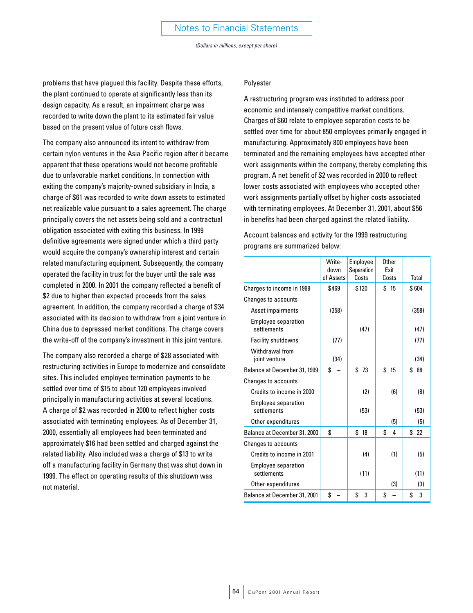# Notes to Financial Statements

problems that have plagued this facility. Despite these efforts, the plant continued to operate at significantly less than its design capacity. As a result, an impairment charge was recorded to write down the plant to its estimated fair value based on the present value of future cash flows.

The company also announced its intent to withdraw from certain nylon ventures in the Asia Pacific region after it became apparent that these operations would not become profitable due to unfavorable market conditions. In connection with exiting the company's majority-owned subsidiary in India, a charge of \$61 was recorded to write down assets to estimated net realizable value pursuant to a sales agreement. The charge principally covers the net assets being sold and a contractual obligation associated with exiting this business. In 1999 definitive agreements were signed under which a third party would acquire the company's ownership interest and certain related manufacturing equipment. Subsequently, the company operated the facility in trust for the buyer until the sale was completed in 2000. In 2001 the company reflected a benefit of \$2 due to higher than expected proceeds from the sales agreement. In addition, the company recorded a charge of \$34 associated with its decision to withdraw from a joint venture in China due to depressed market conditions. The charge covers the write-off of the company's investment in this joint venture.

The company also recorded a charge of \$28 associated with restructuring activities in Europe to modernize and consolidate sites. This included employee termination payments to be settled over time of \$15 to about 120 employees involved principally in manufacturing activities at several locations. A charge of \$2 was recorded in 2000 to reflect higher costs associated with terminating employees. As of December 31, 2000, essentially all employees had been terminated and approximately \$16 had been settled and charged against the related liability. Also included was a charge of \$13 to write off a manufacturing facility in Germany that was shut down in 1999. The effect on operating results of this shutdown was not material.

#### Polyester

A restructuring program was instituted to address poor economic and intensely competitive market conditions. Charges of \$60 relate to employee separation costs to be settled over time for about 850 employees primarily engaged in manufacturing. Approximately 800 employees have been terminated and the remaining employees have accepted other work assignments within the company, thereby completing this program. A net benefit of \$2 was recorded in 2000 to reflect lower costs associated with employees who accepted other work assignments partially offset by higher costs associated with terminating employees. At December 31, 2001, about \$56 in benefits had been charged against the related liability.

Account balances and activity for the 1999 restructuring programs are summarized below:

|                                           | Write-<br>down<br>of Assets | Employee<br>Separation<br>Costs | Other<br>Exit<br>Costs | Total    |
|-------------------------------------------|-----------------------------|---------------------------------|------------------------|----------|
| Charges to income in 1999                 | \$469                       | \$120                           | \$15                   | \$604    |
| <b>Changes to accounts</b>                |                             |                                 |                        |          |
| Asset impairments                         | (358)                       |                                 |                        | (358)    |
| <b>Employee separation</b><br>settlements |                             | (47)                            |                        | (47)     |
| <b>Facility shutdowns</b>                 | (77)                        |                                 |                        | (77)     |
| Withdrawal from<br>joint venture          | (34)                        |                                 |                        | (34)     |
| Balance at December 31, 1999              | \$                          | \$<br>73                        | \$<br>15               | \$<br>88 |
| Changes to accounts                       |                             |                                 |                        |          |
| Credits to income in 2000                 |                             | (2)                             | (6)                    | (8)      |
| <b>Employee separation</b><br>settlements |                             | (53)                            |                        | (53)     |
| Other expenditures                        |                             |                                 | (5)                    | (5)      |
| Balance at December 31, 2000              | \$                          | \$.<br>18                       | \$<br>4                | \$22     |
| <b>Changes to accounts</b>                |                             |                                 |                        |          |
| Credits to income in 2001                 |                             | (4)                             | (1)                    | (5)      |
| <b>Employee separation</b><br>settlements |                             | (11)                            |                        | (11)     |
| Other expenditures                        |                             |                                 | (3)                    | (3)      |
| Balance at December 31, 2001              | \$                          | \$<br>3                         | \$                     | \$<br>3  |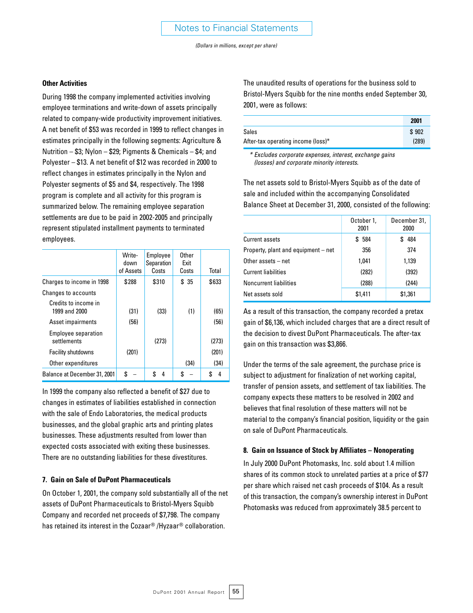## **Other Activities**

During 1998 the company implemented activities involving employee terminations and write-down of assets principally related to company-wide productivity improvement initiatives. A net benefit of \$53 was recorded in 1999 to reflect changes in estimates principally in the following segments: Agriculture & Nutrition – \$3; Nylon – \$29; Pigments & Chemicals – \$4; and Polyester – \$13. A net benefit of \$12 was recorded in 2000 to reflect changes in estimates principally in the Nylon and Polyester segments of \$5 and \$4, respectively. The 1998 program is complete and all activity for this program is summarized below. The remaining employee separation settlements are due to be paid in 2002-2005 and principally represent stipulated installment payments to terminated employees.

|                                           | Write-<br>down<br>of Assets | Employee<br>Separation<br>Costs | Other<br>Exit<br>Costs | Total   |
|-------------------------------------------|-----------------------------|---------------------------------|------------------------|---------|
| Charges to income in 1998                 | \$288                       | \$310                           | \$ 35                  | \$633   |
| <b>Changes to accounts</b>                |                             |                                 |                        |         |
| Credits to income in<br>1999 and 2000     | (31)                        | (33)                            | (1)                    | (65)    |
| Asset impairments                         | (56)                        |                                 |                        | (56)    |
| <b>Employee separation</b><br>settlements |                             | (273)                           |                        | (273)   |
| Facility shutdowns                        | (201)                       |                                 |                        | (201)   |
| Other expenditures                        |                             |                                 | (34)                   | (34)    |
| Balance at December 31, 2001              | \$                          | 4                               | S                      | \$<br>4 |

In 1999 the company also reflected a benefit of \$27 due to changes in estimates of liabilities established in connection with the sale of Endo Laboratories, the medical products businesses, and the global graphic arts and printing plates businesses. These adjustments resulted from lower than expected costs associated with exiting these businesses. There are no outstanding liabilities for these divestitures.

## **7. Gain on Sale of DuPont Pharmaceuticals**

On October 1, 2001, the company sold substantially all of the net assets of DuPont Pharmaceuticals to Bristol-Myers Squibb Company and recorded net proceeds of \$7,798. The company has retained its interest in the Cozaar® /Hyzaar® collaboration.

The unaudited results of operations for the business sold to Bristol-Myers Squibb for the nine months ended September 30, 2001, were as follows:

|                                    | 2001  |
|------------------------------------|-------|
| Sales                              | \$902 |
| After-tax operating income (loss)* | (289) |

*\* Excludes corporate expenses, interest, exchange gains (losses) and corporate minority interests*.

The net assets sold to Bristol-Myers Squibb as of the date of sale and included within the accompanying Consolidated Balance Sheet at December 31, 2000, consisted of the following:

|                                     | October 1,<br>2001 | December 31,<br>2000 |
|-------------------------------------|--------------------|----------------------|
| Current assets                      | \$ 584             | 484<br>S.            |
| Property, plant and equipment – net | 356                | 374                  |
| Other assets - net                  | 1.041              | 1,139                |
| <b>Current liabilities</b>          | (282)              | (392)                |
| <b>Noncurrent liabilities</b>       | (288)              | (244)                |
| Net assets sold                     | \$1,411            | \$1,361              |

As a result of this transaction, the company recorded a pretax gain of \$6,136, which included charges that are a direct result of the decision to divest DuPont Pharmaceuticals. The after-tax gain on this transaction was \$3,866.

Under the terms of the sale agreement, the purchase price is subject to adjustment for finalization of net working capital, transfer of pension assets, and settlement of tax liabilities. The company expects these matters to be resolved in 2002 and believes that final resolution of these matters will not be material to the company's financial position, liquidity or the gain on sale of DuPont Pharmaceuticals.

#### **8. Gain on Issuance of Stock by Affiliates – Nonoperating**

In July 2000 DuPont Photomasks, Inc. sold about 1.4 million shares of its common stock to unrelated parties at a price of \$77 per share which raised net cash proceeds of \$104. As a result of this transaction, the company's ownership interest in DuPont Photomasks was reduced from approximately 38.5 percent to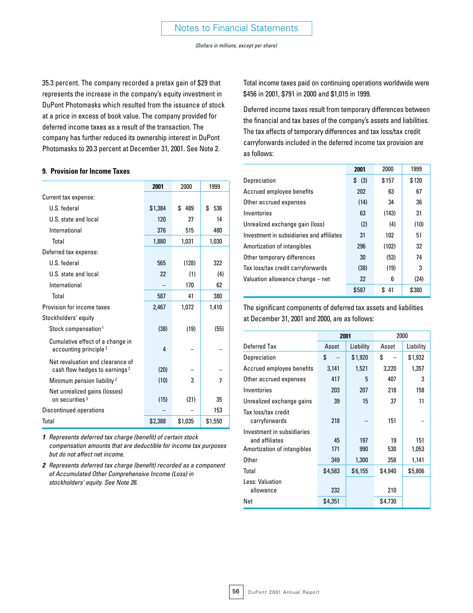35.3 percent. The company recorded a pretax gain of \$29 that represents the increase in the company's equity investment in DuPont Photomasks which resulted from the issuance of stock at a price in excess of book value. The company provided for deferred income taxes as a result of the transaction. The company has further reduced its ownership interest in DuPont Photomasks to 20.3 percent at December 31, 2001. See Note 2.

## **9. Provision for Income Taxes**

|                                                                               | 2001    | 2000      | 1999      |
|-------------------------------------------------------------------------------|---------|-----------|-----------|
| Current tax expense:                                                          |         |           |           |
| U.S. federal                                                                  | \$1,384 | \$<br>489 | \$<br>536 |
| U.S. state and local                                                          | 120     | 27        | 14        |
| International                                                                 | 376     | 515       | 480       |
| Total                                                                         | 1,880   | 1,031     | 1,030     |
| Deferred tax expense:                                                         |         |           |           |
| U.S. federal                                                                  | 565     | (128)     | 322       |
| U.S. state and local                                                          | 22      | (1)       | (4)       |
| International                                                                 |         | 170       | 62        |
| Total                                                                         | 587     | 41        | 380       |
| Provision for income taxes                                                    | 2,467   | 1,072     | 1,410     |
| Stockholders' equity                                                          |         |           |           |
| Stock compensation <sup>1</sup>                                               | (38)    | (19)      | (55)      |
| Cumulative effect of a change in<br>accounting principle <sup>2</sup>         | 4       |           |           |
| Net revaluation and clearance of<br>cash flow hedges to earnings <sup>2</sup> | (20)    |           |           |
| Minimum pension liability <sup>2</sup>                                        | (10)    | 3         | 7         |
| Net unrealized gains (losses)<br>on securities <sup>2</sup>                   | (15)    | (21)      | 35        |
| Discontinued operations                                                       |         |           | 153       |
| Total                                                                         | \$2,388 | \$1,035   | \$1.550   |

*1 Represents deferred tax charge (benefit) of certain stock compensation amounts that are deductible for income tax purposes but do not affect net income.*

*2 Represents deferred tax charge (benefit) recorded as a component of Accumulated Other Comprehensive Income (Loss) in stockholders' equity. See Note 26.*

Total income taxes paid on continuing operations worldwide were \$456 in 2001, \$791 in 2000 and \$1,015 in 1999.

Deferred income taxes result from temporary differences between the financial and tax bases of the company's assets and liabilities. The tax effects of temporary differences and tax loss/tax credit carryforwards included in the deferred income tax provision are as follows:

|                                           | 2001      | 2000     | 1999  |
|-------------------------------------------|-----------|----------|-------|
| Depreciation                              | (3)<br>\$ | \$157    | \$120 |
| Accrued employee benefits                 | 202       | 63       | 67    |
| Other accrued expenses                    | (14)      | 34       | 36    |
| Inventories                               | 63        | (143)    | 31    |
| Unrealized exchange gain (loss)           | (2)       | (4)      | (10)  |
| Investment in subsidiaries and affiliates | 31        | 102      | 51    |
| Amortization of intangibles               | 296       | (102)    | 32    |
| Other temporary differences               | 30        | (53)     | 74    |
| Tax loss/tax credit carryforwards         | (38)      | (19)     | 3     |
| Valuation allowance change – net          | 22        | 6        | (24)  |
|                                           | \$587     | \$<br>41 | \$380 |

The significant components of deferred tax assets and liabilities at December 31, 2001 and 2000, are as follows:

|                                                                             | 2001      |            | 2000      |              |
|-----------------------------------------------------------------------------|-----------|------------|-----------|--------------|
| Deferred Tax                                                                | Asset     | Liability  | Asset     | Liability    |
| Depreciation                                                                | \$        | \$1,920    | \$        | \$1,932      |
| Accrued employee benefits                                                   | 3,141     | 1,521      | 3,220     | 1,357        |
| Other accrued expenses                                                      | 417       | 5          | 407       | 3            |
| Inventories                                                                 | 203       | 207        | 218       | 158          |
| Unrealized exchange gains                                                   | 39        | 15         | 37        | 11           |
| Tax loss/tax credit<br>carryforwards                                        | 218       |            | 151       |              |
| Investment in subsidiaries<br>and affiliates<br>Amortization of intangibles | 45<br>171 | 197<br>990 | 19<br>530 | 151<br>1,053 |
| Other                                                                       | 349       | 1,300      | 358       | 1,141        |
| Total                                                                       | \$4,583   | \$6,155    | \$4,940   | \$5,806      |
| Less: Valuation<br>allowance                                                | 232       |            | 210       |              |
| Net                                                                         | \$4,351   |            | \$4.730   |              |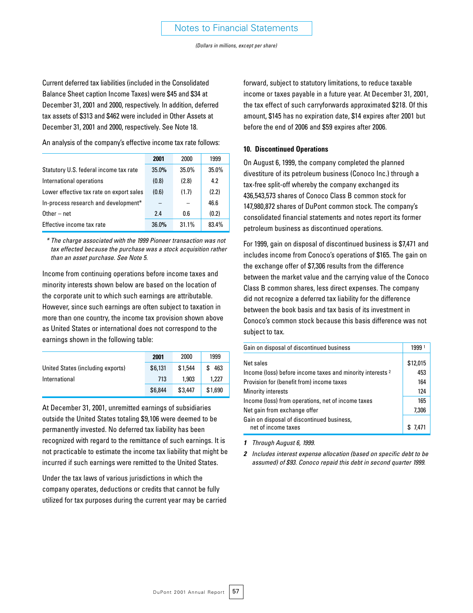Current deferred tax liabilities (included in the Consolidated Balance Sheet caption Income Taxes) were \$45 and \$34 at December 31, 2001 and 2000, respectively. In addition, deferred tax assets of \$313 and \$462 were included in Other Assets at December 31, 2001 and 2000, respectively. See Note 18.

An analysis of the company's effective income tax rate follows:

|                                          | 2001  | 2000  | 1999  |
|------------------------------------------|-------|-------|-------|
| Statutory U.S. federal income tax rate   | 35.0% | 35.0% | 35.0% |
| International operations                 | (0.8) | (2.8) | 4.2   |
| Lower effective tax rate on export sales | (0.6) | (1.7) | (2.2) |
| In-process research and development*     |       |       | 46.6  |
| Other $-$ net                            | 7.4   | 0.6   | (0.2) |
| Effective income tax rate                | 36.0% | 31.1% | 83.4% |

*\* The charge associated with the 1999 Pioneer transaction was not tax effected because the purchase was a stock acquisition rather than an asset purchase. See Note 5.*

Income from continuing operations before income taxes and minority interests shown below are based on the location of the corporate unit to which such earnings are attributable. However, since such earnings are often subject to taxation in more than one country, the income tax provision shown above as United States or international does not correspond to the earnings shown in the following table:

|                                   | 2001    | 2000    | 1999     |
|-----------------------------------|---------|---------|----------|
| United States (including exports) | \$6,131 | \$1.544 | 463<br>S |
| International                     | 713     | 1.903   | 1.227    |
|                                   | \$6,844 | \$3.447 | \$1,690  |

At December 31, 2001, unremitted earnings of subsidiaries outside the United States totaling \$9,106 were deemed to be permanently invested. No deferred tax liability has been recognized with regard to the remittance of such earnings. It is not practicable to estimate the income tax liability that might be incurred if such earnings were remitted to the United States.

Under the tax laws of various jurisdictions in which the company operates, deductions or credits that cannot be fully utilized for tax purposes during the current year may be carried forward, subject to statutory limitations, to reduce taxable income or taxes payable in a future year. At December 31, 2001, the tax effect of such carryforwards approximated \$218. Of this amount, \$145 has no expiration date, \$14 expires after 2001 but before the end of 2006 and \$59 expires after 2006.

# **10. Discontinued Operations**

On August 6, 1999, the company completed the planned divestiture of its petroleum business (Conoco Inc.) through a tax-free split-off whereby the company exchanged its 436,543,573 shares of Conoco Class B common stock for 147,980,872 shares of DuPont common stock. The company's consolidated financial statements and notes report its former petroleum business as discontinued operations.

For 1999, gain on disposal of discontinued business is \$7,471 and includes income from Conoco's operations of \$165. The gain on the exchange offer of \$7,306 results from the difference between the market value and the carrying value of the Conoco Class B common shares, less direct expenses. The company did not recognize a deferred tax liability for the difference between the book basis and tax basis of its investment in Conoco's common stock because this basis difference was not subject to tax.

| Gain on disposal of discontinued business                               | 1999 1          |
|-------------------------------------------------------------------------|-----------------|
| Net sales<br>Income (loss) before income taxes and minority interests 2 | \$12,015<br>453 |
| Provision for (benefit from) income taxes                               | 164             |
| Minority interests                                                      | 124             |
| Income (loss) from operations, net of income taxes                      | 165             |
| Net gain from exchange offer                                            | 7.306           |
| Gain on disposal of discontinued business,<br>net of income taxes       | 7.471           |

*1 Through August 6, 1999.*

*2 Includes interest expense allocation (based on specific debt to be assumed) of \$93. Conoco repaid this debt in second quarter 1999.*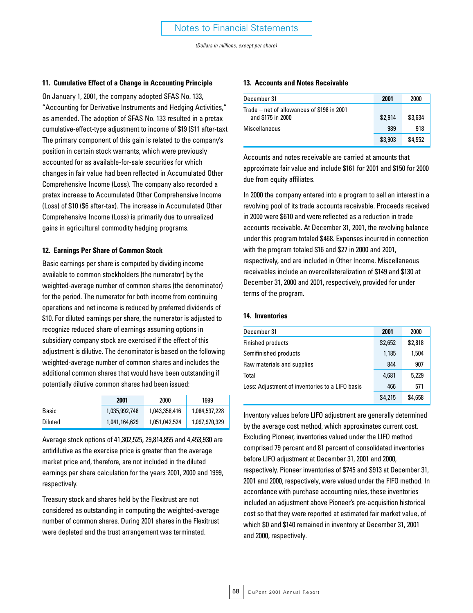#### **11. Cumulative Effect of a Change in Accounting Principle**

On January 1, 2001, the company adopted SFAS No. 133, "Accounting for Derivative Instruments and Hedging Activities," as amended. The adoption of SFAS No. 133 resulted in a pretax cumulative-effect-type adjustment to income of \$19 (\$11 after-tax). The primary component of this gain is related to the company's position in certain stock warrants, which were previously accounted for as available-for-sale securities for which changes in fair value had been reflected in Accumulated Other Comprehensive Income (Loss). The company also recorded a pretax increase to Accumulated Other Comprehensive Income (Loss) of \$10 (\$6 after-tax). The increase in Accumulated Other Comprehensive Income (Loss) is primarily due to unrealized gains in agricultural commodity hedging programs.

#### **12. Earnings Per Share of Common Stock**

Basic earnings per share is computed by dividing income available to common stockholders (the numerator) by the weighted-average number of common shares (the denominator) for the period. The numerator for both income from continuing operations and net income is reduced by preferred dividends of \$10. For diluted earnings per share, the numerator is adjusted to recognize reduced share of earnings assuming options in subsidiary company stock are exercised if the effect of this adjustment is dilutive. The denominator is based on the following weighted-average number of common shares and includes the additional common shares that would have been outstanding if potentially dilutive common shares had been issued:

|         | 2001          | 2000          | 1999          |
|---------|---------------|---------------|---------------|
| Basic   | 1,035,992,748 | 1,043,358,416 | 1,084,537,228 |
| Diluted | 1,041,164,629 | 1,051,042,524 | 1,097,970,329 |

Average stock options of 41,302,525, 29,814,855 and 4,453,930 are antidilutive as the exercise price is greater than the average market price and, therefore, are not included in the diluted earnings per share calculation for the years 2001, 2000 and 1999, respectively.

Treasury stock and shares held by the Flexitrust are not considered as outstanding in computing the weighted-average number of common shares. During 2001 shares in the Flexitrust were depleted and the trust arrangement was terminated.

## **13. Accounts and Notes Receivable**

| December 31                                                     | 2001    | 2000    |
|-----------------------------------------------------------------|---------|---------|
| Trade – net of allowances of \$198 in 2001<br>and \$175 in 2000 | \$2,914 | \$3,634 |
| Miscellaneous                                                   | 989     | 918     |
|                                                                 | \$3,903 | \$4,552 |

Accounts and notes receivable are carried at amounts that approximate fair value and include \$161 for 2001 and \$150 for 2000 due from equity affiliates.

In 2000 the company entered into a program to sell an interest in a revolving pool of its trade accounts receivable. Proceeds received in 2000 were \$610 and were reflected as a reduction in trade accounts receivable. At December 31, 2001, the revolving balance under this program totaled \$468. Expenses incurred in connection with the program totaled \$16 and \$27 in 2000 and 2001, respectively, and are included in Other Income. Miscellaneous receivables include an overcollateralization of \$149 and \$130 at December 31, 2000 and 2001, respectively, provided for under terms of the program.

#### **14. Inventories**

| December 31                                     | 2001    | 2000    |
|-------------------------------------------------|---------|---------|
| <b>Finished products</b>                        | \$2,652 | \$2,818 |
| Semifinished products                           | 1,185   | 1,504   |
| Raw materials and supplies                      | 844     | 907     |
| Total                                           | 4,681   | 5,229   |
| Less: Adjustment of inventories to a LIFO basis | 466     | 571     |
|                                                 | \$4,215 | \$4,658 |

Inventory values before LIFO adjustment are generally determined by the average cost method, which approximates current cost. Excluding Pioneer, inventories valued under the LIFO method comprised 79 percent and 81 percent of consolidated inventories before LIFO adjustment at December 31, 2001 and 2000, respectively. Pioneer inventories of \$745 and \$913 at December 31, 2001 and 2000, respectively, were valued under the FIFO method. In accordance with purchase accounting rules, these inventories included an adjustment above Pioneer's pre-acquisition historical cost so that they were reported at estimated fair market value, of which \$0 and \$140 remained in inventory at December 31, 2001 and 2000, respectively.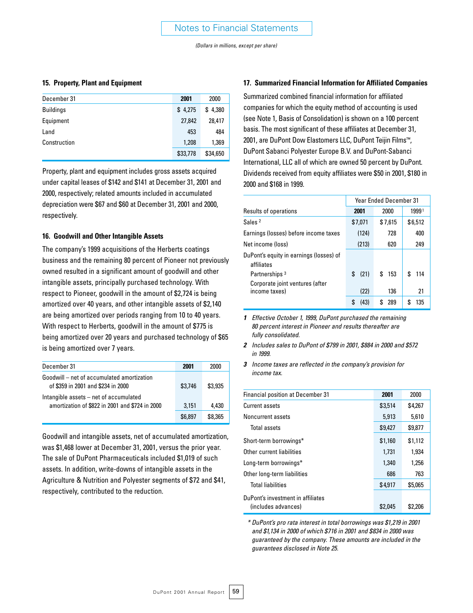#### **15. Property, Plant and Equipment**

| December 31      | 2001     | 2000     |
|------------------|----------|----------|
| <b>Buildings</b> | \$4,275  | \$4,380  |
| Equipment        | 27,842   | 28,417   |
| Land             | 453      | 484      |
| Construction     | 1,208    | 1,369    |
|                  | \$33,778 | \$34,650 |

Property, plant and equipment includes gross assets acquired under capital leases of \$142 and \$141 at December 31, 2001 and 2000, respectively; related amounts included in accumulated depreciation were \$67 and \$60 at December 31, 2001 and 2000, respectively.

#### **16. Goodwill and Other Intangible Assets**

The company's 1999 acquisitions of the Herberts coatings business and the remaining 80 percent of Pioneer not previously owned resulted in a significant amount of goodwill and other intangible assets, principally purchased technology. With respect to Pioneer, goodwill in the amount of \$2,724 is being amortized over 40 years, and other intangible assets of \$2,140 are being amortized over periods ranging from 10 to 40 years. With respect to Herberts, goodwill in the amount of \$775 is being amortized over 20 years and purchased technology of \$65 is being amortized over 7 years.

| December 31                                                                               | 2001    | 2000    |
|-------------------------------------------------------------------------------------------|---------|---------|
| Goodwill – net of accumulated amortization<br>of \$359 in 2001 and \$234 in 2000          | \$3,746 | \$3,935 |
| Intangible assets – net of accumulated<br>amortization of \$822 in 2001 and \$724 in 2000 | 3.151   | 4,430   |
|                                                                                           | \$6.897 | \$8.365 |

Goodwill and intangible assets, net of accumulated amortization, was \$1,468 lower at December 31, 2001, versus the prior year. The sale of DuPont Pharmaceuticals included \$1,019 of such assets. In addition, write-downs of intangible assets in the Agriculture & Nutrition and Polyester segments of \$72 and \$41, respectively, contributed to the reduction.

#### **17. Summarized Financial Information for Affiliated Companies**

Summarized combined financial information for affiliated companies for which the equity method of accounting is used (see Note 1, Basis of Consolidation) is shown on a 100 percent basis. The most significant of these affiliates at December 31, 2001, are DuPont Dow Elastomers LLC, DuPont Teijin Films™, DuPont Sabanci Polyester Europe B.V. and DuPont-Sabanci International, LLC all of which are owned 50 percent by DuPont. Dividends received from equity affiliates were \$50 in 2001, \$180 in 2000 and \$168 in 1999.

|                                                       | <b>Year Ended December 31</b> |             |           |
|-------------------------------------------------------|-------------------------------|-------------|-----------|
| Results of operations                                 | 2001                          | 2000        | 19991     |
| Sales <sup>2</sup>                                    | \$7,071                       | \$7,615     | \$6,512   |
| Earnings (losses) before income taxes                 | (124)                         | 728         | 400       |
| Net income (loss)                                     | (213)                         | 620         | 249       |
| DuPont's equity in earnings (losses) of<br>affiliates |                               |             |           |
| Partnerships <sup>3</sup>                             | (21)<br>\$                    | \$<br>- 153 | ς.<br>114 |
| Corporate joint ventures (after<br>income taxes)      | (22)                          | 136         | 21        |
|                                                       | (43)                          | 289         | 135       |

- *1 Effective October 1, 1999, DuPont purchased the remaining 80 percent interest in Pioneer and results thereafter are fully consolidated.*
- *2 Includes sales to DuPont of \$799 in 2001, \$884 in 2000 and \$572 in 1999.*
- *3 Income taxes are reflected in the company's provision for income tax.*

| <b>Financial position at December 31</b>                 | 2001    | 2000    |
|----------------------------------------------------------|---------|---------|
| Current assets                                           | \$3,514 | \$4,267 |
| Noncurrent assets                                        | 5,913   | 5,610   |
| Total assets                                             | \$9,427 | \$9,877 |
| Short-term borrowings*                                   | \$1,160 | \$1,112 |
| Other current liabilities                                | 1,731   | 1.934   |
| Long-term borrowings*                                    | 1.340   | 1.256   |
| Other long-term liabilities                              | 686     | 763     |
| <b>Total liabilities</b>                                 | \$4,917 | \$5.065 |
| DuPont's investment in affiliates<br>(includes advances) | \$2,045 | \$2,206 |

*\* DuPont's pro rata interest in total borrowings was \$1,219 in 2001 and \$1,134 in 2000 of which \$716 in 2001 and \$834 in 2000 was guaranteed by the company. These amounts are included in the guarantees disclosed in Note 25.*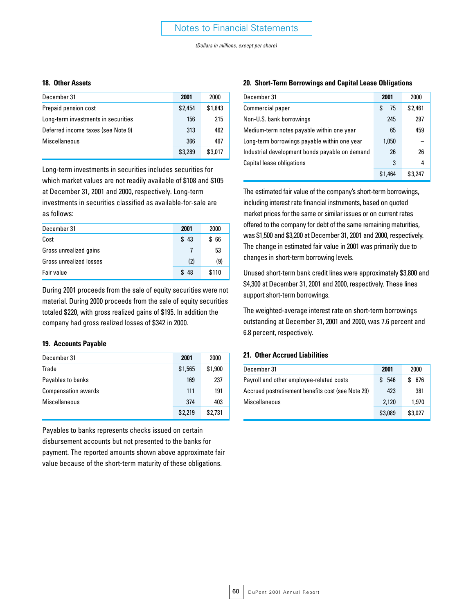## **18. Other Assets**

| December 31                         | 2001    | 2000    |
|-------------------------------------|---------|---------|
| Prepaid pension cost                | \$2,454 | \$1,843 |
| Long-term investments in securities | 156     | 215     |
| Deferred income taxes (see Note 9)  | 313     | 462     |
| Miscellaneous                       | 366     | 497     |
|                                     | \$3,289 | \$3.017 |

Long-term investments in securities includes securities for which market values are not readily available of \$108 and \$105 at December 31, 2001 and 2000, respectively. Long-term investments in securities classified as available-for-sale are as follows:

| December 31             | 2001 | 2000  |
|-------------------------|------|-------|
| Cost                    | \$43 | \$ 66 |
| Gross unrealized gains  | 7    | 53    |
| Gross unrealized losses | (2)  | (9)   |
| Fair value              | \$48 | \$110 |

During 2001 proceeds from the sale of equity securities were not material. During 2000 proceeds from the sale of equity securities totaled \$220, with gross realized gains of \$195. In addition the company had gross realized losses of \$342 in 2000.

#### **19. Accounts Payable**

| December 31                | 2001    | 2000    |
|----------------------------|---------|---------|
| Trade                      | \$1,565 | \$1,900 |
| Payables to banks          | 169     | 237     |
| <b>Compensation awards</b> | 111     | 191     |
| Miscellaneous              | 374     | 403     |
|                            | \$2,219 | \$2.731 |

Payables to banks represents checks issued on certain disbursement accounts but not presented to the banks for payment. The reported amounts shown above approximate fair value because of the short-term maturity of these obligations.

#### **20. Short-Term Borrowings and Capital Lease Obligations**

| December 31                                    | 2001    | 2000    |
|------------------------------------------------|---------|---------|
| Commercial paper                               | 75      | \$2,461 |
| Non-U.S. bank borrowings                       | 245     | 297     |
| Medium-term notes payable within one year      | 65      | 459     |
| Long-term borrowings payable within one year   | 1,050   |         |
| Industrial development bonds payable on demand | 26      | 26      |
| Capital lease obligations                      | 3       | 4       |
|                                                | \$1,464 | \$3,247 |

The estimated fair value of the company's short-term borrowings, including interest rate financial instruments, based on quoted market prices for the same or similar issues or on current rates offered to the company for debt of the same remaining maturities, was \$1,500 and \$3,200 at December 31, 2001 and 2000, respectively. The change in estimated fair value in 2001 was primarily due to changes in short-term borrowing levels.

Unused short-term bank credit lines were approximately \$3,800 and \$4,300 at December 31, 2001 and 2000, respectively. These lines support short-term borrowings.

The weighted-average interest rate on short-term borrowings outstanding at December 31, 2001 and 2000, was 7.6 percent and 6.8 percent, respectively.

## **21. Other Accrued Liabilities**

| December 31                                        | 2001    | 2000     |
|----------------------------------------------------|---------|----------|
| Payroll and other employee-related costs           | \$546   | 676<br>S |
| Accrued postretirement benefits cost (see Note 29) | 423     | 381      |
| Miscellaneous                                      | 2.120   | 1.970    |
|                                                    | \$3,089 | \$3,027  |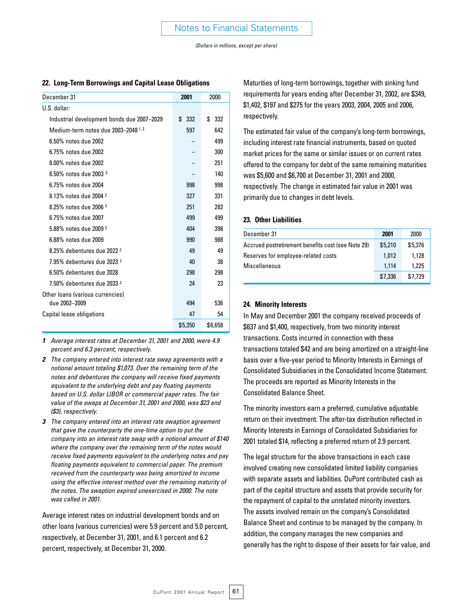| December 31                                    | 2001    | 2000      |
|------------------------------------------------|---------|-----------|
| U.S. dollar:                                   |         |           |
| Industrial development bonds due 2007-2029     | \$332   | \$<br>332 |
| Medium-term notes due 2003-2048 <sup>1,2</sup> | 597     | 642       |
| 6.50% notes due 2002                           |         | 499       |
| 6.75% notes due 2002                           |         | 300       |
| 8.00% notes due 2002                           |         | 251       |
| 8.50% notes due 2003 3                         |         | 140       |
| 6.75% notes due 2004                           | 998     | 998       |
| 8.13% notes due 2004 2                         | 327     | 331       |
| 8.25% notes due 2006 <sup>2</sup>              | 251     | 282       |
| 6.75% notes due 2007                           | 499     | 499       |
| 5.88% notes due 2009 2                         | 404     | 398       |
| 6.88% notes due 2009                           | 990     | 988       |
| 8.25% debentures due 2022 2                    | 49      | 49        |
| 7.95% debentures due 2023 <sup>2</sup>         | 40      | 38        |
| 6.50% debentures due 2028                      | 298     | 298       |
| 7.50% debentures due 2033 <sup>2</sup>         | 24      | 23        |
| Other loans (various currencies)               |         |           |
| due 2002-2009                                  | 494     | 536       |
| Capital lease obligations                      | 47      | 54        |
|                                                | \$5,350 | \$6,658   |

# **22. Long-Term Borrowings and Capital Lease Obligations**

*1 Average interest rates at December 31, 2001 and 2000, were 4.9 percent and 6.3 percent, respectively.* 

- *2 The company entered into interest rate swap agreements with a notional amount totaling \$1,073. Over the remaining term of the notes and debentures the company will receive fixed payments equivalent to the underlying debt and pay floating payments based on U.S. dollar LIBOR or commercial paper rates. The fair value of the swaps at December 31, 2001 and 2000, was \$23 and (\$3), respectively.*
- *3 The company entered into an interest rate swaption agreement that gave the counterparty the one-time option to put the company into an interest rate swap with a notional amount of \$140 where the company over the remaining term of the notes would receive fixed payments equivalent to the underlying notes and pay floating payments equivalent to commercial paper. The premium received from the counterparty was being amortized to income using the effective interest method over the remaining maturity of the notes. The swaption expired unexercised in 2000. The note was called in 2001.*

Average interest rates on industrial development bonds and on other loans (various currencies) were 5.9 percent and 5.0 percent, respectively, at December 31, 2001, and 6.1 percent and 6.2 percent, respectively, at December 31, 2000.

Maturities of long-term borrowings, together with sinking fund requirements for years ending after December 31, 2002, are \$349, \$1,402, \$197 and \$275 for the years 2003, 2004, 2005 and 2006, respectively.

The estimated fair value of the company's long-term borrowings, including interest rate financial instruments, based on quoted market prices for the same or similar issues or on current rates offered to the company for debt of the same remaining maturities was \$5,600 and \$6,700 at December 31, 2001 and 2000, respectively. The change in estimated fair value in 2001 was primarily due to changes in debt levels.

## **23. Other Liabilities**

| December 31                                        | 2001    | 2000    |
|----------------------------------------------------|---------|---------|
| Accrued postretirement benefits cost (see Note 29) | \$5,210 | \$5,376 |
| Reserves for employee-related costs                | 1.012   | 1.128   |
| <b>Miscellaneous</b>                               | 1,114   | 1.225   |
|                                                    | \$7,336 | \$7,729 |

# **24. Minority Interests**

In May and December 2001 the company received proceeds of \$637 and \$1,400, respectively, from two minority interest transactions. Costs incurred in connection with these transactions totaled \$42 and are being amortized on a straight-line basis over a five-year period to Minority Interests in Earnings of Consolidated Subsidiaries in the Consolidated Income Statement. The proceeds are reported as Minority Interests in the Consolidated Balance Sheet.

The minority investors earn a preferred, cumulative adjustable return on their investment. The after-tax distribution reflected in Minority Interests in Earnings of Consolidated Subsidiaries for 2001 totaled \$14, reflecting a preferred return of 2.9 percent.

The legal structure for the above transactions in each case involved creating new consolidated limited liability companies with separate assets and liabilities. DuPont contributed cash as part of the capital structure and assets that provide security for the repayment of capital to the unrelated minority investors. The assets involved remain on the company's Consolidated Balance Sheet and continue to be managed by the company. In addition, the company manages the new companies and generally has the right to dispose of their assets for fair value, and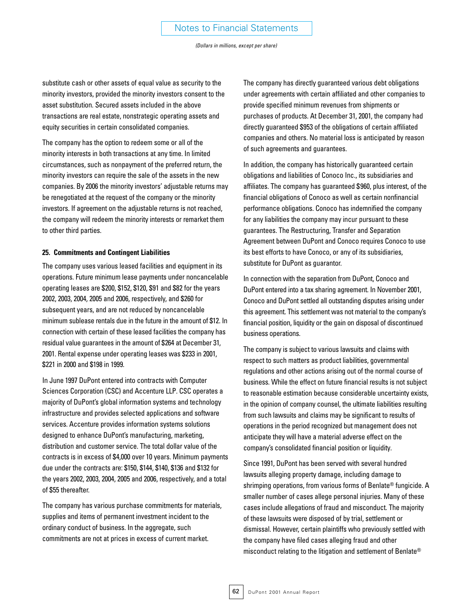# Notes to Financial Statements

*(Dollars in millions, except per share)*

substitute cash or other assets of equal value as security to the minority investors, provided the minority investors consent to the asset substitution. Secured assets included in the above transactions are real estate, nonstrategic operating assets and equity securities in certain consolidated companies.

The company has the option to redeem some or all of the minority interests in both transactions at any time. In limited circumstances, such as nonpayment of the preferred return, the minority investors can require the sale of the assets in the new companies. By 2006 the minority investors' adjustable returns may be renegotiated at the request of the company or the minority investors. If agreement on the adjustable returns is not reached, the company will redeem the minority interests or remarket them to other third parties.

#### **25. Commitments and Contingent Liabilities**

The company uses various leased facilities and equipment in its operations. Future minimum lease payments under noncancelable operating leases are \$200, \$152, \$120, \$91 and \$82 for the years 2002, 2003, 2004, 2005 and 2006, respectively, and \$260 for subsequent years, and are not reduced by noncancelable minimum sublease rentals due in the future in the amount of \$12. In connection with certain of these leased facilities the company has residual value guarantees in the amount of \$264 at December 31, 2001. Rental expense under operating leases was \$233 in 2001, \$221 in 2000 and \$198 in 1999.

In June 1997 DuPont entered into contracts with Computer Sciences Corporation (CSC) and Accenture LLP. CSC operates a majority of DuPont's global information systems and technology infrastructure and provides selected applications and software services. Accenture provides information systems solutions designed to enhance DuPont's manufacturing, marketing, distribution and customer service. The total dollar value of the contracts is in excess of \$4,000 over 10 years. Minimum payments due under the contracts are: \$150, \$144, \$140, \$136 and \$132 for the years 2002, 2003, 2004, 2005 and 2006, respectively, and a total of \$55 thereafter.

The company has various purchase commitments for materials, supplies and items of permanent investment incident to the ordinary conduct of business. In the aggregate, such commitments are not at prices in excess of current market.

The company has directly guaranteed various debt obligations under agreements with certain affiliated and other companies to provide specified minimum revenues from shipments or purchases of products. At December 31, 2001, the company had directly guaranteed \$953 of the obligations of certain affiliated companies and others. No material loss is anticipated by reason of such agreements and guarantees.

In addition, the company has historically guaranteed certain obligations and liabilities of Conoco Inc., its subsidiaries and affiliates. The company has guaranteed \$960, plus interest, of the financial obligations of Conoco as well as certain nonfinancial performance obligations. Conoco has indemnified the company for any liabilities the company may incur pursuant to these guarantees. The Restructuring, Transfer and Separation Agreement between DuPont and Conoco requires Conoco to use its best efforts to have Conoco, or any of its subsidiaries, substitute for DuPont as guarantor.

In connection with the separation from DuPont, Conoco and DuPont entered into a tax sharing agreement. In November 2001, Conoco and DuPont settled all outstanding disputes arising under this agreement. This settlement was not material to the company's financial position, liquidity or the gain on disposal of discontinued business operations.

The company is subject to various lawsuits and claims with respect to such matters as product liabilities, governmental regulations and other actions arising out of the normal course of business. While the effect on future financial results is not subject to reasonable estimation because considerable uncertainty exists, in the opinion of company counsel, the ultimate liabilities resulting from such lawsuits and claims may be significant to results of operations in the period recognized but management does not anticipate they will have a material adverse effect on the company's consolidated financial position or liquidity.

Since 1991, DuPont has been served with several hundred lawsuits alleging property damage, including damage to shrimping operations, from various forms of Benlate® fungicide. A smaller number of cases allege personal injuries. Many of these cases include allegations of fraud and misconduct. The majority of these lawsuits were disposed of by trial, settlement or dismissal. However, certain plaintiffs who previously settled with the company have filed cases alleging fraud and other misconduct relating to the litigation and settlement of Benlate®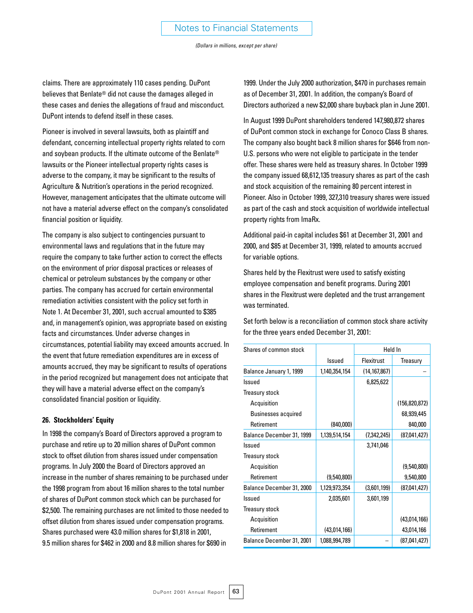# Notes to Financial Statements

*(Dollars in millions, except per share)*

claims. There are approximately 110 cases pending. DuPont believes that Benlate® did not cause the damages alleged in these cases and denies the allegations of fraud and misconduct. DuPont intends to defend itself in these cases.

Pioneer is involved in several lawsuits, both as plaintiff and defendant, concerning intellectual property rights related to corn and soybean products. If the ultimate outcome of the Benlate® lawsuits or the Pioneer intellectual property rights cases is adverse to the company, it may be significant to the results of Agriculture & Nutrition's operations in the period recognized. However, management anticipates that the ultimate outcome will not have a material adverse effect on the company's consolidated financial position or liquidity.

The company is also subject to contingencies pursuant to environmental laws and regulations that in the future may require the company to take further action to correct the effects on the environment of prior disposal practices or releases of chemical or petroleum substances by the company or other parties. The company has accrued for certain environmental remediation activities consistent with the policy set forth in Note 1. At December 31, 2001, such accrual amounted to \$385 and, in management's opinion, was appropriate based on existing facts and circumstances. Under adverse changes in circumstances, potential liability may exceed amounts accrued. In the event that future remediation expenditures are in excess of amounts accrued, they may be significant to results of operations in the period recognized but management does not anticipate that they will have a material adverse effect on the company's consolidated financial position or liquidity.

#### **26. Stockholders' Equity**

In 1998 the company's Board of Directors approved a program to purchase and retire up to 20 million shares of DuPont common stock to offset dilution from shares issued under compensation programs. In July 2000 the Board of Directors approved an increase in the number of shares remaining to be purchased under the 1998 program from about 16 million shares to the total number of shares of DuPont common stock which can be purchased for \$2,500. The remaining purchases are not limited to those needed to offset dilution from shares issued under compensation programs. Shares purchased were 43.0 million shares for \$1,818 in 2001, 9.5 million shares for \$462 in 2000 and 8.8 million shares for \$690 in

1999. Under the July 2000 authorization, \$470 in purchases remain as of December 31, 2001. In addition, the company's Board of Directors authorized a new \$2,000 share buyback plan in June 2001.

In August 1999 DuPont shareholders tendered 147,980,872 shares of DuPont common stock in exchange for Conoco Class B shares. The company also bought back 8 million shares for \$646 from non-U.S. persons who were not eligible to participate in the tender offer. These shares were held as treasury shares. In October 1999 the company issued 68,612,135 treasury shares as part of the cash and stock acquisition of the remaining 80 percent interest in Pioneer. Also in October 1999, 327,310 treasury shares were issued as part of the cash and stock acquisition of worldwide intellectual property rights from ImaRx.

Additional paid-in capital includes \$61 at December 31, 2001 and 2000, and \$85 at December 31, 1999, related to amounts accrued for variable options.

Shares held by the Flexitrust were used to satisfy existing employee compensation and benefit programs. During 2001 shares in the Flexitrust were depleted and the trust arrangement was terminated.

Set forth below is a reconciliation of common stock share activity for the three years ended December 31, 2001:

| Shares of common stock     |               | Held In      |                 |
|----------------------------|---------------|--------------|-----------------|
|                            | Issued        | Flexitrust   | Treasury        |
| Balance January 1, 1999    | 1,140,354,154 | (14,167,867) |                 |
| Issued                     |               | 6,825,622    |                 |
| Treasury stock             |               |              |                 |
| Acquisition                |               |              | (156, 820, 872) |
| <b>Businesses acquired</b> |               |              | 68,939,445      |
| Retirement                 | (840,000)     |              | 840,000         |
| Balance December 31, 1999  | 1,139,514,154 | (7,342,245)  | (87,041,427)    |
| Issued                     |               | 3,741,046    |                 |
| <b>Treasury stock</b>      |               |              |                 |
| Acquisition                |               |              | (9,540,800)     |
| Retirement                 | (9,540,800)   |              | 9,540,800       |
| Balance December 31, 2000  | 1,129,973,354 | (3,601,199)  | (87,041,427)    |
| Issued                     | 2,035,601     | 3,601,199    |                 |
| Treasury stock             |               |              |                 |
| Acquisition                |               |              | (43,014,166)    |
| Retirement                 | (43,014,166)  |              | 43,014,166      |
| Balance December 31, 2001  | 1,088,994,789 |              | (87,041,427)    |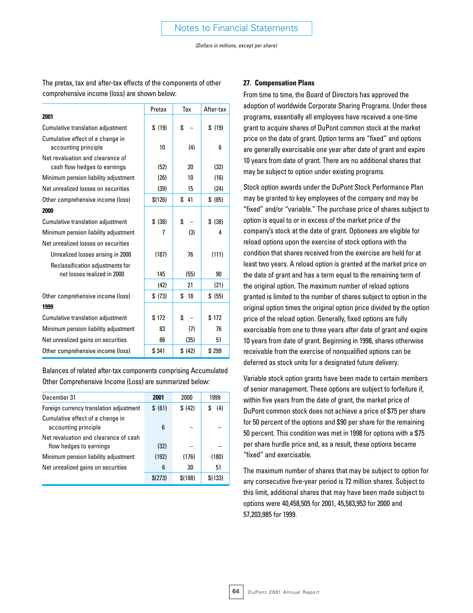The pretax, tax and after-tax effects of the components of other comprehensive income (loss) are shown below:

|                                                                  | Pretax         | Tax                            | After-tax |
|------------------------------------------------------------------|----------------|--------------------------------|-----------|
| 2001                                                             |                |                                |           |
| Cumulative translation adjustment                                | \$ (19)        | \$                             | \$(19)    |
| Cumulative effect of a change in<br>accounting principle         | 10             | (4)                            | 6         |
| Net revaluation and clearance of<br>cash flow hedges to earnings | (52)           | 20                             | (32)      |
| Minimum pension liability adjustment                             | (26)           | 10                             | (16)      |
| Net unrealized losses on securities                              | (39)           | 15                             | (24)      |
| Other comprehensive income (loss)                                | \$(126)        | \$<br>41                       | \$ (85)   |
| 2000                                                             |                |                                |           |
| Cumulative translation adjustment                                | \$ (38)        | \$<br>$\overline{\phantom{0}}$ | \$ (38)   |
| Minimum pension liability adjustment                             | $\overline{1}$ | (3)                            | 4         |
| Net unrealized losses on securities                              |                |                                |           |
| Unrealized losses arising in 2000                                | (187)          | 76                             | (111)     |
| Reclassification adjustments for<br>net losses realized in 2000  | 145            | (55)                           | 90        |
|                                                                  | (42)           | 21                             | (21)      |
| Other comprehensive income (loss)                                | \$ (73)        | \$<br>18                       | \$ (55)   |
| 1999                                                             |                |                                |           |
| Cumulative translation adjustment                                | \$172          | \$<br>-                        | \$172     |
| Minimum pension liability adjustment                             | 83             | (7)                            | 76        |
| Net unrealized gains on securities                               | 86             | (35)                           | 51        |
| Other comprehensive income (loss)                                | \$341          | \$ (42)                        | \$299     |

Balances of related after-tax components comprising Accumulated Other Comprehensive Income (Loss) are summarized below:

| December 31                                                      | 2001    | 2000    | 1999    |
|------------------------------------------------------------------|---------|---------|---------|
| Foreign currency translation adjustment                          | \$ (61) | \$ (42) | (4)     |
| Cumulative effect of a change in<br>accounting principle         | 6       |         |         |
| Net revaluation and clearance of cash<br>flow hedges to earnings | (32)    |         |         |
| Minimum pension liability adjustment                             | (192)   | (176)   | (180)   |
| Net unrealized gains on securities                               | 6       | 30      | 51      |
|                                                                  | \$(273) | \$(188) | \$(133) |

#### **27. Compensation Plans**

From time to time, the Board of Directors has approved the adoption of worldwide Corporate Sharing Programs. Under these programs, essentially all employees have received a one-time grant to acquire shares of DuPont common stock at the market price on the date of grant. Option terms are "fixed" and options are generally exercisable one year after date of grant and expire 10 years from date of grant. There are no additional shares that may be subject to option under existing programs.

Stock option awards under the DuPont Stock Performance Plan may be granted to key employees of the company and may be "fixed" and/or "variable." The purchase price of shares subject to option is equal to or in excess of the market price of the company's stock at the date of grant. Optionees are eligible for reload options upon the exercise of stock options with the condition that shares received from the exercise are held for at least two years. A reload option is granted at the market price on the date of grant and has a term equal to the remaining term of the original option. The maximum number of reload options granted is limited to the number of shares subject to option in the original option times the original option price divided by the option price of the reload option. Generally, fixed options are fully exercisable from one to three years after date of grant and expire 10 years from date of grant. Beginning in 1998, shares otherwise receivable from the exercise of nonqualified options can be deferred as stock units for a designated future delivery.

Variable stock option grants have been made to certain members of senior management. These options are subject to forfeiture if, within five years from the date of grant, the market price of DuPont common stock does not achieve a price of \$75 per share for 50 percent of the options and \$90 per share for the remaining 50 percent. This condition was met in 1998 for options with a \$75 per share hurdle price and, as a result, these options became "fixed" and exercisable.

The maximum number of shares that may be subject to option for any consecutive five-year period is 72 million shares. Subject to this limit, additional shares that may have been made subject to options were 40,458,505 for 2001, 45,583,953 for 2000 and 57,203,985 for 1999.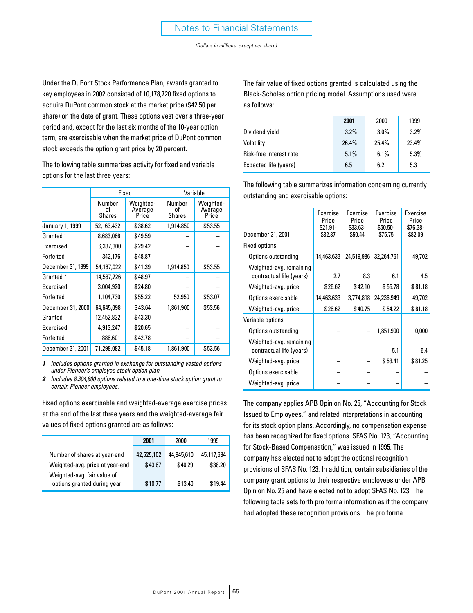Under the DuPont Stock Performance Plan, awards granted to key employees in 2002 consisted of 10,178,720 fixed options to acquire DuPont common stock at the market price (\$42.50 per share) on the date of grant. These options vest over a three-year period and, except for the last six months of the 10-year option term, are exercisable when the market price of DuPont common stock exceeds the option grant price by 20 percent.

The following table summarizes activity for fixed and variable options for the last three years:

|                      | Fixed                         |                               | Variable                      |                               |  |
|----------------------|-------------------------------|-------------------------------|-------------------------------|-------------------------------|--|
|                      | Number<br>nf<br><b>Shares</b> | Weighted-<br>Average<br>Price | Number<br>nf<br><b>Shares</b> | Weighted-<br>Average<br>Price |  |
| January 1, 1999      | 52,163,432                    | \$38.62                       | 1,914,850                     | \$53.55                       |  |
| Granted <sup>1</sup> | 8,683,066                     | \$49.59                       |                               |                               |  |
| Exercised            | 6,337,300                     | \$29.42                       |                               |                               |  |
| Forfeited            | 342,176                       | \$48.87                       |                               |                               |  |
| December 31, 1999    | 54,167,022                    | \$41.39                       | 1,914,850                     | \$53.55                       |  |
| Granted <sup>2</sup> | 14,587,726                    | \$48.97                       |                               |                               |  |
| Exercised            | 3,004,920                     | \$24.80                       |                               |                               |  |
| Forfeited            | 1,104,730                     | \$55.22                       | 52,950                        | \$53.07                       |  |
| December 31, 2000    | 64,645,098                    | \$43.64                       | 1,861,900                     | \$53.56                       |  |
| Granted              | 12,452,832                    | \$43.30                       |                               |                               |  |
| Exercised            | 4,913,247                     | \$20.65                       |                               |                               |  |
| Forfeited            | 886,601                       | \$42.78                       |                               |                               |  |
| December 31, 2001    | 71,298,082                    | \$45.18                       | 1,861,900                     | \$53.56                       |  |

*1 Includes options granted in exchange for outstanding vested options under Pioneer's employee stock option plan.*

*2 Includes 8,304,800 options related to a one-time stock option grant to certain Pioneer employees.*

Fixed options exercisable and weighted-average exercise prices at the end of the last three years and the weighted-average fair values of fixed options granted are as follows:

|                                                            | 2001       | 2000       | 1999       |
|------------------------------------------------------------|------------|------------|------------|
| Number of shares at year-end                               | 42,525,102 | 44,945,610 | 45,117,694 |
| Weighted-avg. price at year-end                            | \$43.67    | \$40.29    | \$38.20    |
| Weighted-avg. fair value of<br>options granted during year | \$10.77    | \$13.40    | \$19.44    |

The fair value of fixed options granted is calculated using the Black-Scholes option pricing model. Assumptions used were as follows:

|                         | 2001  | 2000    | 1999  |
|-------------------------|-------|---------|-------|
| Dividend yield          | 3.2%  | $3.0\%$ | 3.2%  |
| Volatility              | 26.4% | 25.4%   | 23.4% |
| Risk-free interest rate | 5.1%  | 6.1%    | 5.3%  |
| Expected life (years)   | 6.5   | 6.2     | 5.3   |

The following table summarizes information concerning currently outstanding and exercisable options:

| December 31, 2001                                   | Exercise<br>Price<br>$$21.91-$<br>\$32.87 | Exercise<br>Price<br>\$33.63-<br>\$50.44 | Exercise<br>Price<br>\$50.50-<br>\$75.75 | Exercise<br>Price<br>\$76.38-<br>\$82.09 |
|-----------------------------------------------------|-------------------------------------------|------------------------------------------|------------------------------------------|------------------------------------------|
| <b>Fixed options</b>                                |                                           |                                          |                                          |                                          |
| Options outstanding                                 | 14,463,633                                | 24,519,986                               | 32,264,761                               | 49,702                                   |
| Weighted-avg. remaining<br>contractual life (years) | 2.7                                       | 8.3                                      | 6.1                                      | 4.5                                      |
| Weighted-avg. price                                 | \$26.62                                   | \$42.10                                  | \$55.78                                  | \$81.18                                  |
| Options exercisable                                 | 14,463,633                                | 3,774,818                                | 24,236,949                               | 49,702                                   |
| Weighted-avg. price                                 | \$26.62                                   | \$40.75                                  | \$54.22                                  | \$81.18                                  |
| Variable options                                    |                                           |                                          |                                          |                                          |
| Options outstanding                                 |                                           |                                          | 1,851,900                                | 10,000                                   |
| Weighted-avg. remaining<br>contractual life (years) |                                           |                                          | 5.1                                      | 6.4                                      |
| Weighted-avg. price                                 |                                           |                                          | \$53.41                                  | \$81.25                                  |
| Options exercisable                                 |                                           |                                          |                                          |                                          |
| Weighted-avg. price                                 |                                           |                                          |                                          |                                          |

The company applies APB Opinion No. 25, "Accounting for Stock Issued to Employees," and related interpretations in accounting for its stock option plans. Accordingly, no compensation expense has been recognized for fixed options. SFAS No. 123, "Accounting for Stock-Based Compensation," was issued in 1995. The company has elected not to adopt the optional recognition provisions of SFAS No. 123. In addition, certain subsidiaries of the company grant options to their respective employees under APB Opinion No. 25 and have elected not to adopt SFAS No. 123. The following table sets forth pro forma information as if the company had adopted these recognition provisions. The pro forma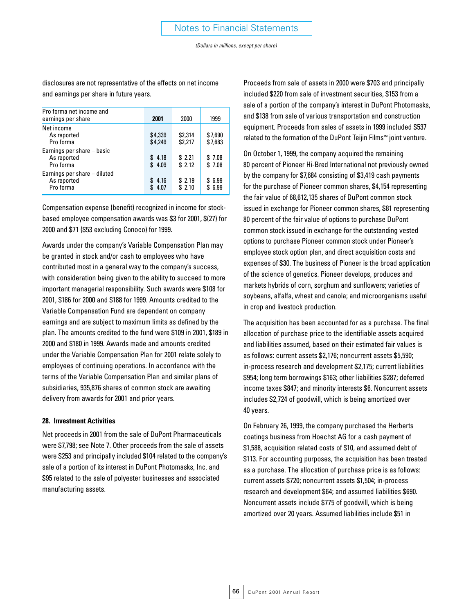disclosures are not representative of the effects on net income and earnings per share in future years.

| Pro forma net income and<br>earnings per share           | 2001               | 2000               | 1999               |
|----------------------------------------------------------|--------------------|--------------------|--------------------|
| Net income<br>As reported<br>Pro forma                   | \$4,339<br>\$4,249 | \$2,314<br>\$2,217 | \$7,690<br>\$7,683 |
| Earnings per share - basic<br>As reported<br>Pro forma   | \$4.18<br>\$4.09   | \$2.21<br>\$2.12   | \$7.08<br>\$7.08   |
| Earnings per share - diluted<br>As reported<br>Pro forma | \$4.16<br>\$4.07   | \$2.19<br>\$2.10   | \$6.99<br>\$6.99   |

Compensation expense (benefit) recognized in income for stockbased employee compensation awards was \$3 for 2001, \$(27) for 2000 and \$71 (\$53 excluding Conoco) for 1999.

Awards under the company's Variable Compensation Plan may be granted in stock and/or cash to employees who have contributed most in a general way to the company's success, with consideration being given to the ability to succeed to more important managerial responsibility. Such awards were \$108 for 2001, \$186 for 2000 and \$188 for 1999. Amounts credited to the Variable Compensation Fund are dependent on company earnings and are subject to maximum limits as defined by the plan. The amounts credited to the fund were \$109 in 2001, \$189 in 2000 and \$180 in 1999. Awards made and amounts credited under the Variable Compensation Plan for 2001 relate solely to employees of continuing operations. In accordance with the terms of the Variable Compensation Plan and similar plans of subsidiaries, 935,876 shares of common stock are awaiting delivery from awards for 2001 and prior years.

## **28. Investment Activities**

Net proceeds in 2001 from the sale of DuPont Pharmaceuticals were \$7,798; see Note 7. Other proceeds from the sale of assets were \$253 and principally included \$104 related to the company's sale of a portion of its interest in DuPont Photomasks, Inc. and \$95 related to the sale of polyester businesses and associated manufacturing assets.

Proceeds from sale of assets in 2000 were \$703 and principally included \$220 from sale of investment securities, \$153 from a sale of a portion of the company's interest in DuPont Photomasks, and \$138 from sale of various transportation and construction equipment. Proceeds from sales of assets in 1999 included \$537 related to the formation of the DuPont Teijin Films™ joint venture.

On October 1, 1999, the company acquired the remaining 80 percent of Pioneer Hi-Bred International not previously owned by the company for \$7,684 consisting of \$3,419 cash payments for the purchase of Pioneer common shares, \$4,154 representing the fair value of 68,612,135 shares of DuPont common stock issued in exchange for Pioneer common shares, \$81 representing 80 percent of the fair value of options to purchase DuPont common stock issued in exchange for the outstanding vested options to purchase Pioneer common stock under Pioneer's employee stock option plan, and direct acquisition costs and expenses of \$30. The business of Pioneer is the broad application of the science of genetics. Pioneer develops, produces and markets hybrids of corn, sorghum and sunflowers; varieties of soybeans, alfalfa, wheat and canola; and microorganisms useful in crop and livestock production.

The acquisition has been accounted for as a purchase. The final allocation of purchase price to the identifiable assets acquired and liabilities assumed, based on their estimated fair values is as follows: current assets \$2,176; noncurrent assets \$5,590; in-process research and development \$2,175; current liabilities \$954; long term borrowings \$163; other liabilities \$287; deferred income taxes \$847; and minority interests \$6. Noncurrent assets includes \$2,724 of goodwill, which is being amortized over 40 years.

On February 26, 1999, the company purchased the Herberts coatings business from Hoechst AG for a cash payment of \$1,588, acquisition related costs of \$10, and assumed debt of \$113. For accounting purposes, the acquisition has been treated as a purchase. The allocation of purchase price is as follows: current assets \$720; noncurrent assets \$1,504; in-process research and development \$64; and assumed liabilities \$690. Noncurrent assets include \$775 of goodwill, which is being amortized over 20 years. Assumed liabilities include \$51 in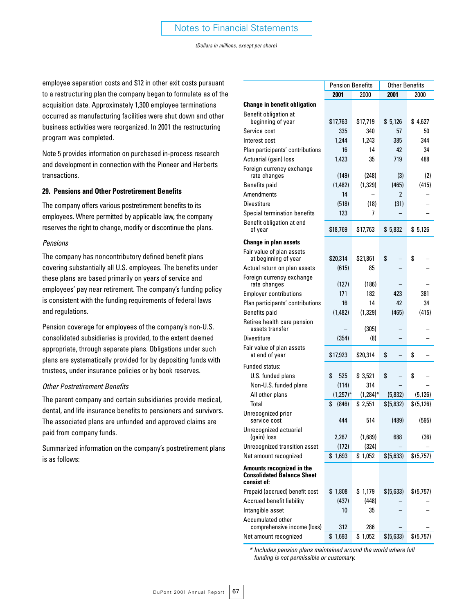employee separation costs and \$12 in other exit costs pursuant to a restructuring plan the company began to formulate as of the acquisition date. Approximately 1,300 employee terminations occurred as manufacturing facilities were shut down and other business activities were reorganized. In 2001 the restructuring program was completed.

Note 5 provides information on purchased in-process research and development in connection with the Pioneer and Herberts transactions.

## **29. Pensions and Other Postretirement Benefits**

The company offers various postretirement benefits to its employees. Where permitted by applicable law, the company reserves the right to change, modify or discontinue the plans.

# *Pensions*

The company has noncontributory defined benefit plans covering substantially all U.S. employees. The benefits under these plans are based primarily on years of service and employees' pay near retirement. The company's funding policy is consistent with the funding requirements of federal laws and regulations.

Pension coverage for employees of the company's non-U.S. consolidated subsidiaries is provided, to the extent deemed appropriate, through separate plans. Obligations under such plans are systematically provided for by depositing funds with trustees, under insurance policies or by book reserves.

#### *Other Postretirement Benefits*

The parent company and certain subsidiaries provide medical, dental, and life insurance benefits to pensioners and survivors. The associated plans are unfunded and approved claims are paid from company funds.

Summarized information on the company's postretirement plans is as follows:

| 2001<br>2001<br>2000<br>2000<br><b>Change in benefit obligation</b>                                          |             |
|--------------------------------------------------------------------------------------------------------------|-------------|
|                                                                                                              |             |
|                                                                                                              |             |
| Benefit obligation at                                                                                        |             |
| beginning of year<br>\$17,763<br>\$17,719<br>\$5,126<br>\$4,627                                              |             |
| 335<br>Service cost<br>340<br>57                                                                             | 50          |
| 1,244<br>1,243<br>385<br>Interest cost                                                                       | 344         |
| Plan participants' contributions<br>14<br>42<br>16<br>719                                                    | 34          |
| Actuarial (gain) loss<br>35<br>1,423<br>Foreign currency exchange                                            | 488         |
| (3)<br>rate changes<br>(149)<br>(248)                                                                        | (2)         |
| <b>Benefits</b> paid<br>(1,482)<br>(1,329)<br>(465)                                                          | (415)       |
| Amendments<br>14<br>2                                                                                        |             |
| <b>Divestiture</b><br>(31)<br>(518)<br>(18)                                                                  |             |
| Special termination benefits<br>7<br>123                                                                     |             |
| Benefit obligation at end<br>of year<br>\$18,769<br>\$17,763<br>\$5,832<br>\$5,126                           |             |
| <b>Change in plan assets</b>                                                                                 |             |
| Fair value of plan assets                                                                                    |             |
| at beginning of year<br>\$20,314<br>\$21,861<br>\$<br>\$                                                     |             |
| Actual return on plan assets<br>(615)<br>85                                                                  |             |
| Foreign currency exchange<br>rate changes<br>(127)<br>(186)                                                  |             |
| <b>Employer contributions</b><br>171<br>182<br>423                                                           | 381         |
| Plan participants' contributions<br>42<br>16<br>14                                                           | 34          |
| (465)<br><b>Benefits paid</b><br>(1,482)<br>(1,329)                                                          | (415)       |
| Retiree health care pension<br>assets transfer<br>(305)                                                      |             |
| Divestiture<br>(354)<br>(8)                                                                                  |             |
| Fair value of plan assets<br>\$<br>\$<br>at end of year<br>\$17,923<br>\$20,314                              |             |
| <b>Funded status:</b>                                                                                        |             |
| \$<br>\$<br>U.S. funded plans<br>\$<br>525<br>\$3,521                                                        |             |
| (114)<br>Non-U.S. funded plans<br>314                                                                        |             |
| $(1,257)^*$<br>All other plans<br>$(1,284)^*$<br>(5,832)                                                     | (5, 126)    |
| Total<br>\$<br>(846)<br>\$2,551<br>\$ (5,832)<br>\$ (5, 126)                                                 |             |
| Unrecognized prior<br>service cost<br>444<br>514<br>(489)                                                    | (595)       |
| Unrecognized actuarial                                                                                       |             |
| (gain) loss<br>2,267<br>(1,689)<br>688                                                                       | (36)        |
| Unrecognized transition asset<br>(172)<br>(324)<br>Net amount recognized<br>\$1,693<br>\$1,052<br>\$ (5,633) | \$ (5, 757) |
|                                                                                                              |             |
| Amounts recognized in the<br><b>Consolidated Balance Sheet</b><br>consist of:                                |             |
| Prepaid (accrued) benefit cost<br>\$1,808<br>\$1,179<br>\$ (5,633)                                           | \$ (5, 757) |
| Accrued benefit liability<br>(437)<br>(448)                                                                  |             |
| 10<br>Intangible asset<br>35                                                                                 |             |
| Accumulated other<br>comprehensive income (loss)<br>312<br>286                                               |             |
| Net amount recognized<br>\$1,693<br>\$1,052<br>\$ (5,633)<br>\$ (5,757)                                      |             |

*\* Includes pension plans maintained around the world where full funding is not permissible or customary.*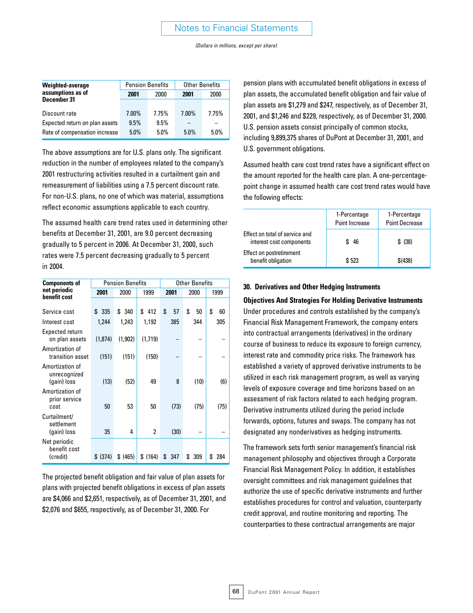| Weighted-average                 | <b>Pension Benefits</b> |         | <b>Other Benefits</b> |       |  |
|----------------------------------|-------------------------|---------|-----------------------|-------|--|
| assumptions as of<br>December 31 | 2001                    | 2000    | 2001                  | 2000  |  |
|                                  |                         |         |                       |       |  |
| Discount rate                    | $7.00\%$                | 7.75%   | $7.00\%$              | 7.75% |  |
| Expected return on plan assets   | 9.5%                    | 9.5%    |                       |       |  |
| Rate of compensation increase    | 5.0%                    | $5.0\%$ | 5.0%                  | 5.0%  |  |

The above assumptions are for U.S. plans only. The significant reduction in the number of employees related to the company's 2001 restructuring activities resulted in a curtailment gain and remeasurement of liabilities using a 7.5 percent discount rate. For non-U.S. plans, no one of which was material, assumptions reflect economic assumptions applicable to each country.

The assumed health care trend rates used in determining other benefits at December 31, 2001, are 9.0 percent decreasing gradually to 5 percent in 2006. At December 31, 2000, such rates were 7.5 percent decreasing gradually to 5 percent in 2004.

| <b>Components of</b>                           |          | <b>Pension Benefits</b> |         | <b>Other Benefits</b> |           |           |
|------------------------------------------------|----------|-------------------------|---------|-----------------------|-----------|-----------|
| net periodic<br>benefit cost                   | 2001     | 2000                    | 1999    | 2001                  | 2000      | 1999      |
|                                                |          |                         |         |                       |           |           |
| Service cost                                   | \$335    | \$ 340                  | \$412   | \$<br>57              | \$<br>50  | \$<br>60  |
| Interest cost                                  | 1,244    | 1,243                   | 1,192   | 385                   | 344       | 305       |
| Expected return<br>on plan assets              | (1,874)  | (1,902)                 | (1,719) |                       |           |           |
| Amortization of<br>transition asset            | (151)    | (151)                   | (150)   |                       |           |           |
| Amortization of<br>unrecognized<br>(gain) loss | (13)     | (52)                    | 49      | 8                     | (10)      | (6)       |
| Amortization of<br>prior service<br>cost       | 50       | 53                      | 50      | (73)                  | (75)      | (75)      |
| Curtailment/<br>settlement<br>(gain) loss      | 35       | 4                       | 2       | (30)                  |           |           |
| Net periodic<br>benefit cost<br>(credit)       | \$ (374) | \$ (465)                | \$(164) | \$<br>347             | 309<br>\$ | \$<br>284 |

The projected benefit obligation and fair value of plan assets for plans with projected benefit obligations in excess of plan assets are \$4,066 and \$2,651, respectively, as of December 31, 2001, and \$2,076 and \$655, respectively, as of December 31, 2000. For

pension plans with accumulated benefit obligations in excess of plan assets, the accumulated benefit obligation and fair value of plan assets are \$1,279 and \$247, respectively, as of December 31, 2001, and \$1,246 and \$229, respectively, as of December 31, 2000. U.S. pension assets consist principally of common stocks, including 9,899,375 shares of DuPont at December 31, 2001, and U.S. government obligations.

Assumed health care cost trend rates have a significant effect on the amount reported for the health care plan. A one-percentagepoint change in assumed health care cost trend rates would have the following effects:

|                                                            | 1-Percentage<br>Point Increase | 1-Percentage<br><b>Point Decrease</b> |
|------------------------------------------------------------|--------------------------------|---------------------------------------|
| Effect on total of service and<br>interest cost components | \$46                           | \$ (38)                               |
| Effect on postretirement<br>benefit obligation             | \$523                          | \$(438)                               |

## **30. Derivatives and Other Hedging Instruments**

#### **Objectives And Strategies For Holding Derivative Instruments**

Under procedures and controls established by the company's Financial Risk Management Framework, the company enters into contractual arrangements (derivatives) in the ordinary course of business to reduce its exposure to foreign currency, interest rate and commodity price risks. The framework has established a variety of approved derivative instruments to be utilized in each risk management program, as well as varying levels of exposure coverage and time horizons based on an assessment of risk factors related to each hedging program. Derivative instruments utilized during the period include forwards, options, futures and swaps. The company has not designated any nonderivatives as hedging instruments.

The framework sets forth senior management's financial risk management philosophy and objectives through a Corporate Financial Risk Management Policy. In addition, it establishes oversight committees and risk management guidelines that authorize the use of specific derivative instruments and further establishes procedures for control and valuation, counterparty credit approval, and routine monitoring and reporting. The counterparties to these contractual arrangements are major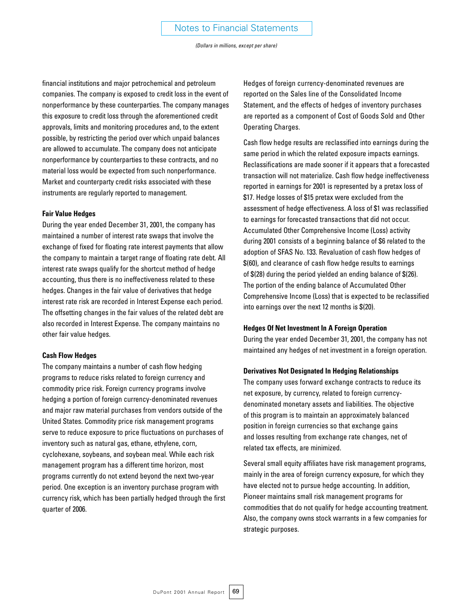financial institutions and major petrochemical and petroleum companies. The company is exposed to credit loss in the event of nonperformance by these counterparties. The company manages this exposure to credit loss through the aforementioned credit approvals, limits and monitoring procedures and, to the extent possible, by restricting the period over which unpaid balances are allowed to accumulate. The company does not anticipate nonperformance by counterparties to these contracts, and no material loss would be expected from such nonperformance. Market and counterparty credit risks associated with these instruments are regularly reported to management.

#### **Fair Value Hedges**

During the year ended December 31, 2001, the company has maintained a number of interest rate swaps that involve the exchange of fixed for floating rate interest payments that allow the company to maintain a target range of floating rate debt. All interest rate swaps qualify for the shortcut method of hedge accounting, thus there is no ineffectiveness related to these hedges. Changes in the fair value of derivatives that hedge interest rate risk are recorded in Interest Expense each period. The offsetting changes in the fair values of the related debt are also recorded in Interest Expense. The company maintains no other fair value hedges.

#### **Cash Flow Hedges**

The company maintains a number of cash flow hedging programs to reduce risks related to foreign currency and commodity price risk. Foreign currency programs involve hedging a portion of foreign currency-denominated revenues and major raw material purchases from vendors outside of the United States. Commodity price risk management programs serve to reduce exposure to price fluctuations on purchases of inventory such as natural gas, ethane, ethylene, corn, cyclohexane, soybeans, and soybean meal. While each risk management program has a different time horizon, most programs currently do not extend beyond the next two-year period. One exception is an inventory purchase program with currency risk, which has been partially hedged through the first quarter of 2006.

Hedges of foreign currency-denominated revenues are reported on the Sales line of the Consolidated Income Statement, and the effects of hedges of inventory purchases are reported as a component of Cost of Goods Sold and Other Operating Charges.

Cash flow hedge results are reclassified into earnings during the same period in which the related exposure impacts earnings. Reclassifications are made sooner if it appears that a forecasted transaction will not materialize. Cash flow hedge ineffectiveness reported in earnings for 2001 is represented by a pretax loss of \$17. Hedge losses of \$15 pretax were excluded from the assessment of hedge effectiveness. A loss of \$1 was reclassified to earnings for forecasted transactions that did not occur. Accumulated Other Comprehensive Income (Loss) activity during 2001 consists of a beginning balance of \$6 related to the adoption of SFAS No. 133. Revaluation of cash flow hedges of \$(60), and clearance of cash flow hedge results to earnings of \$(28) during the period yielded an ending balance of \$(26). The portion of the ending balance of Accumulated Other Comprehensive Income (Loss) that is expected to be reclassified into earnings over the next 12 months is \$(20).

#### **Hedges Of Net Investment In A Foreign Operation**

During the year ended December 31, 2001, the company has not maintained any hedges of net investment in a foreign operation.

#### **Derivatives Not Designated In Hedging Relationships**

The company uses forward exchange contracts to reduce its net exposure, by currency, related to foreign currencydenominated monetary assets and liabilities. The objective of this program is to maintain an approximately balanced position in foreign currencies so that exchange gains and losses resulting from exchange rate changes, net of related tax effects, are minimized.

Several small equity affiliates have risk management programs, mainly in the area of foreign currency exposure, for which they have elected not to pursue hedge accounting. In addition, Pioneer maintains small risk management programs for commodities that do not qualify for hedge accounting treatment. Also, the company owns stock warrants in a few companies for strategic purposes.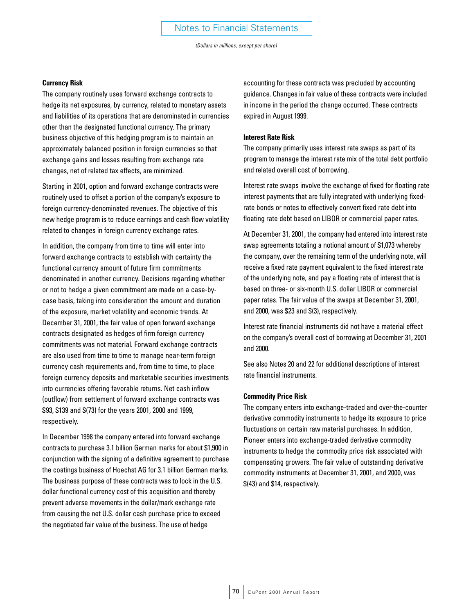#### **Currency Risk**

The company routinely uses forward exchange contracts to hedge its net exposures, by currency, related to monetary assets and liabilities of its operations that are denominated in currencies other than the designated functional currency. The primary business objective of this hedging program is to maintain an approximately balanced position in foreign currencies so that exchange gains and losses resulting from exchange rate changes, net of related tax effects, are minimized.

Starting in 2001, option and forward exchange contracts were routinely used to offset a portion of the company's exposure to foreign currency-denominated revenues. The objective of this new hedge program is to reduce earnings and cash flow volatility related to changes in foreign currency exchange rates.

In addition, the company from time to time will enter into forward exchange contracts to establish with certainty the functional currency amount of future firm commitments denominated in another currency. Decisions regarding whether or not to hedge a given commitment are made on a case-bycase basis, taking into consideration the amount and duration of the exposure, market volatility and economic trends. At December 31, 2001, the fair value of open forward exchange contracts designated as hedges of firm foreign currency commitments was not material. Forward exchange contracts are also used from time to time to manage near-term foreign currency cash requirements and, from time to time, to place foreign currency deposits and marketable securities investments into currencies offering favorable returns. Net cash inflow (outflow) from settlement of forward exchange contracts was \$93, \$139 and \$(73) for the years 2001, 2000 and 1999, respectively.

In December 1998 the company entered into forward exchange contracts to purchase 3.1 billion German marks for about \$1,900 in conjunction with the signing of a definitive agreement to purchase the coatings business of Hoechst AG for 3.1 billion German marks. The business purpose of these contracts was to lock in the U.S. dollar functional currency cost of this acquisition and thereby prevent adverse movements in the dollar/mark exchange rate from causing the net U.S. dollar cash purchase price to exceed the negotiated fair value of the business. The use of hedge

accounting for these contracts was precluded by accounting guidance. Changes in fair value of these contracts were included in income in the period the change occurred. These contracts expired in August 1999.

## **Interest Rate Risk**

The company primarily uses interest rate swaps as part of its program to manage the interest rate mix of the total debt portfolio and related overall cost of borrowing.

Interest rate swaps involve the exchange of fixed for floating rate interest payments that are fully integrated with underlying fixedrate bonds or notes to effectively convert fixed rate debt into floating rate debt based on LIBOR or commercial paper rates.

At December 31, 2001, the company had entered into interest rate swap agreements totaling a notional amount of \$1,073 whereby the company, over the remaining term of the underlying note, will receive a fixed rate payment equivalent to the fixed interest rate of the underlying note, and pay a floating rate of interest that is based on three- or six-month U.S. dollar LIBOR or commercial paper rates. The fair value of the swaps at December 31, 2001, and 2000, was \$23 and \$(3), respectively.

Interest rate financial instruments did not have a material effect on the company's overall cost of borrowing at December 31, 2001 and 2000.

See also Notes 20 and 22 for additional descriptions of interest rate financial instruments.

#### **Commodity Price Risk**

The company enters into exchange-traded and over-the-counter derivative commodity instruments to hedge its exposure to price fluctuations on certain raw material purchases. In addition, Pioneer enters into exchange-traded derivative commodity instruments to hedge the commodity price risk associated with compensating growers. The fair value of outstanding derivative commodity instruments at December 31, 2001, and 2000, was \$(43) and \$14, respectively.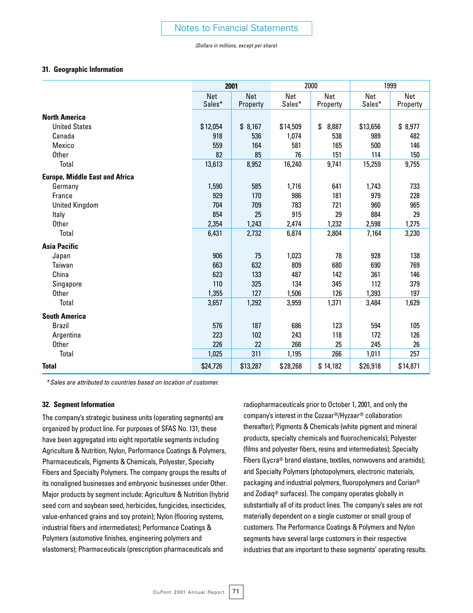# **31. Geographic Information**

|                                       | 2001          |                 | 2000          |                 | 1999          |                 |
|---------------------------------------|---------------|-----------------|---------------|-----------------|---------------|-----------------|
|                                       | Net<br>Sales* | Net<br>Property | Net<br>Sales* | Net<br>Property | Net<br>Sales* | Net<br>Property |
| <b>North America</b>                  |               |                 |               |                 |               |                 |
| <b>United States</b>                  | \$12,054      | \$8,167         | \$14,509      | \$<br>8,887     | \$13,656      | \$8,977         |
| Canada                                | 918           | 536             | 1,074         | 538             | 989           | 482             |
| Mexico                                | 559           | 164             | 581           | 165             | 500           | 146             |
| Other                                 | 82            | 85              | 76            | 151             | 114           | 150             |
| Total                                 | 13,613        | 8,952           | 16,240        | 9,741           | 15,259        | 9,755           |
| <b>Europe, Middle East and Africa</b> |               |                 |               |                 |               |                 |
| Germany                               | 1,590         | 585             | 1,716         | 641             | 1,743         | 733             |
| France                                | 929           | 170             | 986           | 181             | 979           | 228             |
| <b>United Kingdom</b>                 | 704           | 709             | 783           | 721             | 960           | 965             |
| Italy                                 | 854           | 25              | 915           | 29              | 884           | 29              |
| <b>Other</b>                          | 2,354         | 1,243           | 2,474         | 1,232           | 2,598         | 1,275           |
| Total                                 | 6,431         | 2,732           | 6,874         | 2,804           | 7,164         | 3,230           |
| <b>Asia Pacific</b>                   |               |                 |               |                 |               |                 |
| Japan                                 | 906           | 75              | 1,023         | 78              | 928           | 138             |
| Taiwan                                | 663           | 632             | 809           | 680             | 690           | 769             |
| China                                 | 623           | 133             | 487           | 142             | 361           | 146             |
| Singapore                             | 110           | 325             | 134           | 345             | 112           | 379             |
| <b>Other</b>                          | 1,355         | 127             | 1,506         | 126             | 1,393         | 197             |
| Total                                 | 3,657         | 1,292           | 3,959         | 1,371           | 3,484         | 1,629           |
| <b>South America</b>                  |               |                 |               |                 |               |                 |
| <b>Brazil</b>                         | 576           | 187             | 686           | 123             | 594           | 105             |
| Argentina                             | 223           | 102             | 243           | 118             | 172           | 126             |
| <b>Other</b>                          | 226           | 22              | 266           | 25              | 245           | 26              |
| Total                                 | 1,025         | 311             | 1,195         | 266             | 1,011         | 257             |
| <b>Total</b>                          | \$24,726      | \$13,287        | \$28,268      | \$14,182        | \$26,918      | \$14,871        |

*\* Sales are attributed to countries based on location of customer.*

# **32. Segment Information**

The company's strategic business units (operating segments) are organized by product line. For purposes of SFAS No. 131, these have been aggregated into eight reportable segments including Agriculture & Nutrition, Nylon, Performance Coatings & Polymers, Pharmaceuticals, Pigments & Chemicals, Polyester, Specialty Fibers and Specialty Polymers. The company groups the results of its nonaligned businesses and embryonic businesses under Other. Major products by segment include: Agriculture & Nutrition (hybrid seed corn and soybean seed, herbicides, fungicides, insecticides, value-enhanced grains and soy protein); Nylon (flooring systems, industrial fibers and intermediates); Performance Coatings & Polymers (automotive finishes, engineering polymers and elastomers); Pharmaceuticals (prescription pharmaceuticals and

radiopharmaceuticals prior to October 1, 2001, and only the company's interest in the Cozaar®/Hyzaar® collaboration thereafter); Pigments & Chemicals (white pigment and mineral products, specialty chemicals and fluorochemicals); Polyester (films and polyester fibers, resins and intermediates); Specialty Fibers (Lycra® brand elastane, textiles, nonwovens and aramids); and Specialty Polymers (photopolymers, electronic materials, packaging and industrial polymers, fluoropolymers and Corian® and Zodiaq® surfaces). The company operates globally in substantially all of its product lines. The company's sales are not materially dependent on a single customer or small group of customers. The Performance Coatings & Polymers and Nylon segments have several large customers in their respective industries that are important to these segments' operating results.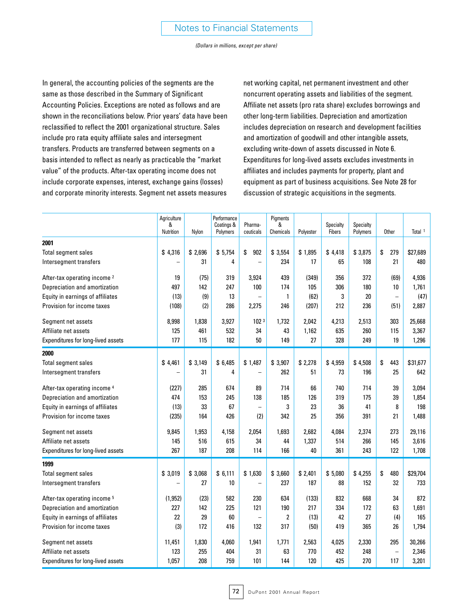In general, the accounting policies of the segments are the same as those described in the Summary of Significant Accounting Policies. Exceptions are noted as follows and are shown in the reconciliations below. Prior years' data have been reclassified to reflect the 2001 organizational structure. Sales include pro rata equity affiliate sales and intersegment transfers. Products are transferred between segments on a basis intended to reflect as nearly as practicable the "market value" of the products. After-tax operating income does not include corporate expenses, interest, exchange gains (losses) and corporate minority interests. Segment net assets measures

net working capital, net permanent investment and other noncurrent operating assets and liabilities of the segment. Affiliate net assets (pro rata share) excludes borrowings and other long-term liabilities. Depreciation and amortization includes depreciation on research and development facilities and amortization of goodwill and other intangible assets, excluding write-down of assets discussed in Note 6. Expenditures for long-lived assets excludes investments in affiliates and includes payments for property, plant and equipment as part of business acquisitions. See Note 28 for discussion of strategic acquisitions in the segments.

|                                         | Agriculture<br>&         |          | Performance<br>Coatings & |                          | Pigments       |           | Specialty     | Specialty |                   |                    |
|-----------------------------------------|--------------------------|----------|---------------------------|--------------------------|----------------|-----------|---------------|-----------|-------------------|--------------------|
|                                         | Nutrition                | Nylon    | Polymers                  | Pharma-<br>ceuticals     | &<br>Chemicals | Polyester | <b>Fibers</b> | Polymers  | <b>Other</b>      | Total <sup>1</sup> |
| 2001                                    |                          |          |                           |                          |                |           |               |           |                   |                    |
| Total segment sales                     | \$4,316                  | \$2.696  | \$5,754                   | \$<br>902                | \$3,554        | \$1.895   | \$4,418       | \$3.875   | \$<br>279         | \$27,689           |
| Intersegment transfers                  | $\overline{\phantom{0}}$ | 31       | 4                         | L,                       | 234            | 17        | 65            | 108       | 21                | 480                |
| After-tax operating income <sup>2</sup> | 19                       | (75)     | 319                       | 3,924                    | 439            | (349)     | 356           | 372       | (69)              | 4,936              |
| Depreciation and amortization           | 497                      | 142      | 247                       | 100                      | 174            | 105       | 306           | 180       | 10                | 1,761              |
| Equity in earnings of affiliates        | (13)                     | (9)      | 13                        |                          | $\mathbf{1}$   | (62)      | 3             | 20        | $\qquad \qquad -$ | (47)               |
| Provision for income taxes              | (108)                    | (2)      | 286                       | 2,275                    | 246            | (207)     | 212           | 236       | (51)              | 2,887              |
| Segment net assets                      | 8,998                    | 1,838    | 3,927                     | 102 <sup>3</sup>         | 1,732          | 2,042     | 4,213         | 2,513     | 303               | 25,668             |
| Affiliate net assets                    | 125                      | 461      | 532                       | 34                       | 43             | 1,162     | 635           | 260       | 115               | 3,367              |
| Expenditures for long-lived assets      | 177                      | 115      | 182                       | 50                       | 149            | 27        | 328           | 249       | 19                | 1,296              |
| 2000                                    |                          |          |                           |                          |                |           |               |           |                   |                    |
| <b>Total segment sales</b>              | \$4,461                  | \$3.149  | \$6,485                   | \$1,487                  | \$3,907        | \$2.278   | \$4,959       | \$4,508   | \$<br>443         | \$31.677           |
| Intersegment transfers                  | $\overline{\phantom{0}}$ | 31       | 4                         | $\overline{\phantom{0}}$ | 262            | 51        | 73            | 196       | 25                | 642                |
| After-tax operating income 4            | (227)                    | 285      | 674                       | 89                       | 714            | 66        | 740           | 714       | 39                | 3,094              |
| Depreciation and amortization           | 474                      | 153      | 245                       | 138                      | 185            | 126       | 319           | 175       | 39                | 1,854              |
| Equity in earnings of affiliates        | (13)                     | 33       | 67                        | $\overline{\phantom{0}}$ | 3              | 23        | 36            | 41        | 8                 | 198                |
| Provision for income taxes              | (235)                    | 164      | 426                       | (2)                      | 342            | 25        | 356           | 391       | 21                | 1,488              |
| Segment net assets                      | 9,845                    | 1,953    | 4,158                     | 2,054                    | 1,693          | 2,682     | 4,084         | 2,374     | 273               | 29,116             |
| Affiliate net assets                    | 145                      | 516      | 615                       | 34                       | 44             | 1,337     | 514           | 266       | 145               | 3,616              |
| Expenditures for long-lived assets      | 267                      | 187      | 208                       | 114                      | 166            | 40        | 361           | 243       | 122               | 1,708              |
| 1999                                    |                          |          |                           |                          |                |           |               |           |                   |                    |
| Total segment sales                     | \$3,019                  | \$ 3,068 | \$6,111                   | \$1,630                  | \$3,660        | \$2,401   | \$5,080       | \$4,255   | \$<br>480         | \$29,704           |
| Intersegment transfers                  | $\overline{\phantom{0}}$ | 27       | 10                        | $\overline{\phantom{0}}$ | 237            | 187       | 88            | 152       | 32                | 733                |
| After-tax operating income 5            | (1, 952)                 | (23)     | 582                       | 230                      | 634            | (133)     | 832           | 668       | 34                | 872                |
| Depreciation and amortization           | 227                      | 142      | 225                       | 121                      | 190            | 217       | 334           | 172       | 63                | 1,691              |
| Equity in earnings of affiliates        | 22                       | 29       | 60                        | $\overline{\phantom{0}}$ | $\overline{2}$ | (13)      | 42            | 27        | (4)               | 165                |
| Provision for income taxes              | (3)                      | 172      | 416                       | 132                      | 317            | (50)      | 419           | 365       | 26                | 1,794              |
| Segment net assets                      | 11,451                   | 1,830    | 4,060                     | 1,941                    | 1,771          | 2,563     | 4,025         | 2,330     | 295               | 30,266             |
| Affiliate net assets                    | 123                      | 255      | 404                       | 31                       | 63             | 770       | 452           | 248       | $\qquad \qquad -$ | 2,346              |
| Expenditures for long-lived assets      | 1,057                    | 208      | 759                       | 101                      | 144            | 120       | 425           | 270       | 117               | 3,201              |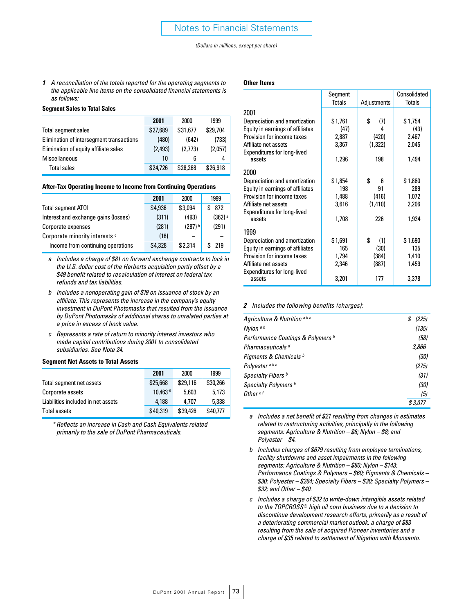*1 A reconciliation of the totals reported for the operating segments to the applicable line items on the consolidated financial statements is as follows:*

## **Segment Sales to Total Sales**

|                                          | 2001     | 2000     | 1999     |
|------------------------------------------|----------|----------|----------|
| Total segment sales                      | \$27,689 | \$31,677 | \$29,704 |
| Elimination of intersegment transactions | (480)    | (642)    | (733)    |
| Elimination of equity affiliate sales    | (2, 493) | (2.773)  | (2,057)  |
| <b>Miscellaneous</b>                     | 10       | 6        | 4        |
| Total sales                              | \$24,726 | \$28,268 | \$26,918 |

## **After-Tax Operating Income to Income from Continuing Operations**

|                                      | 2001    | 2000      | 1999                 |
|--------------------------------------|---------|-----------|----------------------|
| <b>Total segment ATOI</b>            | \$4,936 | \$3,094   | 872                  |
| Interest and exchange gains (losses) | (311)   | (493)     | $(362)$ <sup>a</sup> |
| Corporate expenses                   | (281)   | $(287)$ b | (291)                |
| Corporate minority interests c       | (16)    |           |                      |
| Income from continuing operations    | \$4,328 | \$2,314   | \$219                |

- *a Includes a charge of \$81 on forward exchange contracts to lock in the U.S. dollar cost of the Herberts acquisition partly offset by a \$49 benefit related to recalculation of interest on federal tax refunds and tax liabilities.*
- *b Includes a nonoperating gain of \$19 on issuance of stock by an affiliate. This represents the increase in the company's equity investment in DuPont Photomasks that resulted from the issuance by DuPont Photomasks of additional shares to unrelated parties at a price in excess of book value.*
- *c Represents a rate of return to minority interest investors who made capital contributions during 2001 to consolidated subsidiaries. See Note 24.*

# **Segment Net Assets to Total Assets**

|                                    | 2001      | 2000     | 1999     |
|------------------------------------|-----------|----------|----------|
| Total segment net assets           | \$25,668  | \$29,116 | \$30,266 |
| Corporate assets                   | $10.463*$ | 5.603    | 5.173    |
| Liabilities included in net assets | 4.188     | 4.707    | 5,338    |
| <b>Total assets</b>                | \$40.319  | \$39,426 | \$40,777 |

*\* Reflects an increase in Cash and Cash Equivalents related primarily to the sale of DuPont Pharmaceuticals.*

# **Other Items**

|                                       | Segment<br><b>Totals</b> | Adjustments | Consolidated<br><b>Totals</b> |
|---------------------------------------|--------------------------|-------------|-------------------------------|
| 2001                                  |                          |             |                               |
| Depreciation and amortization         | \$1,761                  | \$<br>(7)   | \$1,754                       |
| Equity in earnings of affiliates      | (47)                     | 4           | (43)                          |
| Provision for income taxes            | 2,887                    | (420)       | 2,467                         |
| Affiliate net assets                  | 3,367                    | (1, 322)    | 2,045                         |
| Expenditures for long-lived<br>assets | 1,296                    | 198         | 1,494                         |
| 2000                                  |                          |             |                               |
| Depreciation and amortization         | \$1,854                  | \$<br>6     | \$1,860                       |
| Equity in earnings of affiliates      | 198                      | 91          | 289                           |
| Provision for income taxes            | 1,488                    | (416)       | 1,072                         |
| Affiliate net assets                  | 3,616                    | (1, 410)    | 2,206                         |
| Expenditures for long-lived<br>assets | 1,708                    | 226         | 1,934                         |
| 1999                                  |                          |             |                               |
| Depreciation and amortization         | \$1,691                  | \$<br>(1)   | \$1,690                       |
| Equity in earnings of affiliates      | 165                      | (30)        | 135                           |
| Provision for income taxes            | 1,794                    | (384)       | 1,410                         |
| Affiliate net assets                  | 2,346                    | (887)       | 1,459                         |
| Expenditures for long-lived           |                          |             |                               |
| assets                                | 3,201                    | 177         | 3,378                         |

## *2 Includes the following benefits (charges):*

| Agriculture & Nutrition a b c     | (225)   |
|-----------------------------------|---------|
| Nylon <sup>ab</sup>               | (135)   |
| Performance Coatings & Polymers b | (58)    |
| Pharmaceuticals <sup>d</sup>      | 3,866   |
| Pigments & Chemicals b            | (30)    |
| Polyester <sup>abe</sup>          | (275)   |
| Specialty Fibers <sup>b</sup>     | (31)    |
| Specialty Polymers <sup>b</sup>   | (30)    |
| Other bf                          | (5)     |
|                                   | \$3,077 |

*a Includes a net benefit of \$21 resulting from changes in estimates related to restructuring activities, principally in the following segments: Agriculture & Nutrition – \$6; Nylon – \$8; and Polyester – \$4.* 

- *b Includes charges of \$679 resulting from employee terminations, facility shutdowns and asset impairments in the following segments: Agriculture & Nutrition – \$80; Nylon – \$143; Performance Coatings & Polymers – \$60; Pigments & Chemicals – \$30; Polyester – \$264; Specialty Fibers – \$30; Specialty Polymers – \$32; and Other – \$40.*
- *c Includes a charge of \$32 to write-down intangible assets related to the TOPCROSS* ® *high oil corn business due to a decision to discontinue development research efforts, primarily as a result of a deteriorating commercial market outlook, a charge of \$83 resulting from the sale of acquired Pioneer inventories and a charge of \$35 related to settlement of litigation with Monsanto.*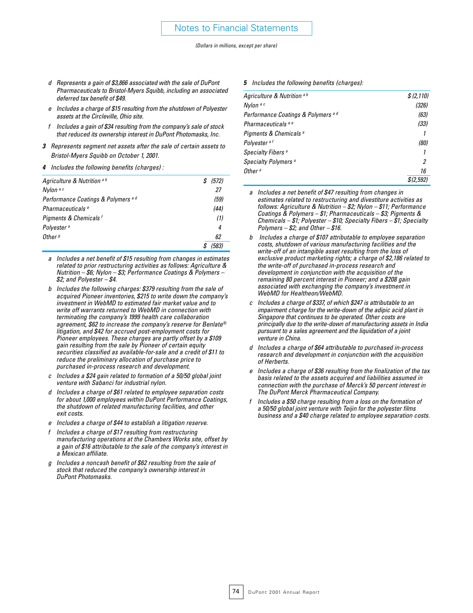- *d Represents a gain of \$3,866 associated with the sale of DuPont Pharmaceuticals to Bristol-Myers Squibb, including an associated deferred tax benefit of \$49.*
- *e Includes a charge of \$15 resulting from the shutdown of Polyester assets at the Circleville, Ohio site.*
- *f Includes a gain of \$34 resulting from the company's sale of stock that reduced its ownership interest in DuPont Photomasks, Inc.*
- *3 Represents segment net assets after the sale of certain assets to Bristol-Myers Squibb on October 1, 2001.*
- *4 Includes the following benefits (charges) :*

| Agriculture & Nutrition <sup>ab</sup>         | (572)<br>S |
|-----------------------------------------------|------------|
| $N$ ylon <sup>a c</sup>                       | 27         |
| Performance Coatings & Polymers <sup>ad</sup> | (59)       |
| Pharmaceuticals <sup>e</sup>                  | (44)       |
| Pigments & Chemicals f                        | (1)        |
| Polyester <sup>a</sup>                        | 4          |
| Other <sup><math>g</math></sup>               | 62         |
|                                               | '583)      |

- *a Includes a net benefit of \$15 resulting from changes in estimates related to prior restructuring activities as follows: Agriculture & Nutrition – \$6; Nylon – \$3; Performance Coatings & Polymers – \$2; and Polyester – \$4.*
- *b Includes the following charges: \$379 resulting from the sale of acquired Pioneer inventories, \$215 to write down the company's investment in WebMD to estimated fair market value and to write off warrants returned to WebMD in connection with terminating the company's 1999 health care collaboration agreement, \$62 to increase the company's reserve for Benlate*® *litigation, and \$42 for accrued post-employment costs for Pioneer employees. These charges are partly offset by a \$109 gain resulting from the sale by Pioneer of certain equity securities classified as available-for-sale and a credit of \$11 to reduce the preliminary allocation of purchase price to purchased in-process research and development.*
- *c Includes a \$24 gain related to formation of a 50/50 global joint venture with Sabanci for industrial nylon.*
- *d Includes a charge of \$61 related to employee separation costs for about 1,000 employees within DuPont Performance Coatings, the shutdown of related manufacturing facilities, and other exit costs.*
- *e Includes a charge of \$44 to establish a litigation reserve.*
- *f Includes a charge of \$17 resulting from restructuring manufacturing operations at the Chambers Works site, offset by a gain of \$16 attributable to the sale of the company's interest in a Mexican affiliate.*
- *g Includes a noncash benefit of \$62 resulting from the sale of stock that reduced the company's ownership interest in DuPont Photomasks.*

### *5 Includes the following benefits (charges):*

| Agriculture & Nutrition <sup>ab</sup> | \$(2,110)  |
|---------------------------------------|------------|
| $N$ vlon <sup>ac</sup>                | (326)      |
| Performance Coatings & Polymers ad    | (63)       |
| Pharmaceuticals <sup>ae</sup>         | (33)       |
| Pigments & Chemicals <sup>a</sup>     |            |
| Polyester <sup>af</sup>               | (80)       |
| Specialty Fibers <sup>a</sup>         |            |
| Specialty Polymers <sup>a</sup>       | 2          |
| Other <sup>a</sup>                    | 16         |
|                                       | \$(2, 592) |

- *a Includes a net benefit of \$47 resulting from changes in estimates related to restructuring and divestiture activities as follows: Agriculture & Nutrition – \$2; Nylon – \$11; Performance Coatings & Polymers – \$1; Pharmaceuticals – \$3; Pigments & Chemicals – \$1; Polyester – \$10; Specialty Fibers – \$1; Specialty Polymers – \$2; and Other – \$16.*
- *b Includes a charge of \$107 attributable to employee separation costs, shutdown of various manufacturing facilities and the write-off of an intangible asset resulting from the loss of exclusive product marketing rights; a charge of \$2,186 related to the write-off of purchased in-process research and development in conjunction with the acquisition of the remaining 80 percent interest in Pioneer; and a \$208 gain associated with exchanging the company's investment in WebMD for Healtheon/WebMD.*
- *c Includes a charge of \$337, of which \$247 is attributable to an impairment charge for the write-down of the adipic acid plant in Singapore that continues to be operated. Other costs are principally due to the write-down of manufacturing assets in India pursuant to a sales agreement and the liquidation of a joint venture in China.*
- *d Includes a charge of \$64 attributable to purchased in-process research and development in conjunction with the acquisition of Herberts.*
- *e Includes a charge of \$36 resulting from the finalization of the tax basis related to the assets acquired and liabilities assumed in connection with the purchase of Merck's 50 percent interest in The DuPont Merck Pharmaceutical Company.*
- *f Includes a \$50 charge resulting from a loss on the formation of a 50/50 global joint venture with Teijin for the polyester films business and a \$40 charge related to employee separation costs.*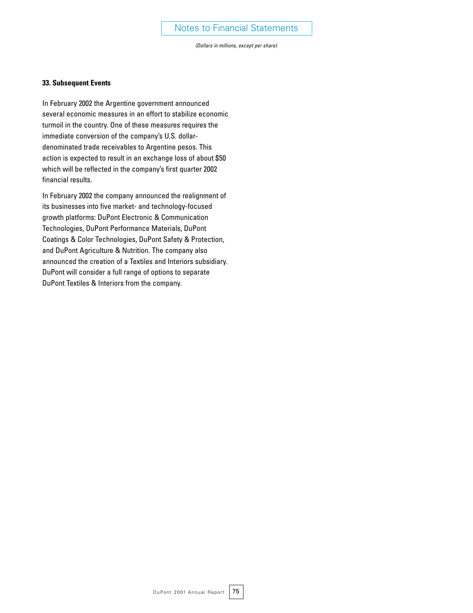# **33. Subsequent Events**

In February 2002 the Argentine government announced several economic measures in an effort to stabilize economic turmoil in the country. One of these measures requires the immediate conversion of the company's U.S. dollardenominated trade receivables to Argentine pesos. This action is expected to result in an exchange loss of about \$50 which will be reflected in the company's first quarter 2002 financial results.

In February 2002 the company announced the realignment of its businesses into five market- and technology-focused growth platforms: DuPont Electronic & Communication Technologies, DuPont Performance Materials, DuPont Coatings & Color Technologies, DuPont Safety & Protection, and DuPont Agriculture & Nutrition. The company also announced the creation of a Textiles and Interiors subsidiary. DuPont will consider a full range of options to separate DuPont Textiles & Interiors from the company.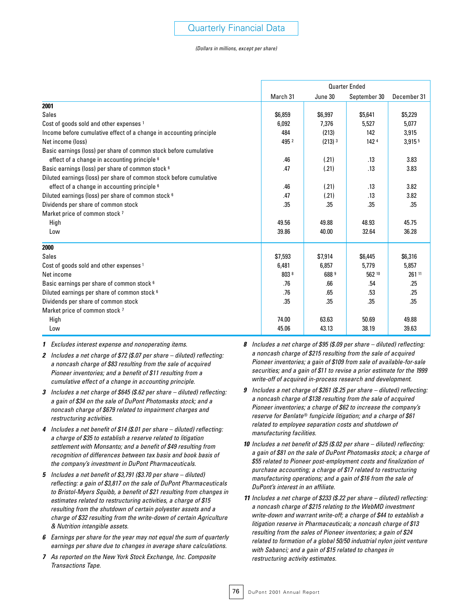# Quarterly Financial Data

## *(Dollars in millions, except per share)*

|                                                                     | <b>Quarter Ended</b> |                      |              |             |
|---------------------------------------------------------------------|----------------------|----------------------|--------------|-------------|
|                                                                     | March 31             | June 30              | September 30 | December 31 |
| 2001                                                                |                      |                      |              |             |
| <b>Sales</b>                                                        | \$6.859              | \$6,997              | \$5,641      | \$5,229     |
| Cost of goods sold and other expenses 1                             | 6,092                | 7,376                | 5.527        | 5.077       |
| Income before cumulative effect of a change in accounting principle | 484                  | (213)                | 142          | 3,915       |
| Net income (loss)                                                   | 495 2                | $(213)$ <sup>3</sup> | 1424         | 3,915 5     |
| Basic earnings (loss) per share of common stock before cumulative   |                      |                      |              |             |
| effect of a change in accounting principle <sup>6</sup>             | .46                  | (.21)                | .13          | 3.83        |
| Basic earnings (loss) per share of common stock 6                   | .47                  | (.21)                | .13          | 3.83        |
| Diluted earnings (loss) per share of common stock before cumulative |                      |                      |              |             |
| effect of a change in accounting principle 6                        | .46                  | (.21)                | .13          | 3.82        |
| Diluted earnings (loss) per share of common stock 6                 | .47                  | (.21)                | .13          | 3.82        |
| Dividends per share of common stock                                 | .35                  | .35                  | .35          | .35         |
| Market price of common stock <sup>7</sup>                           |                      |                      |              |             |
| High                                                                | 49.56                | 49.88                | 48.93        | 45.75       |
| Low                                                                 | 39.86                | 40.00                | 32.64        | 36.28       |
| 2000                                                                |                      |                      |              |             |
| <b>Sales</b>                                                        | \$7,593              | \$7,914              | \$6,445      | \$6.316     |
| Cost of goods sold and other expenses 1                             | 6,481                | 6,857                | 5,779        | 5.857       |
| Net income                                                          | 8038                 | 688 <sup>9</sup>     | 562 10       | 261 11      |
| Basic earnings per share of common stock 6                          | .76                  | .66                  | .54          | .25         |
| Diluted earnings per share of common stock 6                        | .76                  | .65                  | .53          | .25         |
| Dividends per share of common stock                                 | .35                  | .35                  | .35          | .35         |
| Market price of common stock 7                                      |                      |                      |              |             |
| High                                                                | 74.00                | 63.63                | 50.69        | 49.88       |
| Low                                                                 | 45.06                | 43.13                | 38.19        | 39.63       |

*1 Excludes interest expense and nonoperating items.*

*2 Includes a net charge of \$72 (\$.07 per share – diluted) reflecting: a noncash charge of \$83 resulting from the sale of acquired Pioneer inventories; and a benefit of \$11 resulting from a cumulative effect of a change in accounting principle.*

- *3 Includes a net charge of \$645 (\$.62 per share diluted) reflecting: a gain of \$34 on the sale of DuPont Photomasks stock; and a noncash charge of \$679 related to impairment charges and restructuring activities.*
- *4 Includes a net benefit of \$14 (\$.01 per share diluted) reflecting: a charge of \$35 to establish a reserve related to litigation settlement with Monsanto; and a benefit of \$49 resulting from recognition of differences between tax basis and book basis of the company's investment in DuPont Pharmaceuticals.*
- *5 Includes a net benefit of \$3,791 (\$3.70 per share diluted) reflecting: a gain of \$3,817 on the sale of DuPont Pharmaceuticals to Bristol-Myers Squibb, a benefit of \$21 resulting from changes in estimates related to restructuring activities, a charge of \$15 resulting from the shutdown of certain polyester assets and a charge of \$32 resulting from the write-down of certain Agriculture & Nutrition intangible assets.*
- *6 Earnings per share for the year may not equal the sum of quarterly earnings per share due to changes in average share calculations.*
- *7 As reported on the New York Stock Exchange, Inc. Composite Transactions Tape.*
- *8 Includes a net charge of \$95 (\$.09 per share diluted) reflecting: a noncash charge of \$215 resulting from the sale of acquired Pioneer inventories; a gain of \$109 from sale of available-for-sale securities; and a gain of \$11 to revise a prior estimate for the 1999 write-off of acquired in-process research and development.*
- *9 Includes a net charge of \$261 (\$.25 per share diluted) reflecting: a noncash charge of \$138 resulting from the sale of acquired Pioneer inventories; a charge of \$62 to increase the company's reserve for Benlate* ® *fungicide litigation; and a charge of \$61 related to employee separation costs and shutdown of manufacturing facilities.*
- *10 Includes a net benefit of \$25 (\$.02 per share diluted) reflecting: a gain of \$81 on the sale of DuPont Photomasks stock; a charge of \$55 related to Pioneer post-employment costs and finalization of purchase accounting; a charge of \$17 related to restructuring manufacturing operations; and a gain of \$16 from the sale of DuPont's interest in an affiliate.*
- *11 Includes a net charge of \$233 (\$.22 per share diluted) reflecting: a noncash charge of \$215 relating to the WebMD investment write-down and warrant write-off; a charge of \$44 to establish a litigation reserve in Pharmaceuticals; a noncash charge of \$13 resulting from the sales of Pioneer inventories; a gain of \$24 related to formation of a global 50/50 industrial nylon joint venture with Sabanci; and a gain of \$15 related to changes in restructuring activity estimates.*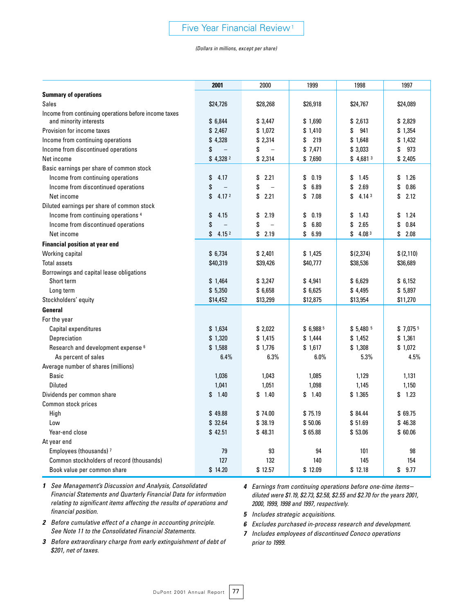|                                                       | 2001                           | 2000           | 1999       | 1998                  | 1997                  |
|-------------------------------------------------------|--------------------------------|----------------|------------|-----------------------|-----------------------|
| <b>Summary of operations</b>                          |                                |                |            |                       |                       |
| <b>Sales</b>                                          | \$24,726                       | \$28,268       | \$26,918   | \$24,767              | \$24,089              |
| Income from continuing operations before income taxes |                                |                |            |                       |                       |
| and minority interests                                | \$6,844                        | \$3,447        | \$1,690    | \$2,613               | \$2,829               |
| Provision for income taxes                            | \$2,467                        | \$1,072        | \$1,410    | \$<br>941             | \$1,354               |
| Income from continuing operations                     | \$4,328                        | \$2,314        | 219<br>\$  | \$1,648               | \$1,432               |
| Income from discontinued operations                   | \$                             | \$             | \$7,471    | \$ 3,033              | \$<br>973             |
| Net income                                            | \$4,3282                       | \$2,314        | \$7,690    | \$4,6813              | \$2,405               |
| Basic earnings per share of common stock              |                                |                |            |                       |                       |
| Income from continuing operations                     | \$<br>4.17                     | \$<br>2.21     | 0.19<br>\$ | 1.45<br>\$            | \$<br>1.26            |
| Income from discontinued operations                   | \$<br>$\overline{\phantom{m}}$ | \$<br>$\equiv$ | 6.89<br>\$ | \$<br>2.69            | \$<br>0.86            |
| Net income                                            | 4.17 <sup>2</sup><br>\$        | \$<br>2.21     | \$<br>7.08 | \$<br>4.14 3          | \$<br>2.12            |
| Diluted earnings per share of common stock            |                                |                |            |                       |                       |
| Income from continuing operations 4                   | \$<br>4.15                     | \$<br>2.19     | \$<br>0.19 | \$<br>1.43            | \$<br>1.24            |
| Income from discontinued operations                   | \$<br>$\overline{\phantom{m}}$ | \$<br>$\equiv$ | 6.80<br>\$ | \$<br>2.65            | \$<br>0.84            |
| Net income                                            | \$<br>4.15 2                   | \$2.19         | \$6.99     | \$<br>4.083           | \$<br>2.08            |
| <b>Financial position at year end</b>                 |                                |                |            |                       |                       |
| Working capital                                       | \$6,734                        | \$2,401        | \$1,425    | \$(2,374)             | \$(2,110)             |
| <b>Total assets</b>                                   | \$40,319                       | \$39,426       | \$40,777   | \$38,536              | \$36,689              |
| Borrowings and capital lease obligations              |                                |                |            |                       |                       |
| Short term                                            | \$1,464                        | \$3,247        | \$4,941    | \$6,629               | \$6,152               |
| Long term                                             | \$5,350                        | \$6,658        | \$6,625    | \$4,495               | \$ 5,897              |
| Stockholders' equity                                  | \$14,452                       | \$13,299       | \$12,875   | \$13,954              | \$11,270              |
| General                                               |                                |                |            |                       |                       |
| For the year                                          |                                |                |            |                       |                       |
| Capital expenditures                                  | \$1,634                        | \$2,022        | \$6,9885   | $$5,480$ <sup>5</sup> | $$7,075$ <sup>5</sup> |
| Depreciation                                          | \$1,320                        | \$1,415        | \$1,444    | \$1,452               | \$1,361               |
| Research and development expense 6                    | \$1,588                        | \$1,776        | \$1,617    | \$1,308               | \$1,072               |
| As percent of sales                                   | 6.4%                           | 6.3%           | 6.0%       | 5.3%                  | 4.5%                  |
| Average number of shares (millions)                   |                                |                |            |                       |                       |
| <b>Basic</b>                                          | 1,036                          | 1,043          | 1,085      | 1,129                 | 1,131                 |
| Diluted                                               | 1,041                          | 1,051          | 1,098      | 1,145                 | 1,150                 |
| Dividends per common share                            | 1.40<br>\$                     | \$<br>1.40     | \$<br>1.40 | \$1.365               | \$<br>1.23            |
| Common stock prices                                   |                                |                |            |                       |                       |
| High                                                  | \$49.88                        | \$74.00        | \$75.19    | \$84.44               | \$69.75               |
| Low                                                   | \$32.64                        | \$38.19        | \$50.06    | \$51.69               | \$46.38               |
| Year-end close                                        | \$42.51                        | \$48.31        | \$65.88    | \$53.06               | \$60.06               |
| At year end                                           |                                |                |            |                       |                       |
| Employees (thousands) 7                               | 79                             | 93             | 94         | 101                   | 98                    |
| Common stockholders of record (thousands)             | 127                            | 132            | 140        | 145                   | 154                   |
| Book value per common share                           | \$14.20                        | \$12.57        | \$12.09    | \$12.18               | \$<br>9.77            |

*1 See Management's Discussion and Analysis, Consolidated Financial Statements and Quarterly Financial Data for information relating to significant items affecting the results of operations and financial position.*

*4 Earnings from continuing operations before one-time items*– *diluted were \$1.19, \$2.73, \$2.58, \$2.55 and \$2.70 for the years 2001, 2000, 1999, 1998 and 1997, respectively.*

- *5 Includes strategic acquisitions.*
- *6 Excludes purchased in-process research and development.*
- *7 Includes employees of discontinued Conoco operations prior to 1999.*
- *See Note 11 to the Consolidated Financial Statements.*

*2 Before cumulative effect of a change in accounting principle.*

*3 Before extraordinary charge from early extinguishment of debt of \$201, net of taxes.*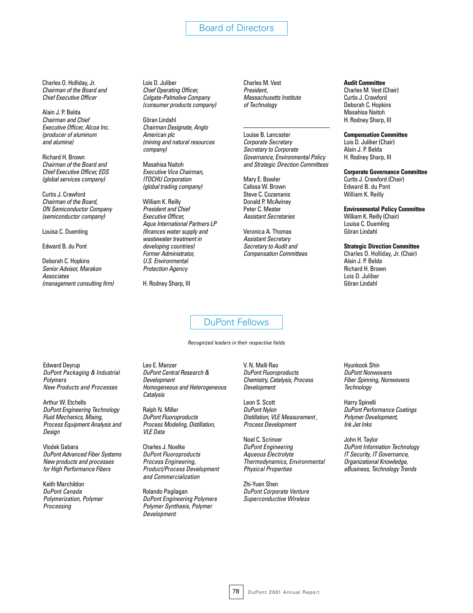Board of Directors

Charles O. Holliday, Jr. *Chairman of the Board and Chief Executive Officer*

Alain J. P. Belda *Chairman and Chief Executive Officer, Alcoa Inc. (producer of aluminum and alumina)*

Richard H. Brown *Chairman of the Board and Chief Executive Officer, EDS (global services company)* 

Curtis J. Crawford *Chairman of the Board, ON Semiconductor Company (semiconductor company)*

Louisa C. Duemling

Edward B. du Pont

Deborah C. Hopkins *Senior Advisor, Marakon Associates (management consulting firm)* Lois D. Juliber *Chief Operating Officer, Colgate-Palmolive Company (consumer products company)*

Göran Lindahl *Chairman Designate, Anglo American plc (mining and natural resources company)*

Masahisa Naitoh *Executive Vice Chairman, ITOCHU Corporation (global trading company)*

William K. Reilly *President and Chief Executive Officer, Aqua International Partners LP (finances water supply and wastewater treatment in developing countries) Former Administrator, U.S. Environmental Protection Agency*

H. Rodney Sharp, III

Charles M. Vest *President, Massachusetts Institute of Technology*

Louise B. Lancaster *Corporate Secretary Secretary to Corporate Governance, Environmental Policy and Strategic Direction Committees*

Mary E. Bowler Calissa W. Brown Steve C. Cozamanis Donald P. McAviney Peter C. Mester *Assistant Secretaries*

Veronica A. Thomas *Assistant Secretary Secretary to Audit and Compensation Committees*

# **Audit Committee**

Charles M. Vest (Chair) Curtis J. Crawford Deborah C. Hopkins Masahisa Naitoh H. Rodney Sharp, III

## **Compensation Committee**

Lois D. Juliber (Chair) Alain J. P. Belda H. Rodney Sharp, III

## **Corporate Governance Committee**

Curtis J. Crawford (Chair) Edward B. du Pont William K. Reilly

## **Environmental Policy Committee**

William K. Reilly (Chair) Louisa C. Duemling Göran Lindahl

# **Strategic Direction Committee**

Charles O. Holliday, Jr. (Chair) Alain J. P. Belda Richard H. Brown Lois D. Juliber Göran Lindahl

# DuPont Fellows

*Recognized leaders in their respective fields*

Edward Deyrup *DuPont Packaging & Industrial Polymers New Products and Processes*

Arthur W. Etchells *DuPont Engineering Technology Fluid Mechanics, Mixing, Process Equipment Analysis and Design*

Vlodek Gabara *DuPont Advanced Fiber Systems New products and processes for High Performance Fibers*

Keith Marchildon *DuPont Canada Polymerization, Polymer Processing*

Leo E. Manzer *DuPont Central Research & Development Homogeneous and Heterogeneous Catalysis*

Ralph N. Miller *DuPont Fluoroproducts Process Modeling, Distillation, VLE Data*

Charles J. Noelke *DuPont Fluoroproducts Process Engineering, Product/Process Development and Commercialization*

Rolando Pagilagan *DuPont Engineering Polymers Polymer Synthesis, Polymer Development*

V. N. Malli Rao *DuPont Fluoroproducts Chemistry, Catalysis, Process Development*

Leon S. Scott *DuPont Nylon Distillation, VLE Measurement , Process Development*

Noel C. Scrinver *DuPont Engineering Aqueous Electrolyte Thermodynamics, Environmental Physical Properties*

Zhi-Yuen Shen *DuPont Corporate Venture Superconductive Wireless* Hyunkook Shin *DuPont Nonwovens Fiber Spinning, Nonwovens Technology*

Harry Spinelli *DuPont Performance Coatings Polymer Development, Ink Jet Inks*

John H. Taylor *DuPont Information Technology IT Security, IT Governance, Organizational Knowledge, eBusiness, Technology Trends*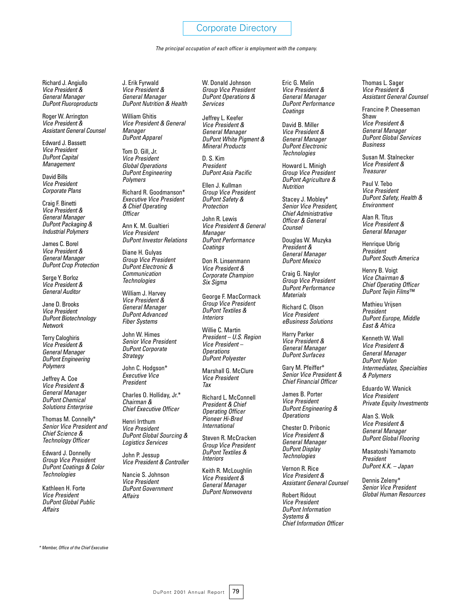# Corporate Directory

#### *The principal occupation of each officer is employment with the company.*

Richard J. Angiullo *Vice President & General Manager DuPont Fluoroproducts*

Roger W. Arrington *Vice President & Assistant General Counsel*

Edward J. Bassett *Vice President DuPont Capital Management*

David Bills *Vice President Corporate Plans*

Craig F. Binetti *Vice President & General Manager DuPont Packaging & Industrial Polymers*

James C. Borel *Vice President & General Manager DuPont Crop Protection* 

Serge Y. Borloz *Vice President & General Auditor*

Jane D. Brooks *Vice President DuPont Biotechnology Network*

Terry Caloghiris *Vice President & General Manager DuPont Engineering Polymers*

Jeffrey A. Coe *Vice President & General Manager DuPont Chemical Solutions Enterprise*

Thomas M. Connelly\* *Senior Vice President and Chief Science & Technology Officer*

Edward J. Donnelly *Group Vice President DuPont Coatings & Color Technologies*

Kathleen H. Forte *Vice President DuPont Global Public Affairs*

J. Erik Fyrwald *Vice President & General Manager DuPont Nutrition & Health*

William Ghitis *Vice President & General Manager DuPont Apparel*

Tom D. Gill, Jr. *Vice President Global Operations DuPont Engineering Polymers*

Richard R. Goodmanson\* *Executive Vice President & Chief Operating Officer*

Ann K. M. Gualtieri *Vice President DuPont Investor Relations*

Diane H. Gulyas *Group Vice President DuPont Electronic & Communication Technologies*

William J. Harvey *Vice President & General Manager DuPont Advanced Fiber Systems*

John W. Himes *Senior Vice President DuPont Corporate Strategy*

John C. Hodgson\* *Executive Vice President* 

Charles O. Holliday, Jr.\* *Chairman & Chief Executive Officer*

Henri Irrthum *Vice President DuPont Global Sourcing & Logistics Services*

John P. Jessup *Vice President & Controller*

Nancie S. Johnson *Vice President DuPont Government Affairs*

W. Donald Johnson *Group Vice President DuPont Operations & Services*

Jeffrey L. Keefer *Vice President & General Manager DuPont White Pigment & Mineral Products*

D. S. Kim *President DuPont Asia Pacific*

Ellen J. Kullman *Group Vice President DuPont Safety & Protection*

John R. Lewis *Vice President & General Manager DuPont Performance Coatings*

Don R. Linsenmann *Vice President & Corporate Champion Six Sigma*

George F. MacCormack *Group Vice President DuPont Textiles & Interiors*

Willie C. Martin *President – U.S. Region Vice President – Operations DuPont Polyester*

Marshall G. McClure *Vice President Tax*

Richard L. McConnell *President & Chief Operating Officer Pioneer Hi-Bred International*

Steven R. McCracken *Group Vice President DuPont Textiles & Interiors*

Keith R. McLoughlin *Vice President & General Manager DuPont Nonwovens*

Eric G. Melin *Vice President & General Manager DuPont Performance Coatings*

David B. Miller *Vice President & General Manager DuPont Electronic Technologies*

Howard L. Minigh *Group Vice President DuPont Agriculture & Nutrition*

Stacey J. Mobley\* *Senior Vice President, Chief Administrative Officer & General Counsel*

Douglas W. Muzyka *President & General Manager DuPont Mexico*

Craig G. Naylor *Group Vice President DuPont Performance Materials*

Richard C. Olson *Vice President eBusiness Solutions*

Harry Parker *Vice President & General Manager DuPont Surfaces*

Gary M. Pfeiffer\* *Senior Vice President & Chief Financial Officer*

James B. Porter *Vice President DuPont Engineering & Operations*

Chester D. Pribonic *Vice President & General Manager DuPont Display Technologies*

Vernon R. Rice *Vice President & Assistant General Counsel*

Robert Ridout *Vice President DuPont Information Systems & Chief Information Officer* Thomas L. Sager *Vice President & Assistant General Counsel*

Francine P. Cheeseman Shaw *Vice President & General Manager DuPont Global Services Business*

Susan M. Stalnecker *Vice President & Treasurer*

Paul V. Tebo *Vice President DuPont Safety, Health & Environment*

Alan R. Titus *Vice President & General Manager*

Henrique Ubrig *President DuPont South America*

Henry B. Voigt *Vice Chairman & Chief Operating Officer DuPont Teijin Films*™

Mathieu Vrijsen *President DuPont Europe, Middle East & Africa*

Kenneth W. Wall *Vice President & General Manager DuPont Nylon Intermediates, Specialties & Polymers*

Eduardo W. Wanick *Vice President Private Equity Investments*

Alan S. Wolk *Vice President & General Manager DuPont Global Flooring*

Masatoshi Yamamoto *President DuPont K.K. – Japan*

Dennis Zeleny\* *Senior Vice President Global Human Resources*

*\* Member, Office of the Chief Executive*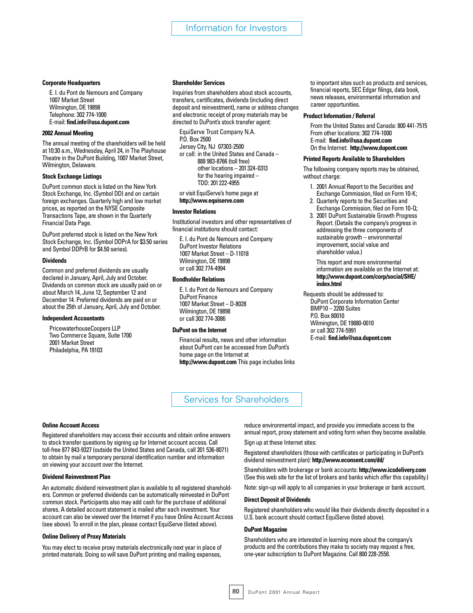## **Corporate Headquarters**

E. I. du Pont de Nemours and Company 1007 Market Street Wilmington, DE 19898 Telephone: 302 774-1000 E-mail: **find.info@usa.dupont.com**

## **2002 Annual Meeting**

The annual meeting of the shareholders will be held at 10:30 a.m., Wednesday, April 24, in The Playhouse Theatre in the DuPont Building, 1007 Market Street, Wilmington, Delaware.

# **Stock Exchange Listings**

DuPont common stock is listed on the New York Stock Exchange, Inc. (Symbol DD) and on certain foreign exchanges. Quarterly high and low market prices, as reported on the NYSE Composite Transactions Tape, are shown in the Quarterly Financial Data Page.

DuPont preferred stock is listed on the New York Stock Exchange, Inc. (Symbol DDPrA for \$3.50 series and Symbol DDPrB for \$4.50 series).

## **Dividends**

Common and preferred dividends are usually declared in January, April, July and October. Dividends on common stock are usually paid on or about March 14, June 12, September 12 and December 14. Preferred dividends are paid on or about the 25th of January, April, July and October.

## **Independent Accountants**

PricewaterhouseCoopers LLP Two Commerce Square, Suite 1700 2001 Market Street Philadelphia, PA 19103

## **Shareholder Services**

Inquiries from shareholders about stock accounts, transfers, certificates, dividends (including direct deposit and reinvestment), name or address changes and electronic receipt of proxy materials may be directed to DuPont's stock transfer agent:

EquiServe Trust Company N.A. P.O. Box 2500 Jersey City, NJ 07303-2500 or call: in the United States and Canada – 888 983-8766 (toll free) other locations – 201324-0313 for the hearing impaired – TDD: 201222-4955

or visit EquiServe's home page at **http://www.equiserve.com**

## **Investor Relations**

Institutional investors and other representatives of financial institutions should contact:

E. I. du Pont de Nemours and Company DuPont Investor Relations 1007 Market Street – D-11018 Wilmington, DE 19898 or call 302 774-4994

## **Bondholder Relations**

E. I. du Pont de Nemours and Company DuPont Finance 1007 Market Street – D-8028 Wilmington, DE 19898 or call 302 774-3086

## **DuPont on the Internet**

Financial results, news and other information about DuPont can be accessed from DuPont's home page on the Internet at **http://www.dupont.com** This page includes links to important sites such as products and services, financial reports, SEC Edgar filings, data book, news releases, environmental information and career opportunities.

### **Product Information / Referral**

From the United States and Canada: 800 441-7515 From other locations: 302 774-1000 E-mail: **find.info@usa.dupont.com** On the Internet: **http://www.dupont.com**

## **Printed Reports Available to Shareholders**

The following company reports may be obtained, without charge:

- 1. 2001 Annual Report to the Securities and Exchange Commission, filed on Form 10-K; 2. Quarterly reports to the Securities and
- Exchange Commission, filed on Form 10-Q;
- 3. 2001 DuPont Sustainable Growth Progress Report. (Details the company's progress in addressing the three components of sustainable growth – environmental improvement, social value and shareholder value.)

## This report and more environmental information are available on the Internet at: **http://www.dupont.com/corp/social/SHE/ index.html**

Requests should be addressed to: DuPont Corporate Information Center BMP10 – 2200 Suites P.O. Box 80010 Wilmington, DE 19880-0010 or call 302 774-5991 E-mail: **find.info@usa.dupont.com**

Services for Shareholders

## **Online Account Access**

Registered shareholders may access their accounts and obtain online answers to stock transfer questions by signing up for Internet account access. Call toll-free 877 843-9327 (outside the United States and Canada, call 201 536-8071) to obtain by mail a temporary personal identification number and information on viewing your account over the Internet.

# **Dividend Reinvestment Plan**

An automatic dividend reinvestment plan is available to all registered shareholders. Common or preferred dividends can be automatically reinvested in DuPont common stock. Participants also may add cash for the purchase of additional shares. A detailed account statement is mailed after each investment. Your account can also be viewed over the Internet if you have Online Account Access (see above). To enroll in the plan, please contact EquiServe (listed above).

## **Online Delivery of Proxy Materials**

You may elect to receive proxy materials electronically next year in place of printed materials. Doing so will save DuPont printing and mailing expenses,

reduce environmental impact, and provide you immediate access to the annual report, proxy statement and voting form when they become available.

Sign up at these Internet sites:

Registered shareholders (those with certificates or participating in DuPont's dividend reinvestment plan): **http://www.econsent.com/dd/**

Shareholders with brokerage or bank accounts: **http://www.icsdelivery.com** (See this web site for the list of brokers and banks which offer this capability.)

Note: sign-up will apply to all companies in your brokerage or bank account.

## **Direct Deposit of Dividends**

Registered shareholders who would like their dividends directly deposited in a U.S. bank account should contact EquiServe (listed above).

## **DuPont Magazine**

Shareholders who are interested in learning more about the company's products and the contributions they make to society may request a free, one-year subscription to DuPont Magazine. Call 800 228-2558.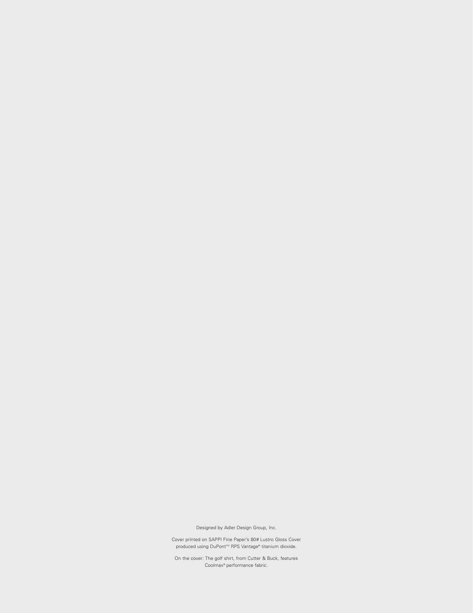Designed by Adler Design Group, Inc.

Cover printed on SAPPI Fine Paper's 80# Lustro Gloss Cover produced using DuPont™ RPS Vantage® titanium dioxide.

On the cover: The golf shirt, from Cutter & Buck, features Coolmax® performance fabric.